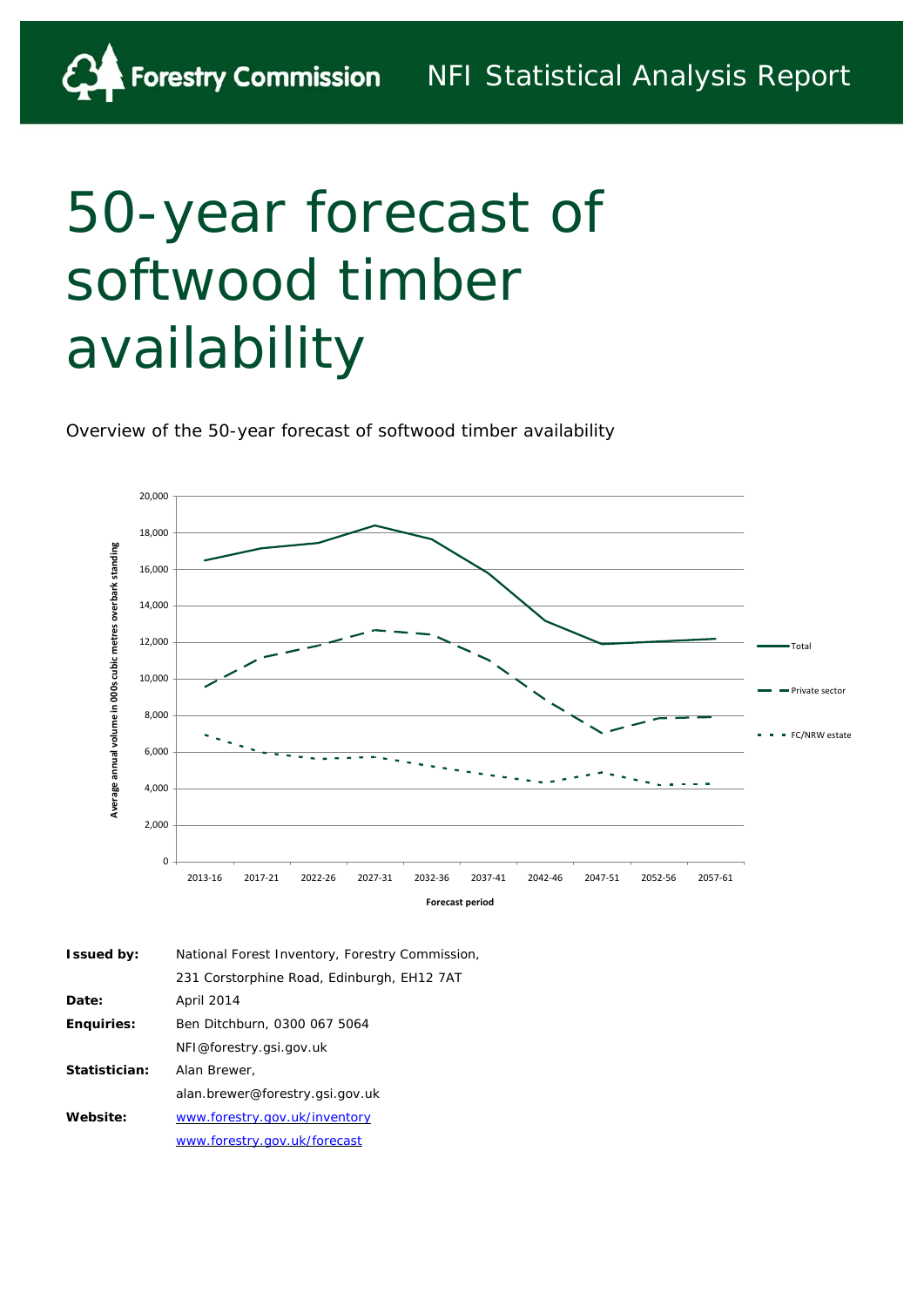# 50-year forecast of softwood timber availability

Overview of the 50-year forecast of softwood timber availability



| <b>Issued by:</b> | National Forest Inventory, Forestry Commission, |
|-------------------|-------------------------------------------------|
|                   | 231 Corstorphine Road, Edinburgh, EH12 7AT      |
| Date:             | April 2014                                      |
| <b>Enguiries:</b> | Ben Ditchburn, 0300 067 5064                    |
|                   | NFI@forestry.gsi.gov.uk                         |
| Statistician:     | Alan Brewer.                                    |
|                   | alan.brewer@forestry.gsi.gov.uk                 |
| Website:          | www.forestry.gov.uk/inventory                   |
|                   | www.forestry.gov.uk/forecast                    |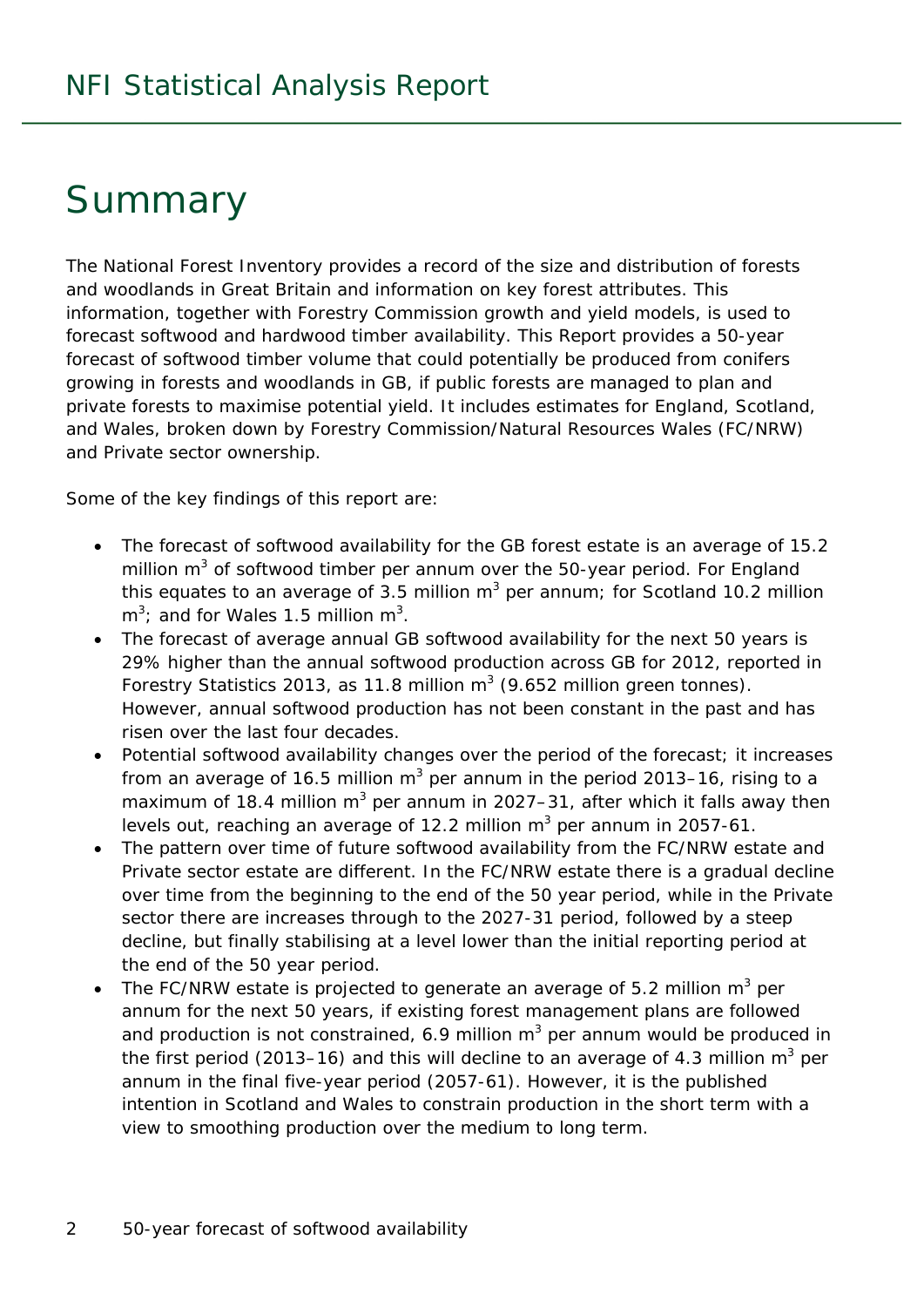## **Summary**

The National Forest Inventory provides a record of the size and distribution of forests and woodlands in Great Britain and information on key forest attributes. This information, together with Forestry Commission growth and yield models, is used to forecast softwood and hardwood timber availability. This Report provides a 50-year forecast of softwood timber volume that could potentially be produced from conifers growing in forests and woodlands in GB, if public forests are managed to plan and private forests to maximise potential yield. It includes estimates for England, Scotland, and Wales, broken down by Forestry Commission/Natural Resources Wales (FC/NRW) and Private sector ownership.

Some of the key findings of this report are:

- The forecast of softwood availability for the GB forest estate is an average of 15.2 million  $m^3$  of softwood timber per annum over the 50-year period. For England this equates to an average of 3.5 million  $m^3$  per annum; for Scotland 10.2 million  $m^3$ ; and for Wales 1.5 million  $m^3$ .
- The forecast of average annual GB softwood availability for the next 50 years is 29% higher than the annual softwood production across GB for 2012, reported in Forestry Statistics 2013, as 11.8 million  $m^3$  (9.652 million green tonnes). However, annual softwood production has not been constant in the past and has risen over the last four decades.
- Potential softwood availability changes over the period of the forecast; it increases from an average of 16.5 million m<sup>3</sup> per annum in the period 2013–16, rising to a maximum of 18.4 million m<sup>3</sup> per annum in 2027–31, after which it falls away then levels out, reaching an average of 12.2 million  $m^3$  per annum in 2057-61.
- The pattern over time of future softwood availability from the FC/NRW estate and Private sector estate are different. In the FC/NRW estate there is a gradual decline over time from the beginning to the end of the 50 year period, while in the Private sector there are increases through to the 2027-31 period, followed by a steep decline, but finally stabilising at a level lower than the initial reporting period at the end of the 50 year period.
- The FC/NRW estate is projected to generate an average of 5.2 million  $m^3$  per annum for the next 50 years, if existing forest management plans are followed and production is not constrained, 6.9 million  $m^3$  per annum would be produced in the first period (2013–16) and this will decline to an average of 4.3 million  $m^3$  per annum in the final five-year period (2057-61). However, it is the published intention in Scotland and Wales to constrain production in the short term with a view to smoothing production over the medium to long term.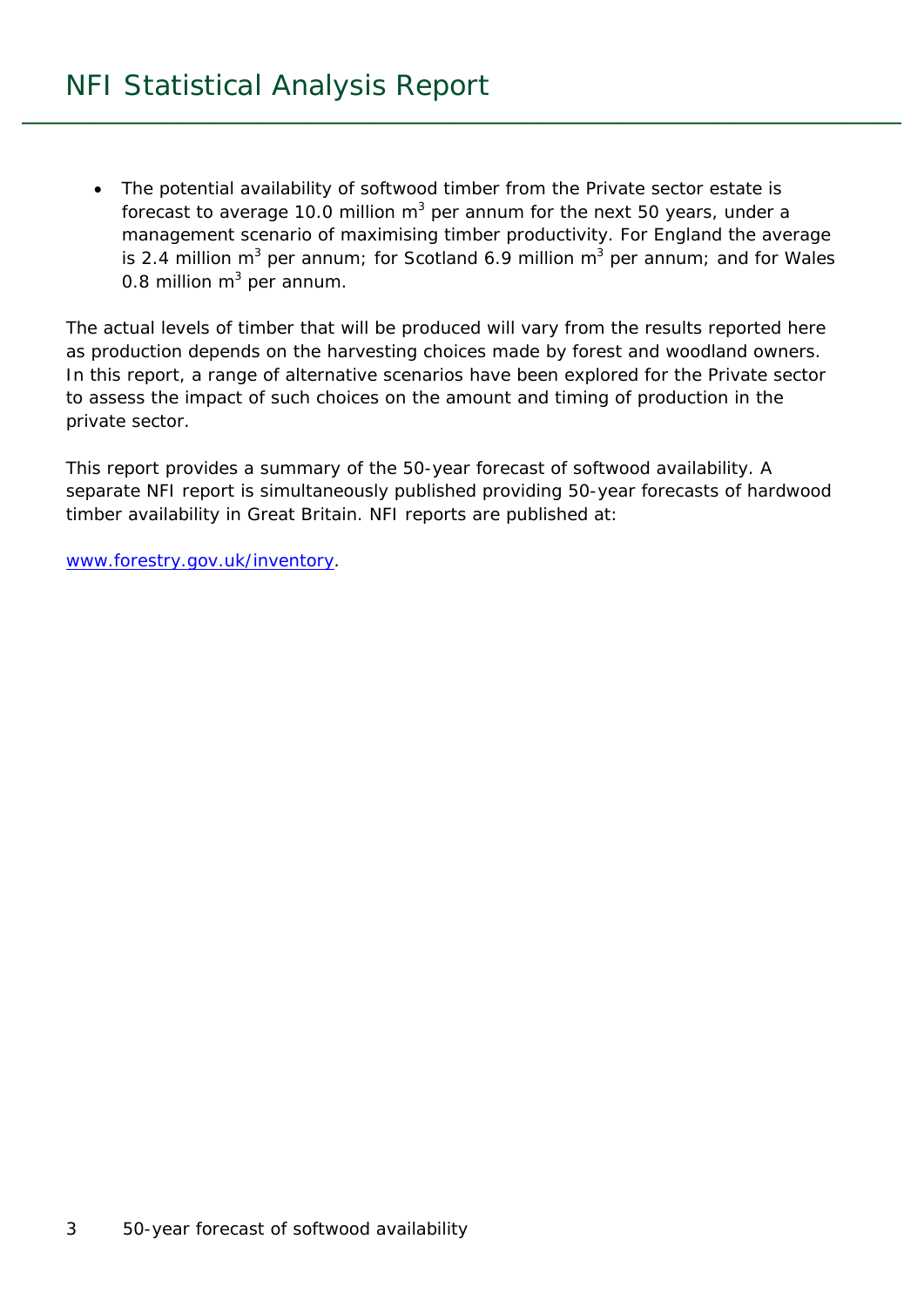The potential availability of softwood timber from the Private sector estate is forecast to average 10.0 million m<sup>3</sup> per annum for the next 50 years, under a management scenario of maximising timber productivity. For England the average is 2.4 million m<sup>3</sup> per annum; for Scotland 6.9 million m<sup>3</sup> per annum; and for Wales 0.8 million  $m^3$  per annum.

The actual levels of timber that will be produced will vary from the results reported here as production depends on the harvesting choices made by forest and woodland owners. In this report, a range of alternative scenarios have been explored for the Private sector to assess the impact of such choices on the amount and timing of production in the private sector.

This report provides a summary of the 50-year forecast of softwood availability. A separate NFI report is simultaneously published providing 50-year forecasts of hardwood timber availability in Great Britain. NFI reports are published at:

www.forestry.gov.uk/inventory.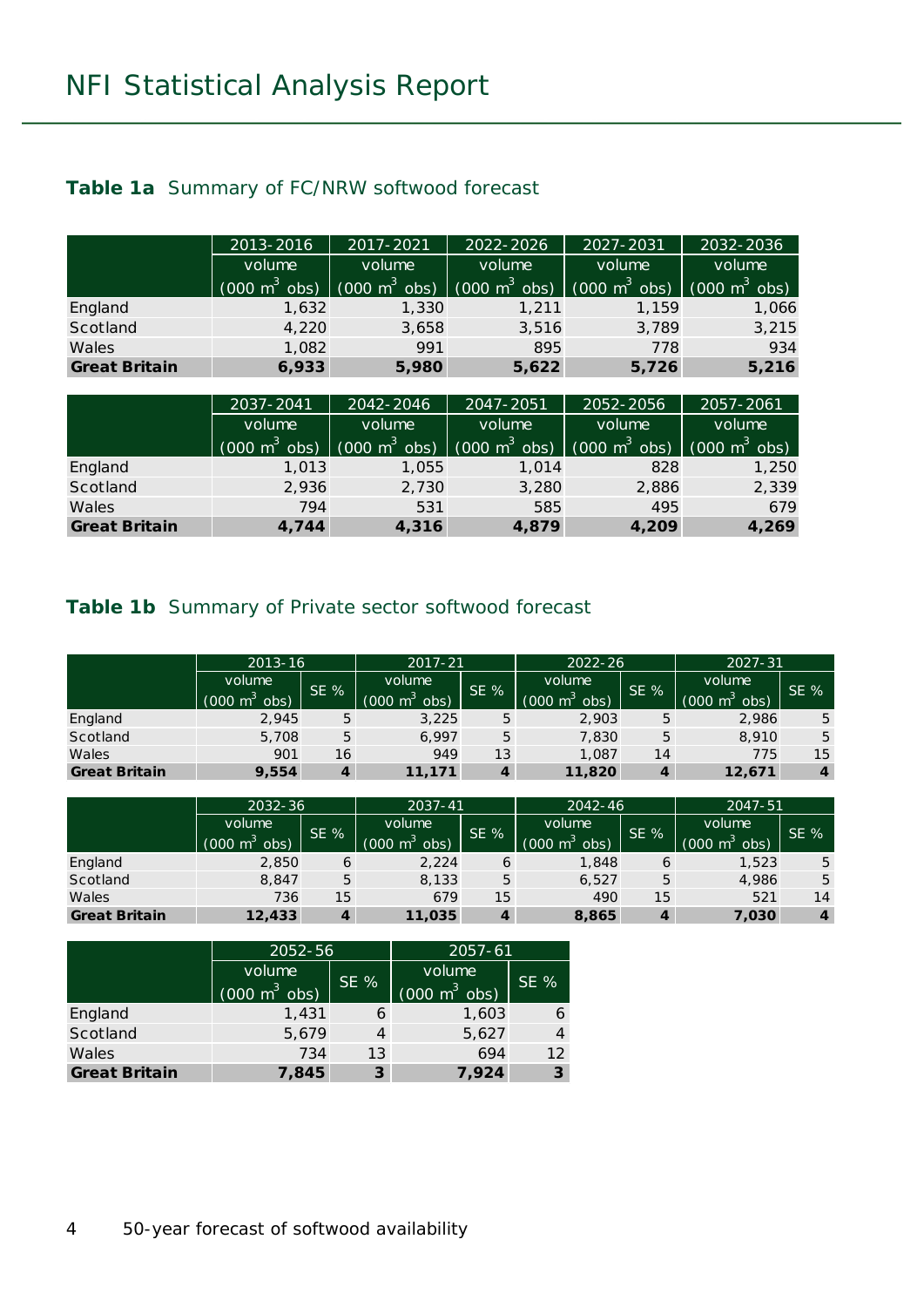#### **Table 1a** Summary of FC/NRW softwood forecast

|                      | 2013-2016                       | 2017-2021                       | 2022-2026                       | 2027-2031                       | 2032-2036                       |
|----------------------|---------------------------------|---------------------------------|---------------------------------|---------------------------------|---------------------------------|
|                      | volume                          | volume                          | volume                          | volume                          | volume                          |
|                      | $(000 \text{ m}^3 \text{ obs})$ | $(000 \text{ m}^3 \text{ obs})$ | $(000 \text{ m}^3 \text{ obs})$ | $(000 \text{ m}^3 \text{ obs})$ | $(000 \text{ m}^3 \text{ obs})$ |
| England              | 1,632                           | 1,330                           | 1,211                           | 1,159                           | 1,066                           |
| Scotland             | 4,220                           | 3,658                           | 3,516                           | 3,789                           | 3,215                           |
| Wales                | 1,082                           | 991                             | 895                             | 778                             | 934                             |
| <b>Great Britain</b> | 6,933                           | 5,980                           | 5,622                           | 5,726                           | 5,216                           |

|                      | 2037-2041                       | 2042-2046                       | 2047-2051                       | 2052-2056                       | 2057-2061                       |
|----------------------|---------------------------------|---------------------------------|---------------------------------|---------------------------------|---------------------------------|
|                      | volume                          | volume                          | volume                          | volume                          | volume                          |
|                      | $(000 \text{ m}^3 \text{ obs})$ | $(000 \text{ m}^3 \text{ obs})$ | $(000 \text{ m}^3 \text{ obs})$ | $(000 \text{ m}^3 \text{ obs})$ | $(000 \text{ m}^3 \text{ obs})$ |
| England              | 1,013                           | 1,055                           | 1.014                           | 828                             | 1,250                           |
| Scotland             | 2,936                           | 2,730                           | 3,280                           | 2,886                           | 2,339                           |
| Wales                | 794                             | 531                             | 585                             | 495                             | 679                             |
| <b>Great Britain</b> | 4,744                           | 4,316                           | 4,879                           | 4,209                           | 4,269                           |

#### **Table 1b** Summary of Private sector softwood forecast

|                      | 2013-16                                   |     | $2017 - 21$                        |     | $2022 - 26$                               |     | $2027 - 31$                        |                  |
|----------------------|-------------------------------------------|-----|------------------------------------|-----|-------------------------------------------|-----|------------------------------------|------------------|
|                      | volume<br>$(000 \text{ m}^3 \text{ obs})$ | SE% | volume<br>(000 m <sup>3</sup> obs) | SE% | volume<br>$(000 \text{ m}^3 \text{ obs})$ | SE% | volume<br>(000 m <sup>3</sup> obs) | SE %             |
| England              | 2.945                                     | 5   | 3,225                              | 5   | 2,903                                     | 5   | 2,986                              | 5                |
| Scotland             | 5,708                                     | 5   | 6.997                              | 5   | 7,830                                     | 5   | 8,910                              | 5                |
| Wales                | 901                                       | 16  | 949                                | 13  | 1,087                                     | 14  | 775                                | 15               |
| <b>Great Britain</b> | 9,554                                     |     | 11,171                             |     | 11,820                                    | 4   | 12,671                             | $\boldsymbol{4}$ |

|                      | 2032-36                   |        | $2037 - 41$<br>$2042 - 46$            |     | 2047-51                                   |     |                                           |                  |
|----------------------|---------------------------|--------|---------------------------------------|-----|-------------------------------------------|-----|-------------------------------------------|------------------|
|                      | volume<br>(000 m്<br>obs) | $SE$ % | volume<br>$(000 \text{ m}^3)$<br>obs) | SE% | volume<br>$(000 \text{ m}^3 \text{ obs})$ | SE% | volume<br>(000)<br>obs)<br>m <sup>2</sup> | $SE\%$           |
| England              | 2,850                     | 6      | 2,224                                 | 6   | 1,848                                     | 6   | 1,523                                     | 5                |
| Scotland             | 8.847                     | 5      | 8,133                                 | 5   | 6,527                                     | 5   | 4,986                                     | 5                |
| Wales                | 736                       | 15     | 679                                   | 15  | 490                                       | 15  | 521                                       | 14               |
| <b>Great Britain</b> | 12,433                    |        | 11,035                                |     | 8,865                                     | 4   | 7,030                                     | $\boldsymbol{4}$ |

|                      | 2052-56                         |        | $2057 - 61$                     |                |  |
|----------------------|---------------------------------|--------|---------------------------------|----------------|--|
|                      | volume                          |        | volume                          | SE %           |  |
|                      | $(000 \text{ m}^3 \text{ obs})$ | $SE$ % | $(000 \text{ m}^3 \text{ obs})$ |                |  |
| England              | 1,431                           |        | 1,603                           | 6              |  |
| Scotland             | 5,679                           |        | 5,627                           | $\overline{4}$ |  |
| Wales                | 734                             | 13     | 694                             | 12             |  |
| <b>Great Britain</b> | 7,845                           | 3      | 7,924                           | 3              |  |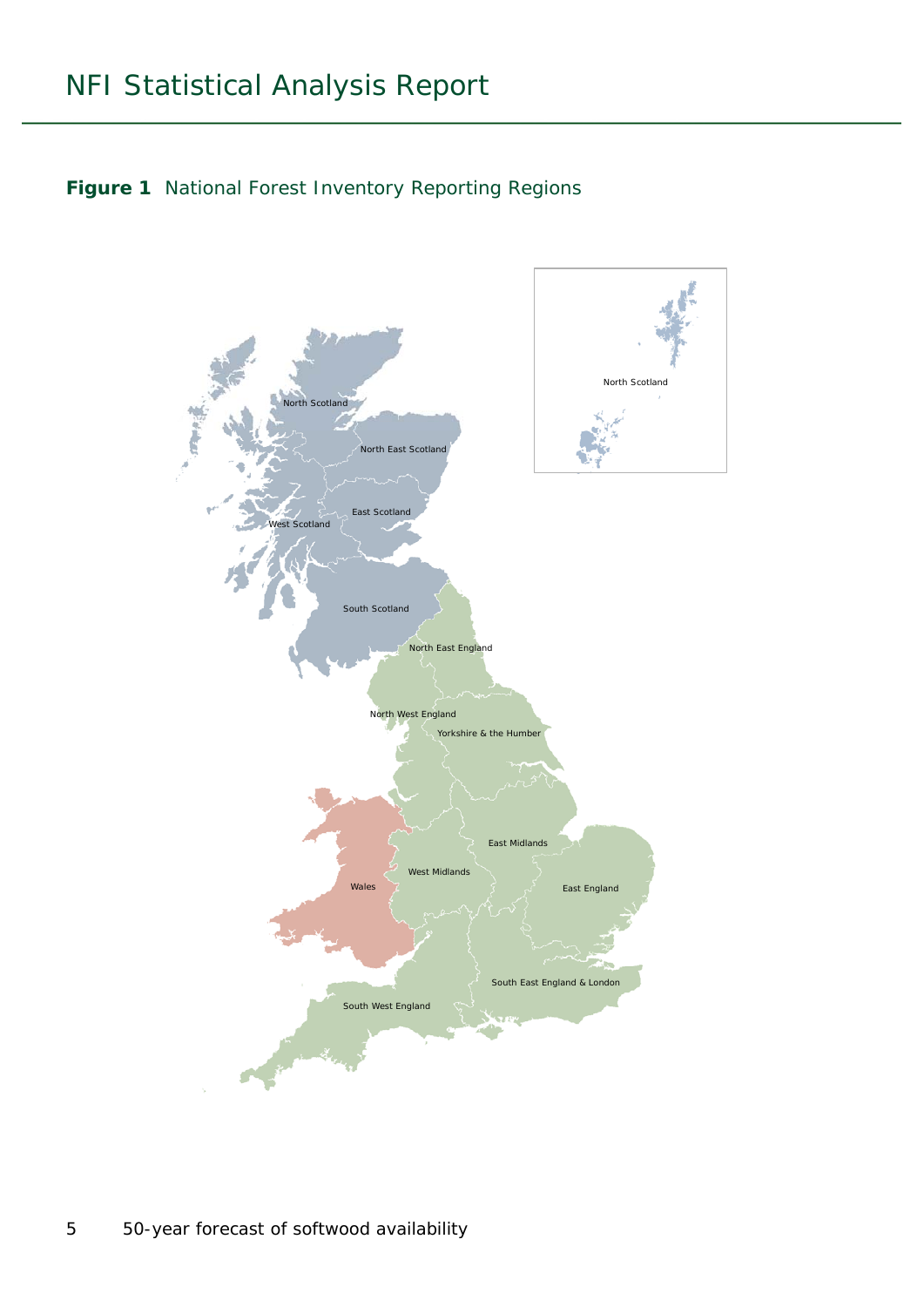

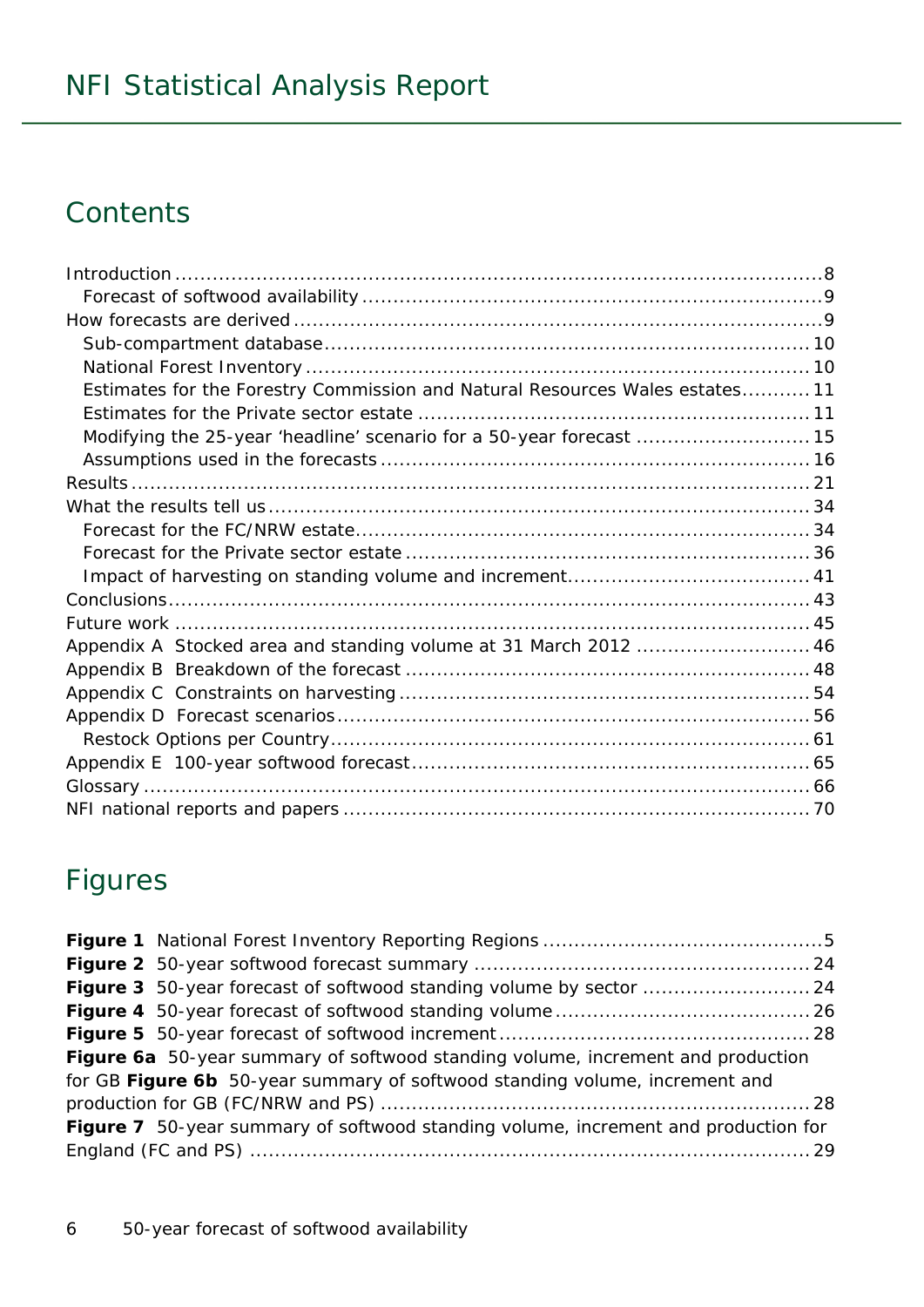## **Contents**

| Estimates for the Forestry Commission and Natural Resources Wales estates 11 |  |
|------------------------------------------------------------------------------|--|
|                                                                              |  |
| Modifying the 25-year 'headline' scenario for a 50-year forecast  15         |  |
|                                                                              |  |
|                                                                              |  |
|                                                                              |  |
|                                                                              |  |
|                                                                              |  |
|                                                                              |  |
|                                                                              |  |
|                                                                              |  |
| Appendix A Stocked area and standing volume at 31 March 2012  46             |  |
|                                                                              |  |
|                                                                              |  |
|                                                                              |  |
|                                                                              |  |
|                                                                              |  |
|                                                                              |  |
|                                                                              |  |

## Figures

| Figure 3 50-year forecast of softwood standing volume by sector  24                |  |
|------------------------------------------------------------------------------------|--|
|                                                                                    |  |
|                                                                                    |  |
| Figure 6a 50-year summary of softwood standing volume, increment and production    |  |
| for GB Figure 6b 50-year summary of softwood standing volume, increment and        |  |
|                                                                                    |  |
| Figure 7 50-year summary of softwood standing volume, increment and production for |  |
|                                                                                    |  |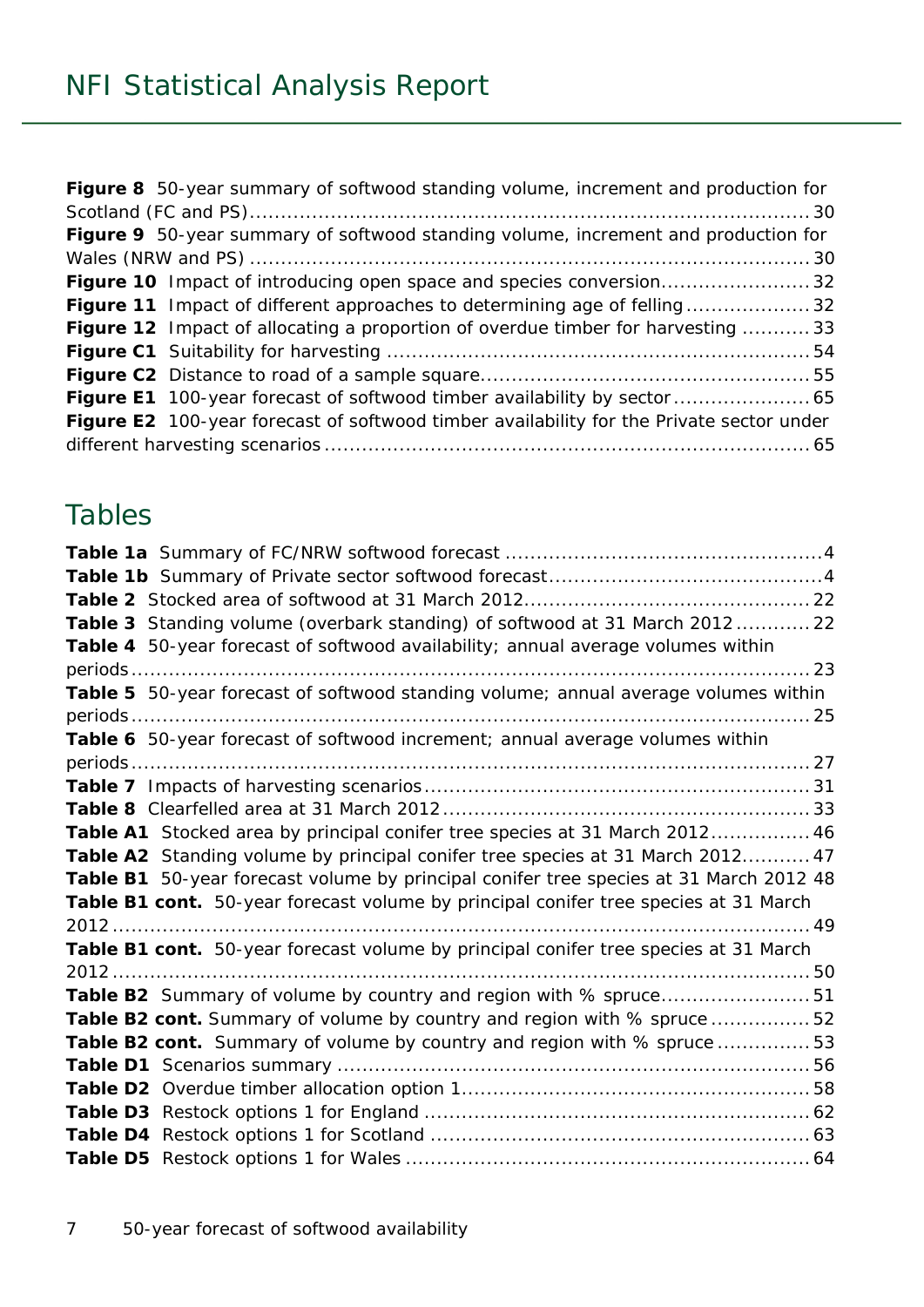| Figure 8 50-year summary of softwood standing volume, increment and production for       |  |
|------------------------------------------------------------------------------------------|--|
|                                                                                          |  |
| Figure 9 50-year summary of softwood standing volume, increment and production for       |  |
|                                                                                          |  |
| Figure 10 Impact of introducing open space and species conversion32                      |  |
| Figure 11 Impact of different approaches to determining age of felling32                 |  |
| <b>Figure 12</b> Impact of allocating a proportion of overdue timber for harvesting 33   |  |
|                                                                                          |  |
|                                                                                          |  |
| Figure E1 100-year forecast of softwood timber availability by sector  65                |  |
| Figure E2 100-year forecast of softwood timber availability for the Private sector under |  |
|                                                                                          |  |

## Tables

| Table 3 Standing volume (overbark standing) of softwood at 31 March 201222             |    |
|----------------------------------------------------------------------------------------|----|
| Table 4 50-year forecast of softwood availability; annual average volumes within       |    |
|                                                                                        |    |
| Table 5 50-year forecast of softwood standing volume; annual average volumes within    |    |
| periods                                                                                | 25 |
| Table 6 50-year forecast of softwood increment; annual average volumes within          |    |
|                                                                                        |    |
|                                                                                        |    |
|                                                                                        |    |
| Table A1 Stocked area by principal conifer tree species at 31 March 2012 46            |    |
| Table A2 Standing volume by principal conifer tree species at 31 March 2012 47         |    |
| Table B1 50-year forecast volume by principal conifer tree species at 31 March 2012 48 |    |
| Table B1 cont. 50-year forecast volume by principal conifer tree species at 31 March   |    |
|                                                                                        |    |
| Table B1 cont. 50-year forecast volume by principal conifer tree species at 31 March   |    |
|                                                                                        |    |
| Table B2 Summary of volume by country and region with % spruce51                       |    |
| Table B2 cont. Summary of volume by country and region with % spruce 52                |    |
| Table B2 cont. Summary of volume by country and region with % spruce  53               |    |
|                                                                                        |    |
|                                                                                        |    |
|                                                                                        |    |
|                                                                                        |    |
|                                                                                        |    |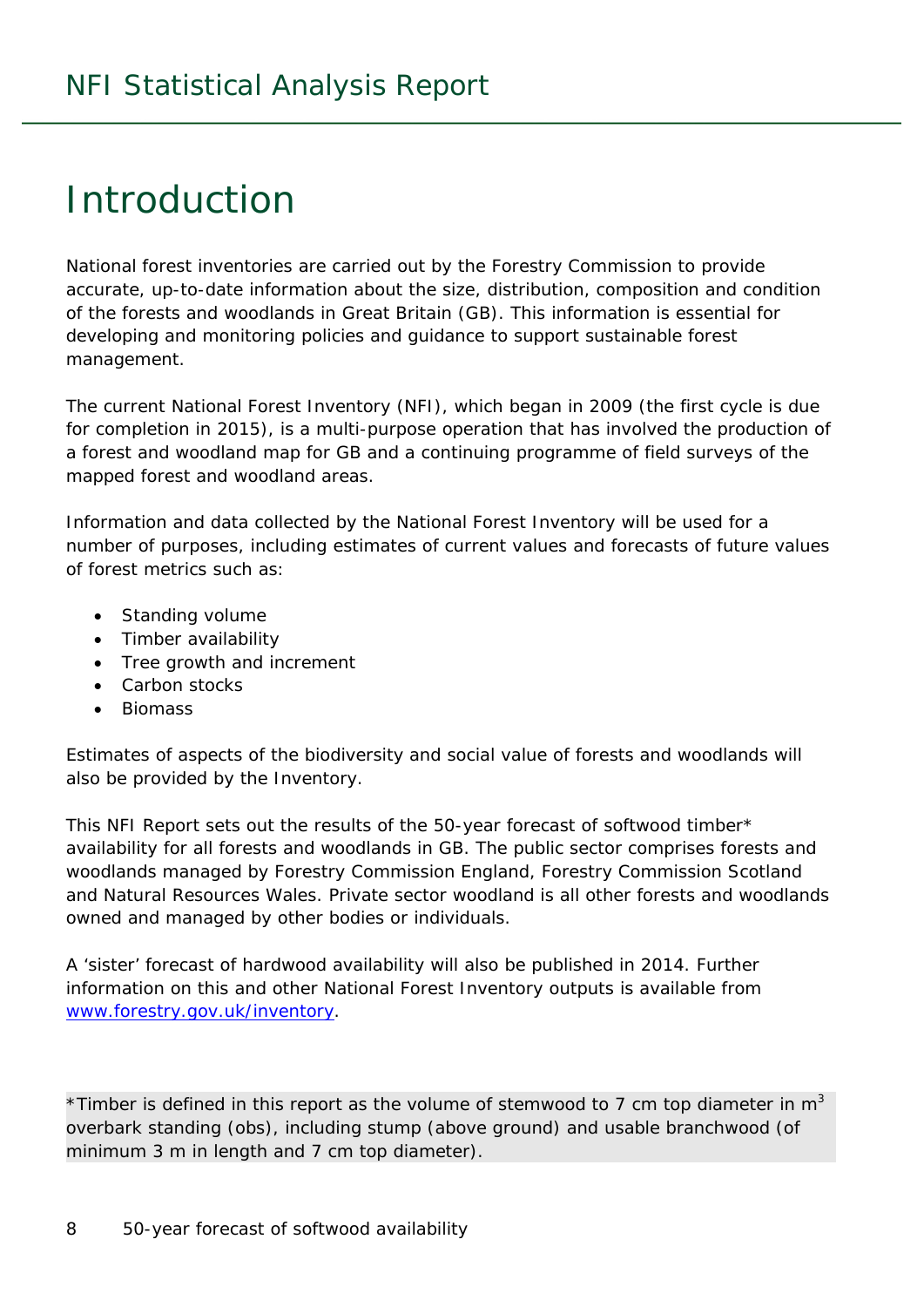## Introduction

National forest inventories are carried out by the Forestry Commission to provide accurate, up-to-date information about the size, distribution, composition and condition of the forests and woodlands in Great Britain (GB). This information is essential for developing and monitoring policies and guidance to support sustainable forest management.

The current National Forest Inventory (NFI), which began in 2009 (the first cycle is due for completion in 2015), is a multi-purpose operation that has involved the production of a forest and woodland map for GB and a continuing programme of field surveys of the mapped forest and woodland areas.

Information and data collected by the National Forest Inventory will be used for a number of purposes, including estimates of current values and forecasts of future values of forest metrics such as:

- Standing volume
- Timber availability
- Tree growth and increment
- Carbon stocks
- **Biomass**

Estimates of aspects of the biodiversity and social value of forests and woodlands will also be provided by the Inventory.

This NFI Report sets out the results of the 50-year forecast of softwood timber\* availability for all forests and woodlands in GB. The public sector comprises forests and woodlands managed by Forestry Commission England, Forestry Commission Scotland and Natural Resources Wales. Private sector woodland is all other forests and woodlands owned and managed by other bodies or individuals.

A 'sister' forecast of hardwood availability will also be published in 2014. Further information on this and other National Forest Inventory outputs is available from www.forestry.gov.uk/inventory.

\*Timber is defined in this report as the volume of stemwood to 7 cm top diameter in  $m<sup>3</sup>$ overbark standing (obs), including stump (above ground) and usable branchwood (of minimum 3 m in length and 7 cm top diameter).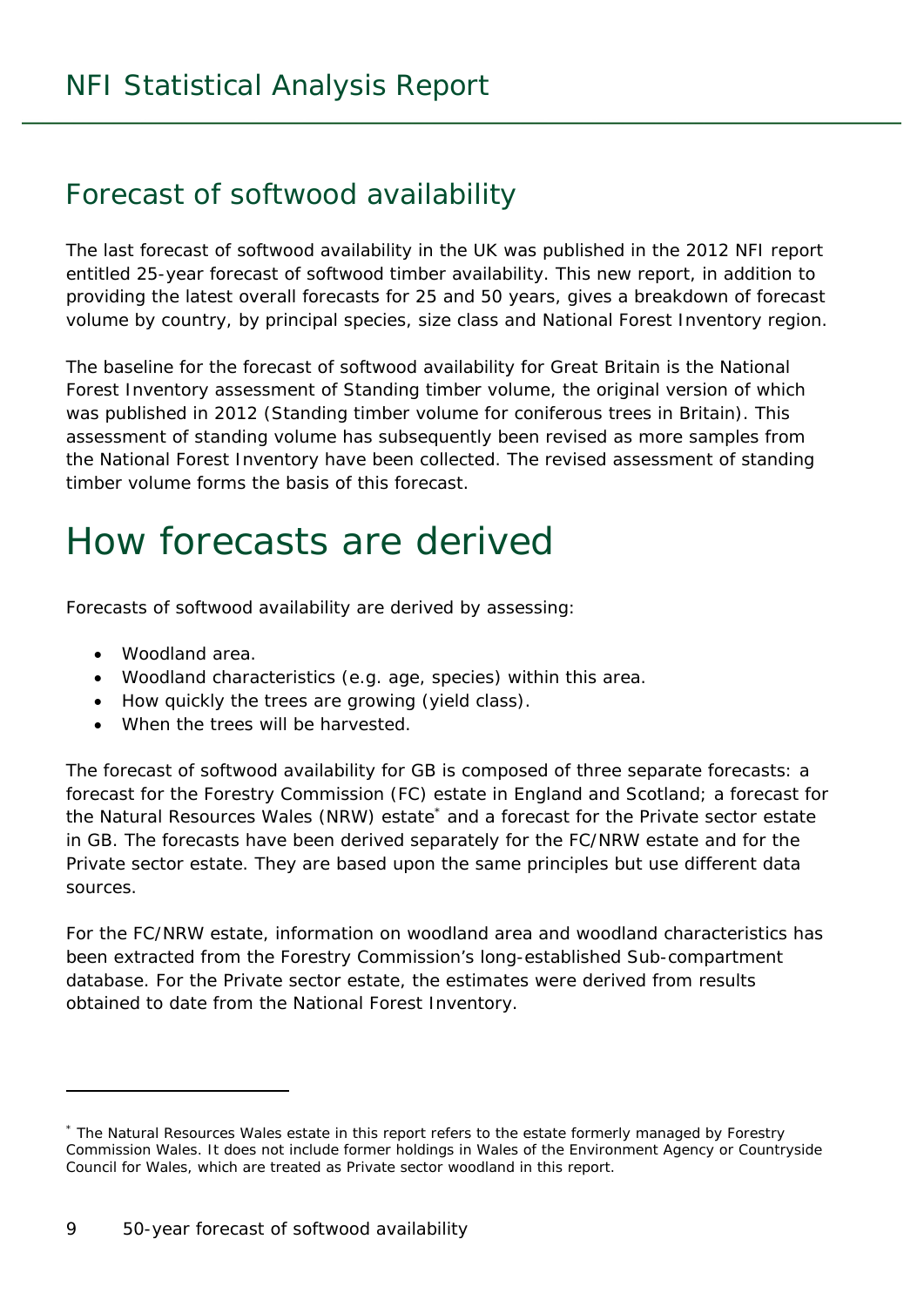### Forecast of softwood availability

The last forecast of softwood availability in the UK was published in the 2012 NFI report entitled *25-year forecast of softwood timber availability*. This new report, in addition to providing the latest overall forecasts for 25 and 50 years, gives a breakdown of forecast volume by country, by principal species, size class and National Forest Inventory region.

The baseline for the forecast of softwood availability for Great Britain is the National Forest Inventory assessment of Standing timber volume, the original version of which was published in 2012 (*Standing timber volume for coniferous trees in Britain*). This assessment of standing volume has subsequently been revised as more samples from the National Forest Inventory have been collected. The revised assessment of standing timber volume forms the basis of this forecast.

## How forecasts are derived

Forecasts of softwood availability are derived by assessing:

Woodland area.

j

- Woodland characteristics (e.g. age, species) within this area.
- How quickly the trees are growing (yield class).
- When the trees will be harvested.

The forecast of softwood availability for GB is composed of three separate forecasts: a forecast for the Forestry Commission (FC) estate in England and Scotland; a forecast for the Natural Resources Wales (NRW) estate<sup>\*</sup> and a forecast for the Private sector estate in GB. The forecasts have been derived separately for the FC/NRW estate and for the Private sector estate. They are based upon the same principles but use different data sources.

For the FC/NRW estate, information on woodland area and woodland characteristics has been extracted from the Forestry Commission's long-established Sub-compartment database. For the Private sector estate, the estimates were derived from results obtained to date from the National Forest Inventory.

<sup>\*</sup> The Natural Resources Wales estate in this report refers to the estate formerly managed by Forestry Commission Wales. It does not include former holdings in Wales of the Environment Agency or Countryside Council for Wales, which are treated as Private sector woodland in this report.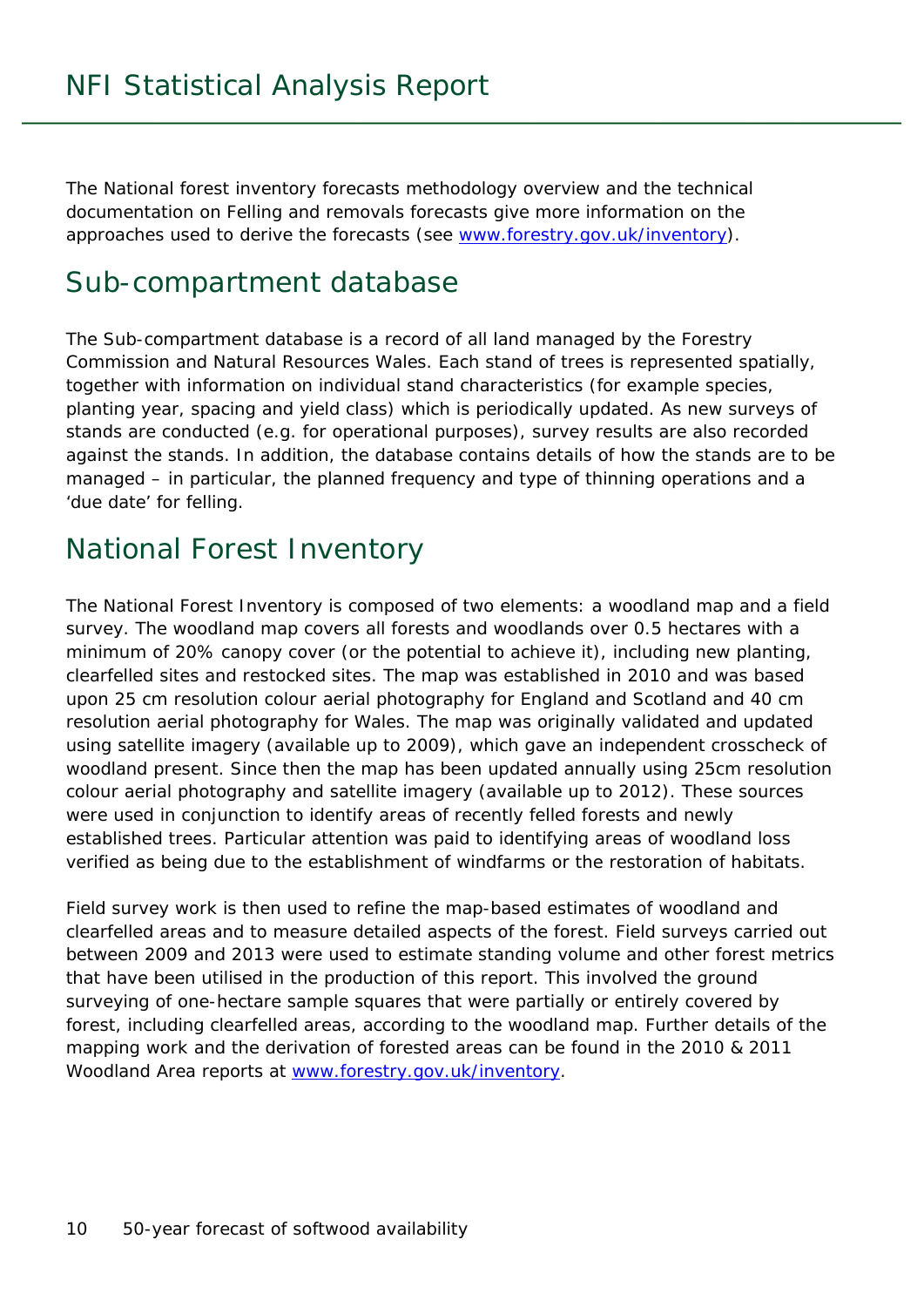The *National forest inventory forecasts methodology overview* and the technical documentation on *Felling and removals forecasts* give more information on the approaches used to derive the forecasts (see www.forestry.gov.uk/inventory).

### Sub-compartment database

The Sub-compartment database is a record of all land managed by the Forestry Commission and Natural Resources Wales. Each stand of trees is represented spatially, together with information on individual stand characteristics (for example species, planting year, spacing and yield class) which is periodically updated. As new surveys of stands are conducted (e.g. for operational purposes), survey results are also recorded against the stands. In addition, the database contains details of how the stands are to be managed – in particular, the planned frequency and type of thinning operations and a 'due date' for felling.

### National Forest Inventory

The National Forest Inventory is composed of two elements: a woodland map and a field survey. The woodland map covers all forests and woodlands over 0.5 hectares with a minimum of 20% canopy cover (or the potential to achieve it), including new planting, clearfelled sites and restocked sites. The map was established in 2010 and was based upon 25 cm resolution colour aerial photography for England and Scotland and 40 cm resolution aerial photography for Wales. The map was originally validated and updated using satellite imagery (available up to 2009), which gave an independent crosscheck of woodland present. Since then the map has been updated annually using 25cm resolution colour aerial photography and satellite imagery (available up to 2012). These sources were used in conjunction to identify areas of recently felled forests and newly established trees. Particular attention was paid to identifying areas of woodland loss verified as being due to the establishment of windfarms or the restoration of habitats.

Field survey work is then used to refine the map-based estimates of woodland and clearfelled areas and to measure detailed aspects of the forest. Field surveys carried out between 2009 and 2013 were used to estimate standing volume and other forest metrics that have been utilised in the production of this report. This involved the ground surveying of one-hectare sample squares that were partially or entirely covered by forest, including clearfelled areas, according to the woodland map. Further details of the mapping work and the derivation of forested areas can be found in the 2010 & 2011 Woodland Area reports at www.forestry.gov.uk/inventory.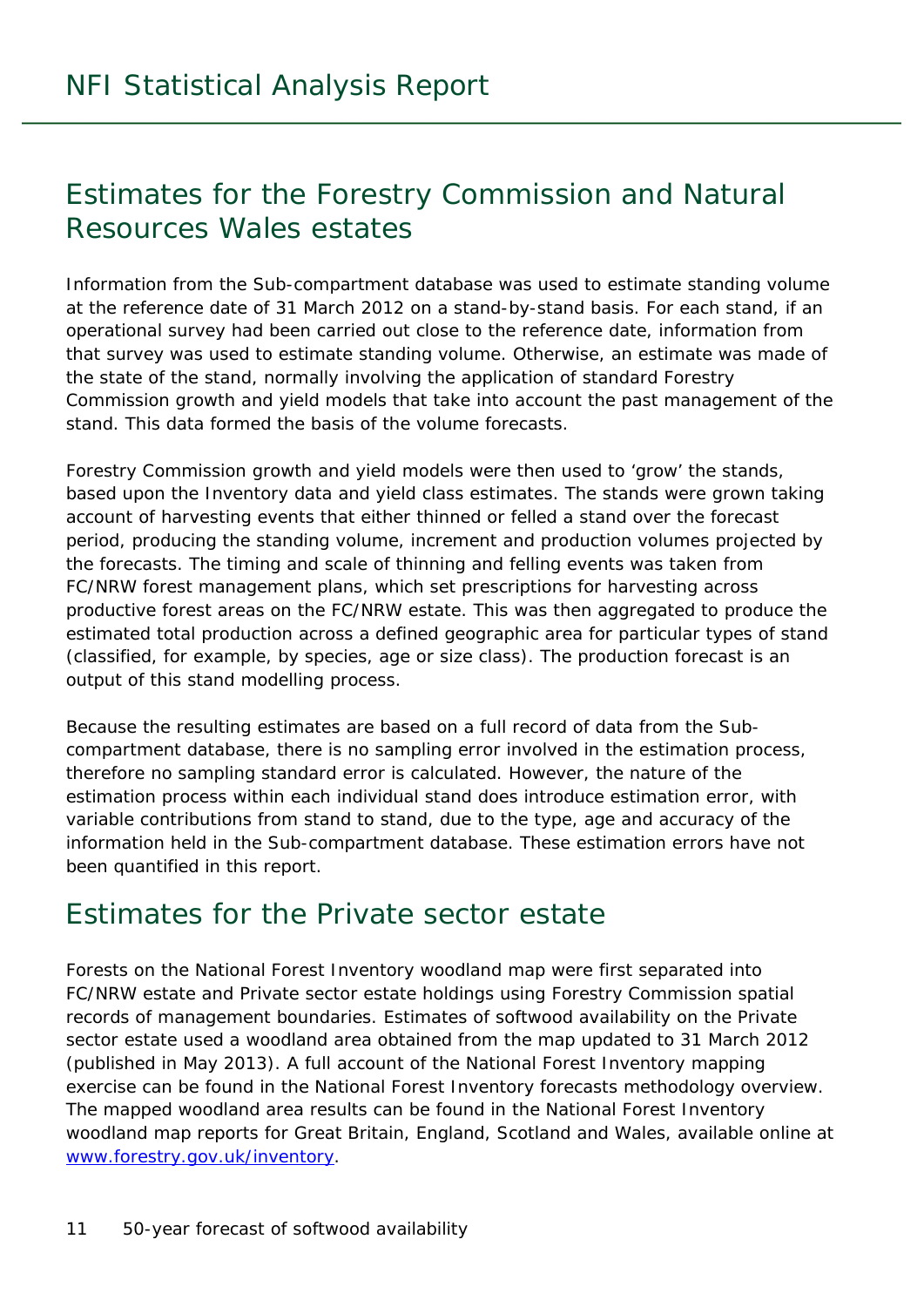## Estimates for the Forestry Commission and Natural Resources Wales estates

Information from the Sub-compartment database was used to estimate standing volume at the reference date of 31 March 2012 on a stand-by-stand basis. For each stand, if an operational survey had been carried out close to the reference date, information from that survey was used to estimate standing volume. Otherwise, an estimate was made of the state of the stand, normally involving the application of standard Forestry Commission growth and yield models that take into account the past management of the stand. This data formed the basis of the volume forecasts.

Forestry Commission growth and yield models were then used to 'grow' the stands, based upon the Inventory data and yield class estimates. The stands were grown taking account of harvesting events that either thinned or felled a stand over the forecast period, producing the standing volume, increment and production volumes projected by the forecasts. The timing and scale of thinning and felling events was taken from FC/NRW forest management plans, which set prescriptions for harvesting across productive forest areas on the FC/NRW estate. This was then aggregated to produce the estimated total production across a defined geographic area for particular types of stand (classified, for example, by species, age or size class). The production forecast is an output of this stand modelling process.

Because the resulting estimates are based on a full record of data from the Subcompartment database, there is no sampling error involved in the estimation process, therefore no sampling standard error is calculated. However, the nature of the estimation process within each individual stand does introduce estimation error, with variable contributions from stand to stand, due to the type, age and accuracy of the information held in the Sub-compartment database. These estimation errors have not been quantified in this report.

### Estimates for the Private sector estate

Forests on the National Forest Inventory woodland map were first separated into FC/NRW estate and Private sector estate holdings using Forestry Commission spatial records of management boundaries. Estimates of softwood availability on the Private sector estate used a woodland area obtained from the map updated to 31 March 2012 (published in May 2013). A full account of the National Forest Inventory mapping exercise can be found in the *National Forest Inventory forecasts methodology overview*. The mapped woodland area results can be found in the *National Forest Inventory woodland map reports for Great Britain, England, Scotland and Wales*, available online at www.forestry.gov.uk/inventory.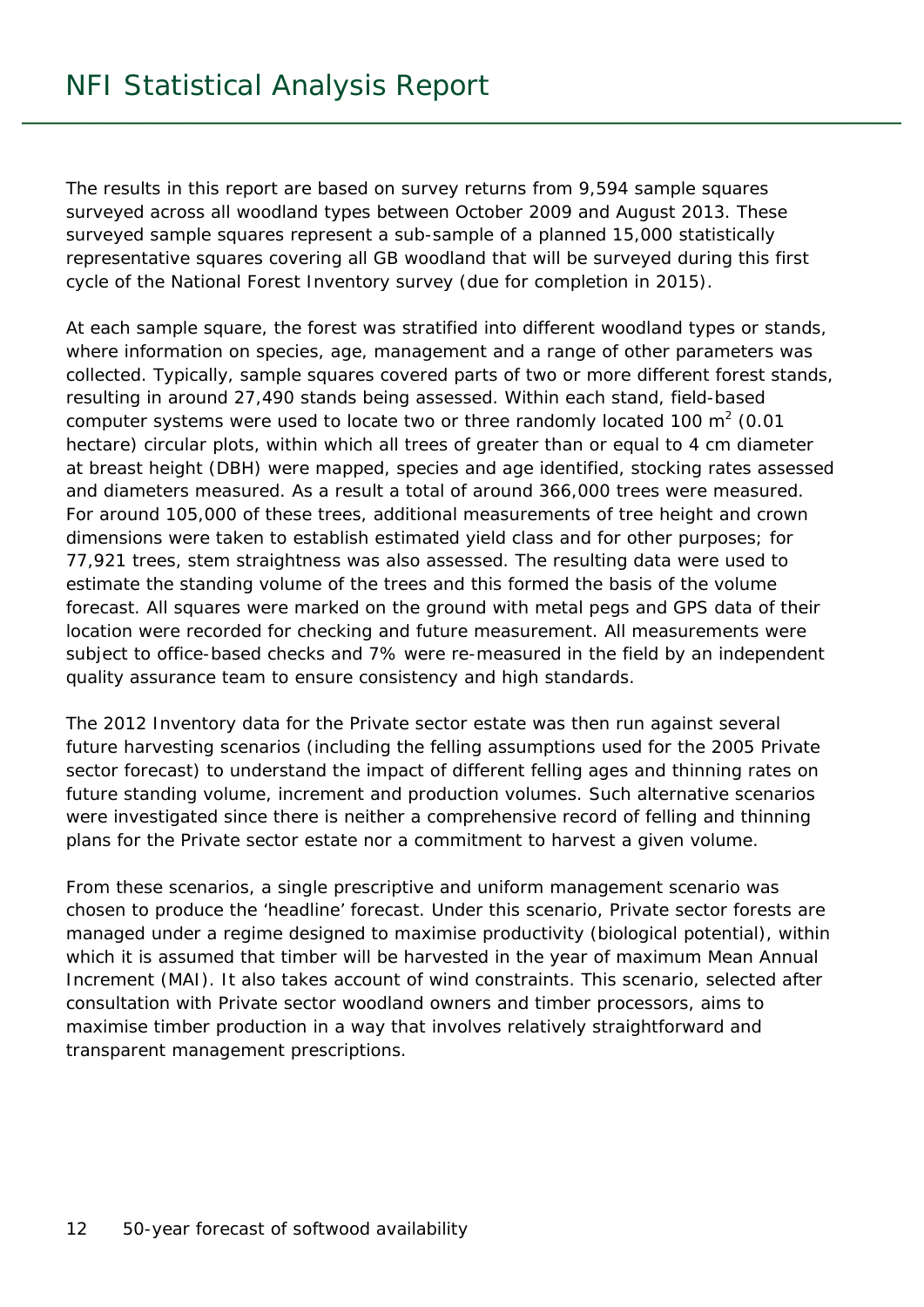The results in this report are based on survey returns from 9,594 sample squares surveyed across all woodland types between October 2009 and August 2013. These surveyed sample squares represent a sub-sample of a planned 15,000 statistically representative squares covering all GB woodland that will be surveyed during this first cycle of the National Forest Inventory survey (due for completion in 2015).

At each sample square, the forest was stratified into different woodland types or stands, where information on species, age, management and a range of other parameters was collected. Typically, sample squares covered parts of two or more different forest stands, resulting in around 27,490 stands being assessed. Within each stand, field-based computer systems were used to locate two or three randomly located 100 m<sup>2</sup> (0.01 hectare) circular plots, within which all trees of greater than or equal to 4 cm diameter at breast height (DBH) were mapped, species and age identified, stocking rates assessed and diameters measured. As a result a total of around 366,000 trees were measured. For around 105,000 of these trees, additional measurements of tree height and crown dimensions were taken to establish estimated yield class and for other purposes; for 77,921 trees, stem straightness was also assessed. The resulting data were used to estimate the standing volume of the trees and this formed the basis of the volume forecast. All squares were marked on the ground with metal pegs and GPS data of their location were recorded for checking and future measurement. All measurements were subject to office-based checks and 7% were re-measured in the field by an independent quality assurance team to ensure consistency and high standards.

The 2012 Inventory data for the Private sector estate was then run against several future harvesting scenarios (including the felling assumptions used for the 2005 Private sector forecast) to understand the impact of different felling ages and thinning rates on future standing volume, increment and production volumes. Such alternative scenarios were investigated since there is neither a comprehensive record of felling and thinning plans for the Private sector estate nor a commitment to harvest a given volume.

From these scenarios, a single prescriptive and uniform management scenario was chosen to produce the 'headline' forecast. Under this scenario, Private sector forests are managed under a regime designed to maximise productivity (biological potential), within which it is assumed that timber will be harvested in the year of maximum Mean Annual Increment (MAI). It also takes account of wind constraints. This scenario, selected after consultation with Private sector woodland owners and timber processors, aims to maximise timber production in a way that involves relatively straightforward and transparent management prescriptions.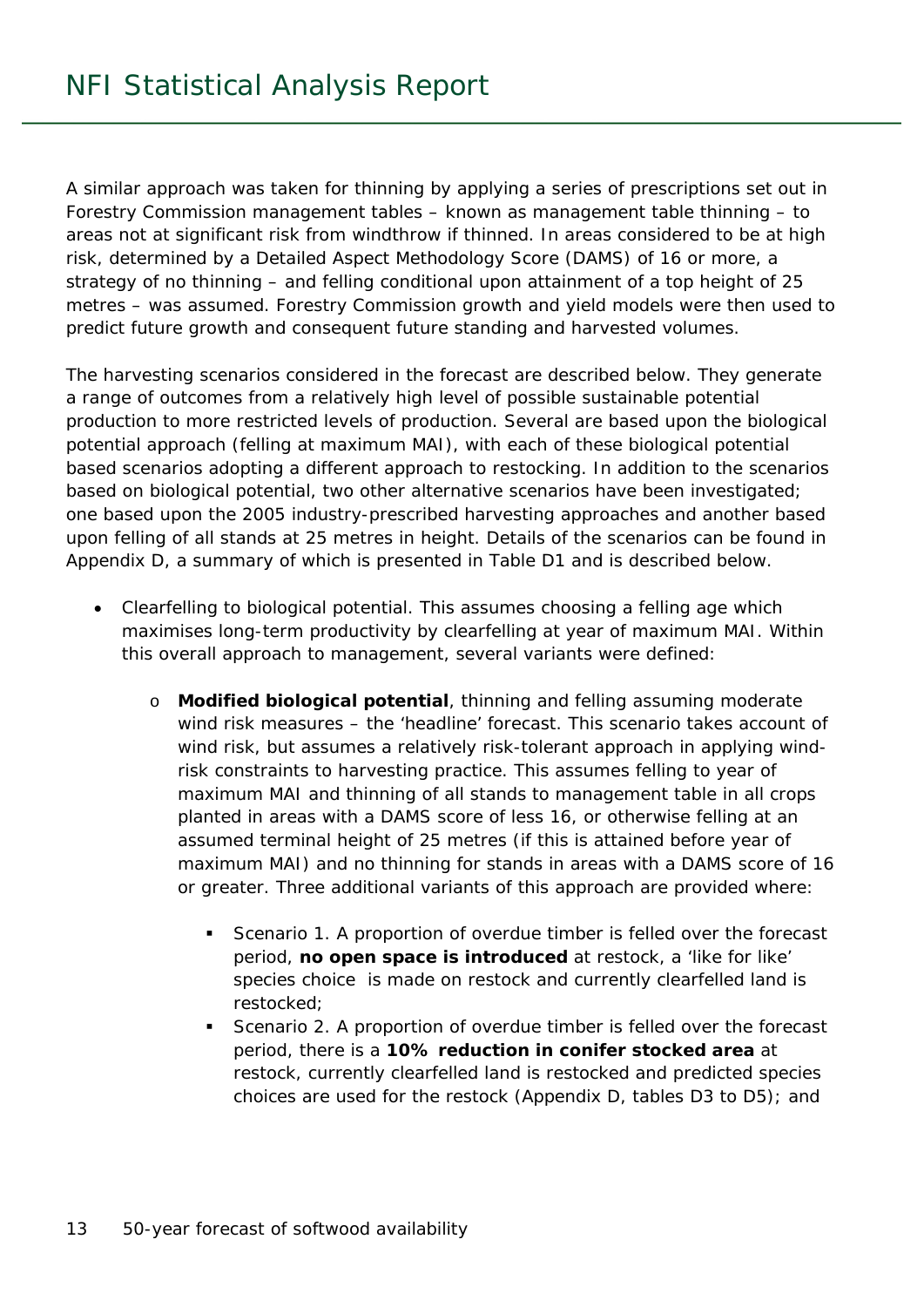A similar approach was taken for thinning by applying a series of prescriptions set out in Forestry Commission management tables – known as management table thinning – to areas not at significant risk from windthrow if thinned. In areas considered to be at high risk, determined by a Detailed Aspect Methodology Score (DAMS) of 16 or more, a strategy of no thinning – and felling conditional upon attainment of a top height of 25 metres – was assumed. Forestry Commission growth and yield models were then used to predict future growth and consequent future standing and harvested volumes.

The harvesting scenarios considered in the forecast are described below. They generate a range of outcomes from a relatively high level of possible sustainable potential production to more restricted levels of production. Several are based upon the biological potential approach (felling at maximum MAI), with each of these biological potential based scenarios adopting a different approach to restocking. In addition to the scenarios based on biological potential, two other alternative scenarios have been investigated; one based upon the 2005 industry-prescribed harvesting approaches and another based upon felling of all stands at 25 metres in height. Details of the scenarios can be found in Appendix D, a summary of which is presented in Table D1 and is described below.

- Clearfelling to biological potential. This assumes choosing a felling age which maximises long-term productivity by clearfelling at year of maximum MAI. Within this overall approach to management, several variants were defined:
	- o **Modified biological potential**, thinning and felling assuming moderate wind risk measures – the 'headline' forecast. This scenario takes account of wind risk, but assumes a relatively risk-tolerant approach in applying windrisk constraints to harvesting practice. This assumes felling to year of maximum MAI and thinning of all stands to management table in all crops planted in areas with a DAMS score of less 16, or otherwise felling at an assumed terminal height of 25 metres (if this is attained before year of maximum MAI) and no thinning for stands in areas with a DAMS score of 16 or greater. Three additional variants of this approach are provided where:
		- Scenario 1. A proportion of overdue timber is felled over the forecast period, **no open space is introduced** at restock, a 'like for like' species choice is made on restock and currently clearfelled land is restocked;
		- **Scenario 2. A proportion of overdue timber is felled over the forecast** period, there is a **10% reduction in conifer stocked area** at restock, currently clearfelled land is restocked and predicted species choices are used for the restock (Appendix D, tables D3 to D5); and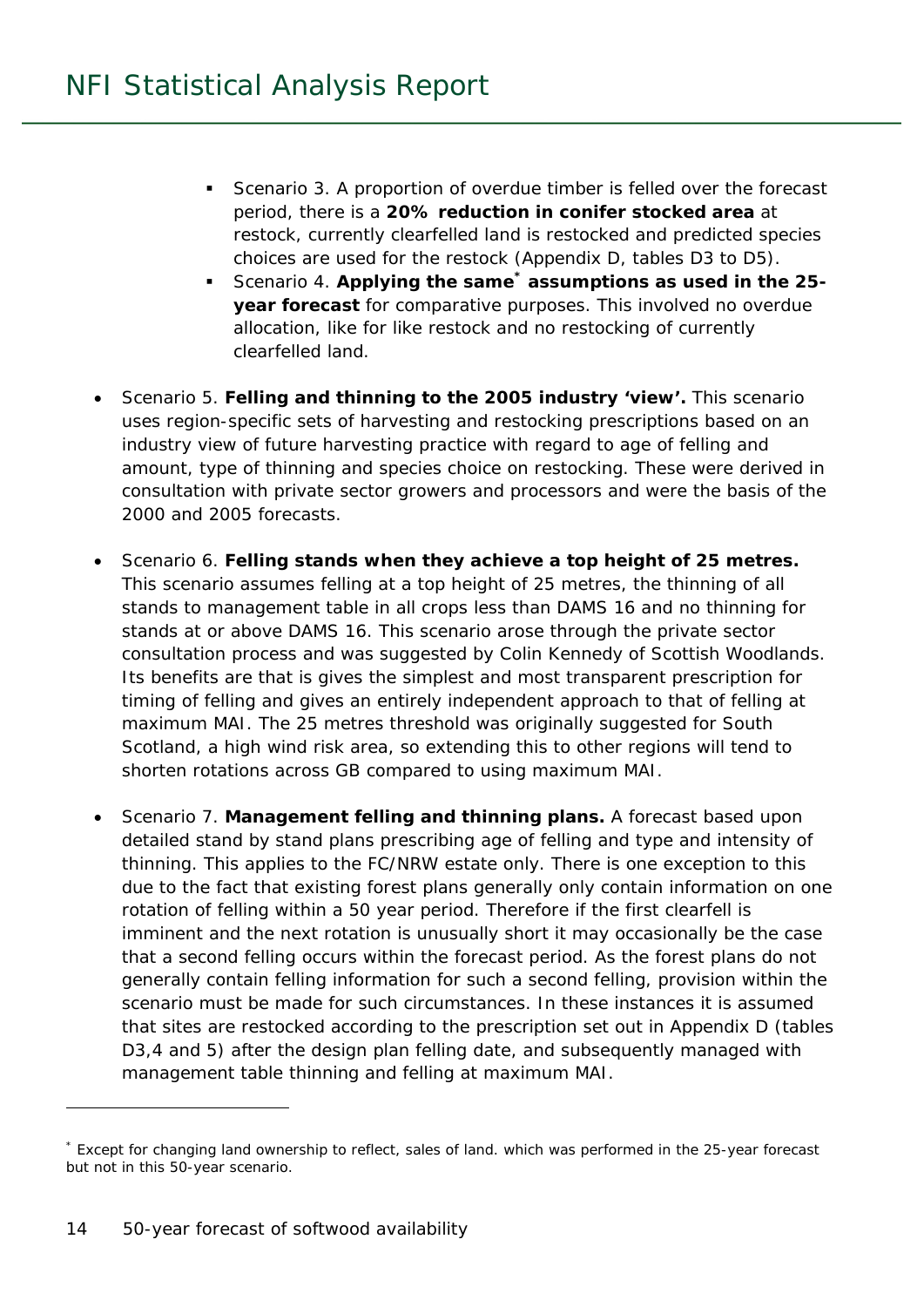- Scenario 3. A proportion of overdue timber is felled over the forecast period, there is a **20% reduction in conifer stocked area** at restock, currently clearfelled land is restocked and predicted species choices are used for the restock (Appendix D, tables D3 to D5).
- **Scenario 4. Applying the same<sup>\*</sup> assumptions as used in the 25year forecast** for comparative purposes. This involved no overdue allocation, like for like restock and no restocking of currently clearfelled land.
- Scenario 5. **Felling and thinning to the 2005 industry 'view'.** This scenario uses region-specific sets of harvesting and restocking prescriptions based on an industry view of future harvesting practice with regard to age of felling and amount, type of thinning and species choice on restocking. These were derived in consultation with private sector growers and processors and were the basis of the 2000 and 2005 forecasts.
- Scenario 6. **Felling stands when they achieve a top height of 25 metres.** This scenario assumes felling at a top height of 25 metres, the thinning of all stands to management table in all crops less than DAMS 16 and no thinning for stands at or above DAMS 16. This scenario arose through the private sector consultation process and was suggested by Colin Kennedy of Scottish Woodlands. Its benefits are that is gives the simplest and most transparent prescription for timing of felling and gives an entirely independent approach to that of felling at maximum MAI. The 25 metres threshold was originally suggested for South Scotland, a high wind risk area, so extending this to other regions will tend to shorten rotations across GB compared to using maximum MAI.
- Scenario 7. **Management felling and thinning plans.** A forecast based upon detailed stand by stand plans prescribing age of felling and type and intensity of thinning. This applies to the FC/NRW estate only. There is one exception to this due to the fact that existing forest plans generally only contain information on one rotation of felling within a 50 year period. Therefore if the first clearfell is imminent and the next rotation is unusually short it may occasionally be the case that a second felling occurs within the forecast period. As the forest plans do not generally contain felling information for such a second felling, provision within the scenario must be made for such circumstances. In these instances it is assumed that sites are restocked according to the prescription set out in Appendix D (tables D3,4 and 5) after the design plan felling date, and subsequently managed with management table thinning and felling at maximum MAI.

j

<sup>\*</sup> Except for changing land ownership to reflect, sales of land. which was performed in the 25-year forecast but not in this 50-year scenario.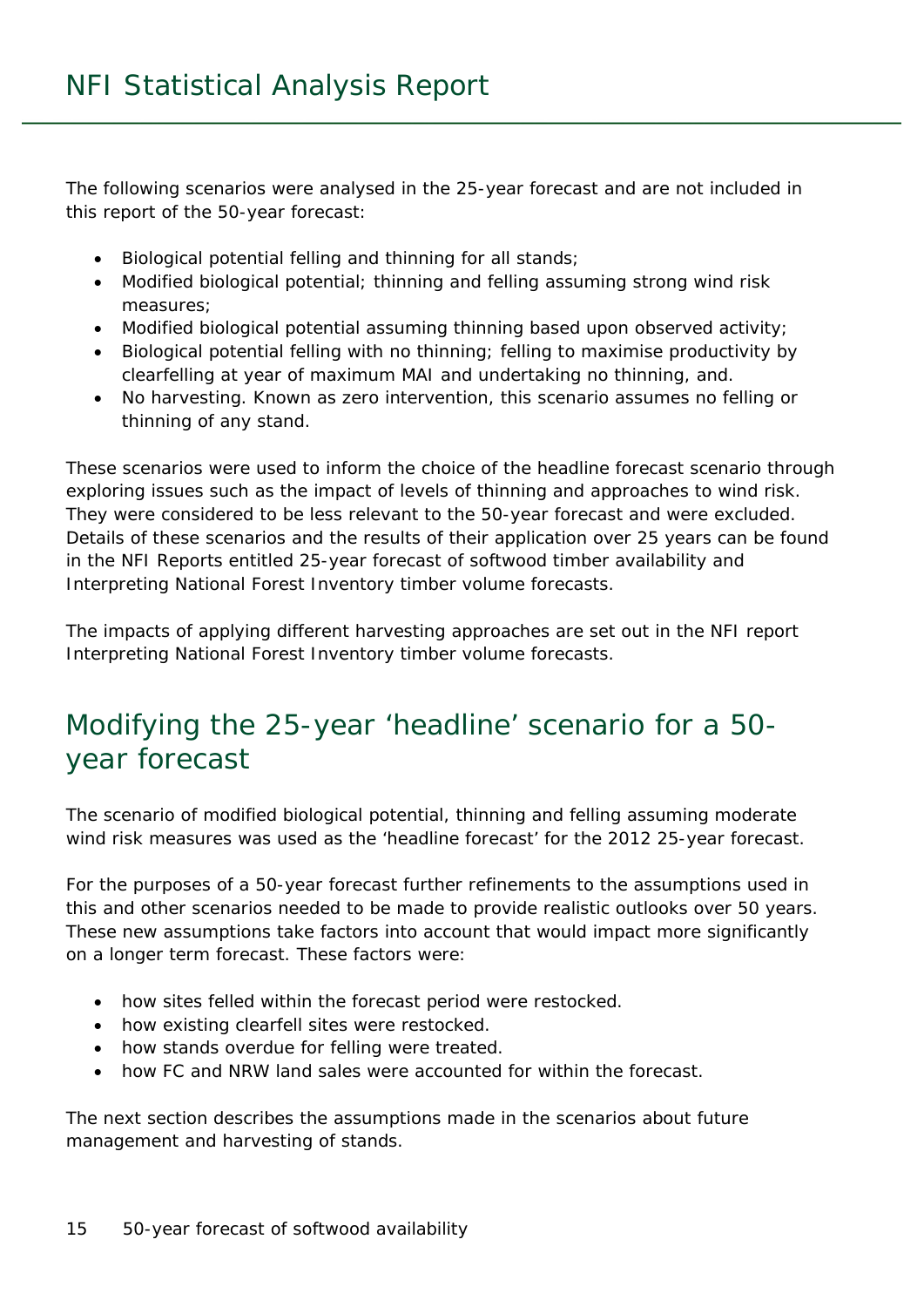The following scenarios were analysed in the 25-year forecast and are not included in this report of the 50-year forecast:

- Biological potential felling and thinning for all stands;
- Modified biological potential; thinning and felling assuming strong wind risk measures;
- Modified biological potential assuming thinning based upon observed activity;
- Biological potential felling with no thinning; felling to maximise productivity by clearfelling at year of maximum MAI and undertaking no thinning, and.
- No harvesting. Known as zero intervention, this scenario assumes no felling or thinning of any stand.

These scenarios were used to inform the choice of the headline forecast scenario through exploring issues such as the impact of levels of thinning and approaches to wind risk. They were considered to be less relevant to the 50-year forecast and were excluded. Details of these scenarios and the results of their application over 25 years can be found in the NFI Reports entitled *25-year forecast of softwood timber availability* and *Interpreting National Forest Inventory timber volume forecasts*.

The impacts of applying different harvesting approaches are set out in the NFI report *Interpreting National Forest Inventory timber volume forecasts*.

## Modifying the 25-year 'headline' scenario for a 50 year forecast

The scenario of modified biological potential, thinning and felling assuming moderate wind risk measures was used as the 'headline forecast' for the 2012 25-year forecast.

For the purposes of a 50-year forecast further refinements to the assumptions used in this and other scenarios needed to be made to provide realistic outlooks over 50 years. These new assumptions take factors into account that would impact more significantly on a longer term forecast. These factors were:

- how sites felled within the forecast period were restocked.
- how existing clearfell sites were restocked.
- how stands overdue for felling were treated.
- how FC and NRW land sales were accounted for within the forecast.

The next section describes the assumptions made in the scenarios about future management and harvesting of stands.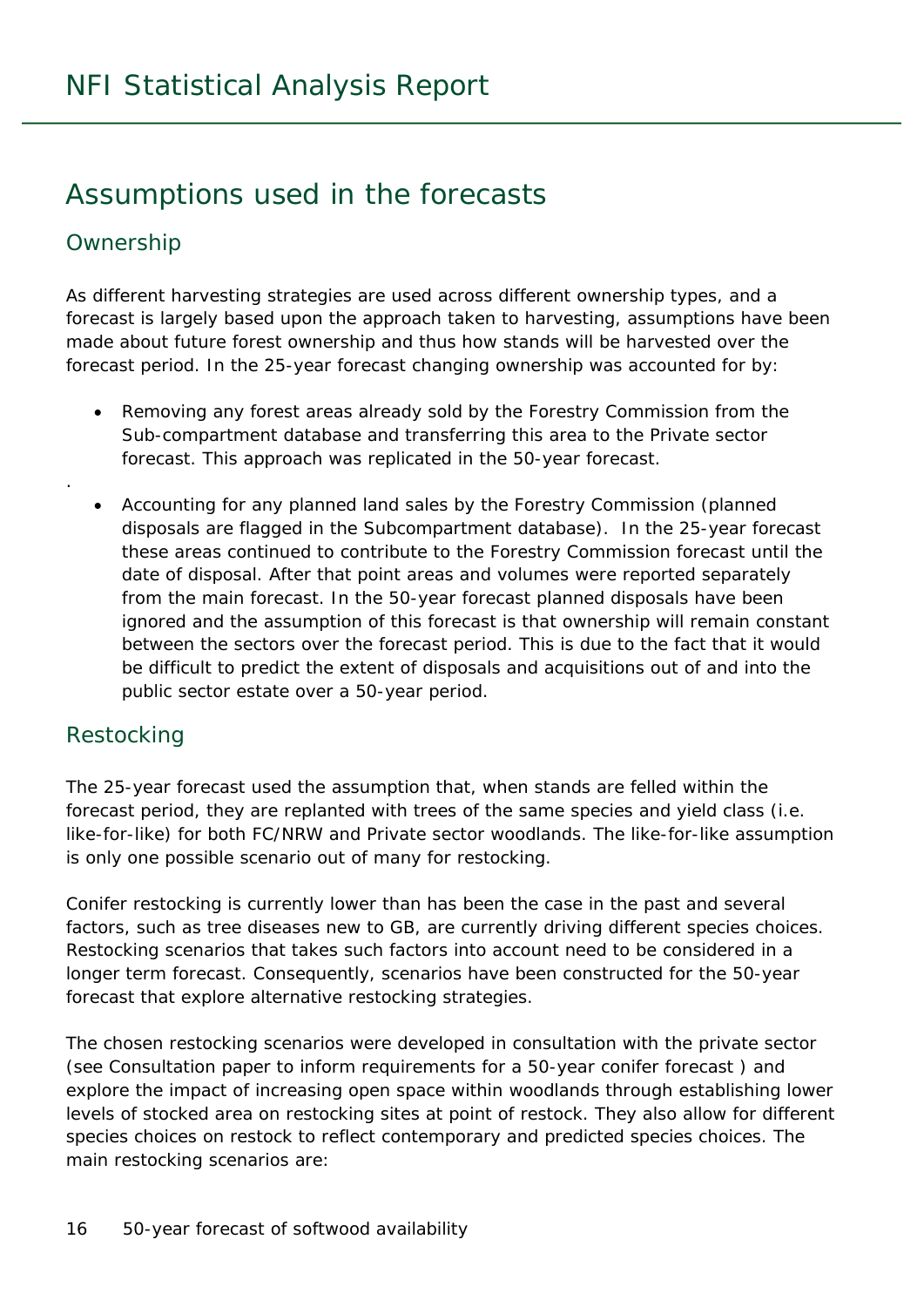### Assumptions used in the forecasts

#### Ownership

.

As different harvesting strategies are used across different ownership types, and a forecast is largely based upon the approach taken to harvesting, assumptions have been made about future forest ownership and thus how stands will be harvested over the forecast period. In the 25-year forecast changing ownership was accounted for by:

- Removing any forest areas already sold by the Forestry Commission from the Sub-compartment database and transferring this area to the Private sector forecast. This approach was replicated in the 50-year forecast.
- Accounting for any planned land sales by the Forestry Commission (planned disposals are flagged in the Subcompartment database). In the 25-year forecast these areas continued to contribute to the Forestry Commission forecast until the date of disposal. After that point areas and volumes were reported separately from the main forecast. In the 50-year forecast planned disposals have been ignored and the assumption of this forecast is that ownership will remain constant between the sectors over the forecast period. This is due to the fact that it would be difficult to predict the extent of disposals and acquisitions out of and into the public sector estate over a 50-year period.

#### Restocking

The 25-year forecast used the assumption that, when stands are felled within the forecast period, they are replanted with trees of the same species and yield class (i.e. like-for-like) for both FC/NRW and Private sector woodlands. The like-for-like assumption is only one possible scenario out of many for restocking.

Conifer restocking is currently lower than has been the case in the past and several factors, such as tree diseases new to GB, are currently driving different species choices. Restocking scenarios that takes such factors into account need to be considered in a longer term forecast. Consequently, scenarios have been constructed for the 50-year forecast that explore alternative restocking strategies.

The chosen restocking scenarios were developed in consultation with the private sector (see *Consultation paper to inform requirements for a 50-year conifer forecast* ) and explore the impact of increasing open space within woodlands through establishing lower levels of stocked area on restocking sites at point of restock. They also allow for different species choices on restock to reflect contemporary and predicted species choices. The main restocking scenarios are: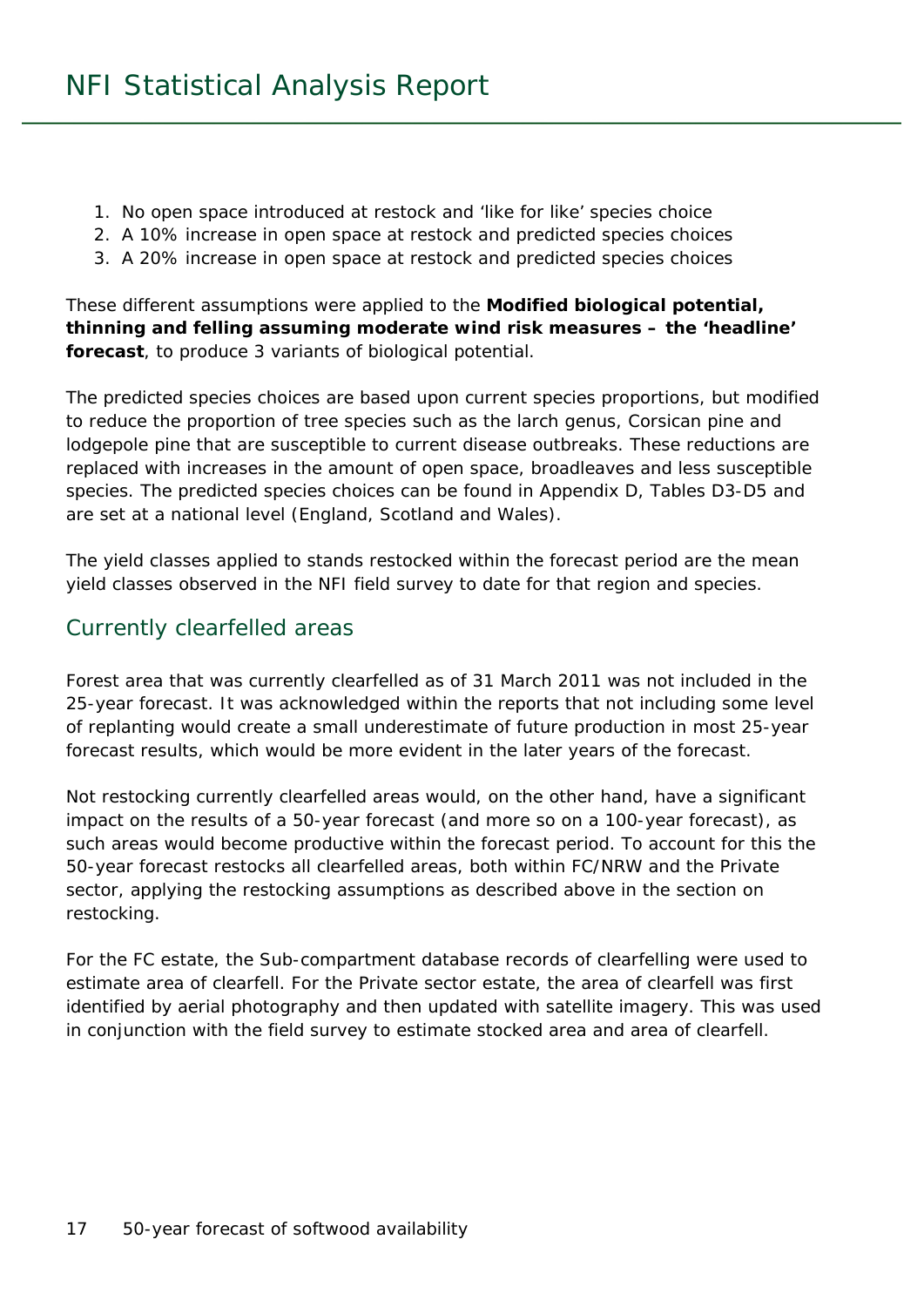- 1. No open space introduced at restock and 'like for like' species choice
- 2. A 10% increase in open space at restock and predicted species choices
- 3. A 20% increase in open space at restock and predicted species choices

These different assumptions were applied to the **Modified biological potential, thinning and felling assuming moderate wind risk measures – the 'headline' forecast**, to produce 3 variants of biological potential.

The predicted species choices are based upon current species proportions, but modified to reduce the proportion of tree species such as the larch genus, Corsican pine and lodgepole pine that are susceptible to current disease outbreaks. These reductions are replaced with increases in the amount of open space, broadleaves and less susceptible species. The predicted species choices can be found in Appendix D, Tables D3-D5 and are set at a national level (England, Scotland and Wales).

The yield classes applied to stands restocked within the forecast period are the mean yield classes observed in the NFI field survey to date for that region and species.

#### Currently clearfelled areas

Forest area that was currently clearfelled as of 31 March 2011 was not included in the 25-year forecast. It was acknowledged within the reports that not including some level of replanting would create a small underestimate of future production in most 25-year forecast results, which would be more evident in the later years of the forecast.

Not restocking currently clearfelled areas would, on the other hand, have a significant impact on the results of a 50-year forecast (and more so on a 100-year forecast), as such areas would become productive within the forecast period. To account for this the 50-year forecast restocks all clearfelled areas, both within FC/NRW and the Private sector, applying the restocking assumptions as described above in the section on restocking.

For the FC estate, the Sub-compartment database records of clearfelling were used to estimate area of clearfell. For the Private sector estate, the area of clearfell was first identified by aerial photography and then updated with satellite imagery. This was used in conjunction with the field survey to estimate stocked area and area of clearfell.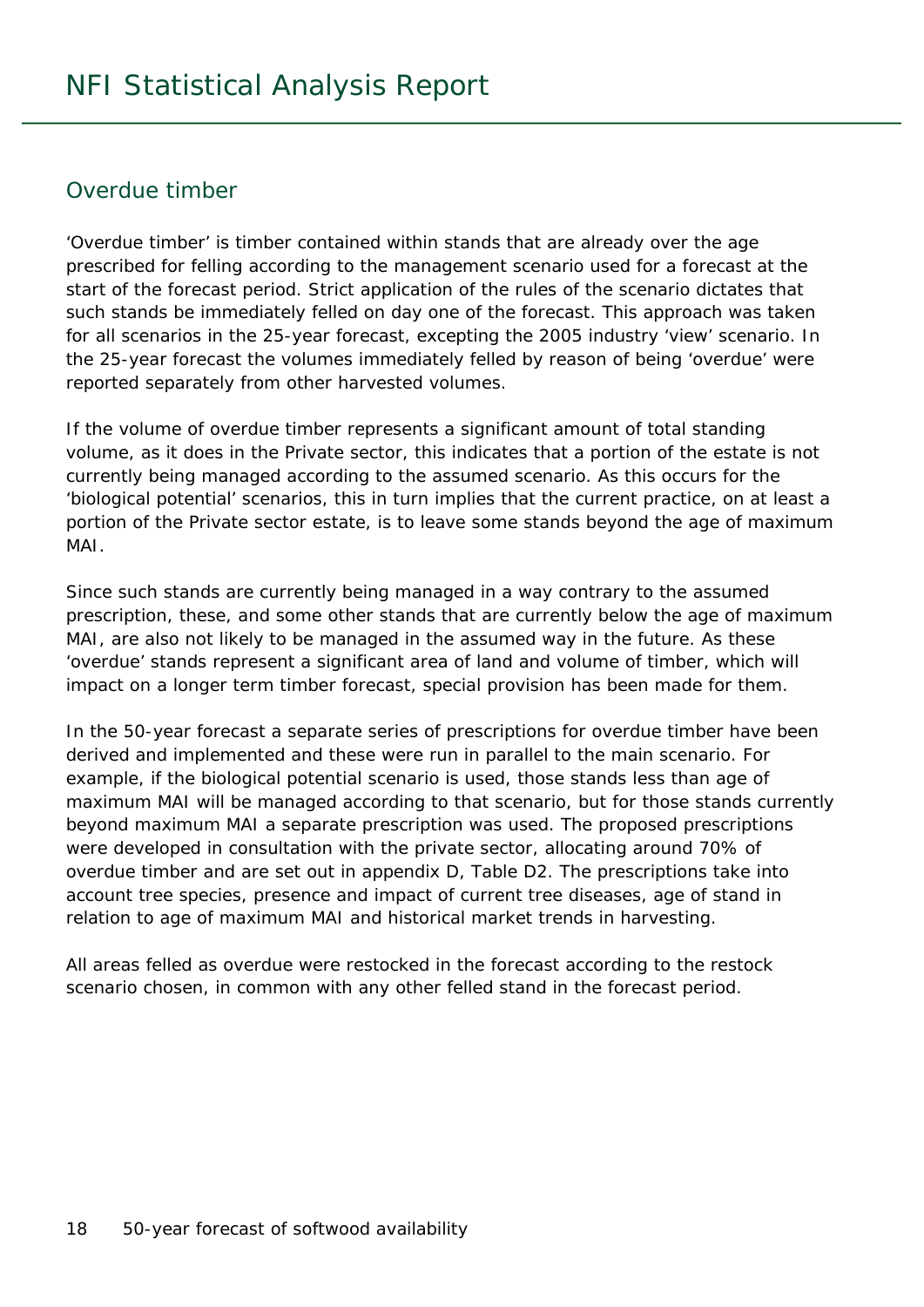#### Overdue timber

'Overdue timber' is timber contained within stands that are already over the age prescribed for felling according to the management scenario used for a forecast at the start of the forecast period. Strict application of the rules of the scenario dictates that such stands be immediately felled on day one of the forecast. This approach was taken for all scenarios in the 25-year forecast, excepting the 2005 industry 'view' scenario. In the 25-year forecast the volumes immediately felled by reason of being 'overdue' were reported separately from other harvested volumes.

If the volume of overdue timber represents a significant amount of total standing volume, as it does in the Private sector, this indicates that a portion of the estate is not currently being managed according to the assumed scenario. As this occurs for the 'biological potential' scenarios, this in turn implies that the current practice, on at least a portion of the Private sector estate, is to leave some stands beyond the age of maximum MAI.

Since such stands are currently being managed in a way contrary to the assumed prescription, these, and some other stands that are currently below the age of maximum MAI, are also not likely to be managed in the assumed way in the future. As these 'overdue' stands represent a significant area of land and volume of timber, which will impact on a longer term timber forecast, special provision has been made for them.

In the 50-year forecast a separate series of prescriptions for overdue timber have been derived and implemented and these were run in parallel to the main scenario. For example, if the biological potential scenario is used, those stands less than age of maximum MAI will be managed according to that scenario, but for those stands currently beyond maximum MAI a separate prescription was used. The proposed prescriptions were developed in consultation with the private sector, allocating around 70% of overdue timber and are set out in appendix D, Table D2. The prescriptions take into account tree species, presence and impact of current tree diseases, age of stand in relation to age of maximum MAI and historical market trends in harvesting.

All areas felled as overdue were restocked in the forecast according to the restock scenario chosen, in common with any other felled stand in the forecast period.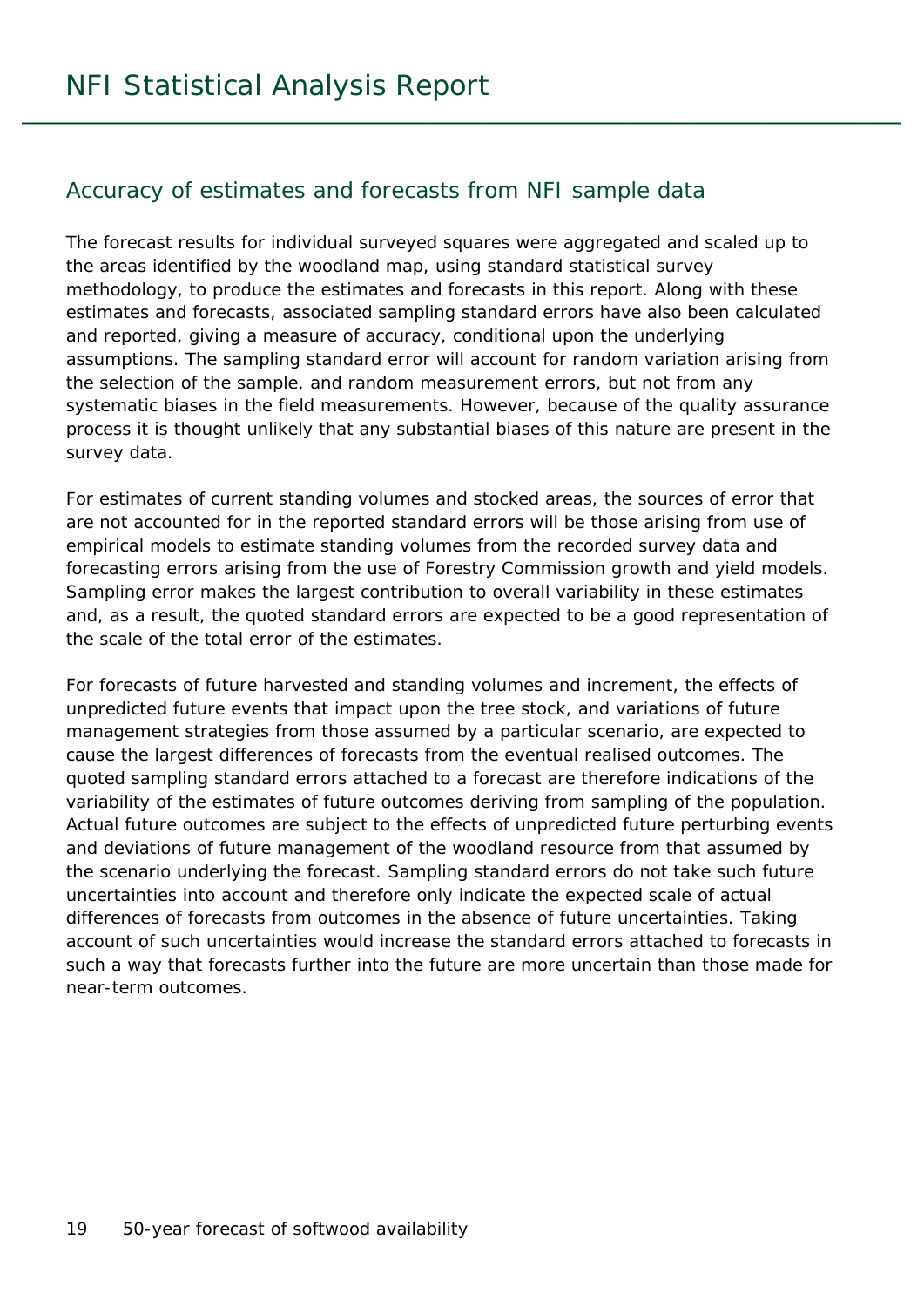#### Accuracy of estimates and forecasts from NFI sample data

The forecast results for individual surveyed squares were aggregated and scaled up to the areas identified by the woodland map, using standard statistical survey methodology, to produce the estimates and forecasts in this report. Along with these estimates and forecasts, associated sampling standard errors have also been calculated and reported, giving a measure of accuracy, conditional upon the underlying assumptions. The sampling standard error will account for random variation arising from the selection of the sample, and random measurement errors, but not from any systematic biases in the field measurements. However, because of the quality assurance process it is thought unlikely that any substantial biases of this nature are present in the survey data.

For estimates of current standing volumes and stocked areas, the sources of error that are not accounted for in the reported standard errors will be those arising from use of empirical models to estimate standing volumes from the recorded survey data and forecasting errors arising from the use of Forestry Commission growth and yield models. Sampling error makes the largest contribution to overall variability in these estimates and, as a result, the quoted standard errors are expected to be a good representation of the scale of the total error of the estimates.

For forecasts of future harvested and standing volumes and increment, the effects of unpredicted future events that impact upon the tree stock, and variations of future management strategies from those assumed by a particular scenario, are expected to cause the largest differences of forecasts from the eventual realised outcomes. The quoted sampling standard errors attached to a forecast are therefore indications of the variability of the estimates of future outcomes deriving from sampling of the population. Actual future outcomes are subject to the effects of unpredicted future perturbing events and deviations of future management of the woodland resource from that assumed by the scenario underlying the forecast. Sampling standard errors do not take such future uncertainties into account and therefore only indicate the expected scale of actual differences of forecasts from outcomes in the absence of future uncertainties. Taking account of such uncertainties would increase the standard errors attached to forecasts in such a way that forecasts further into the future are more uncertain than those made for near-term outcomes.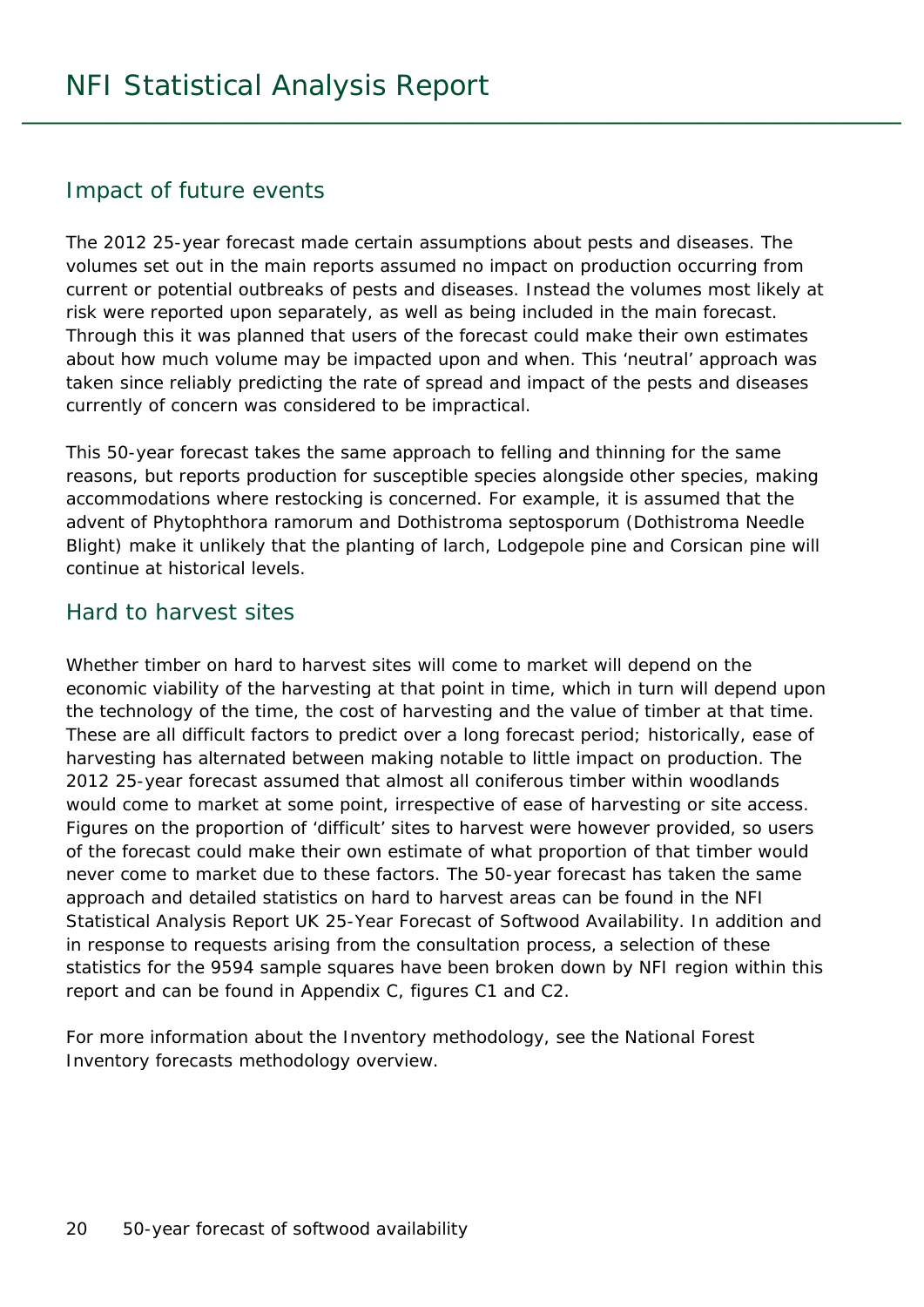#### Impact of future events

The 2012 25-year forecast made certain assumptions about pests and diseases. The volumes set out in the main reports assumed no impact on production occurring from current or potential outbreaks of pests and diseases. Instead the volumes most likely at risk were reported upon separately, as well as being included in the main forecast. Through this it was planned that users of the forecast could make their own estimates about how much volume may be impacted upon and when. This 'neutral' approach was taken since reliably predicting the rate of spread and impact of the pests and diseases currently of concern was considered to be impractical.

This 50-year forecast takes the same approach to felling and thinning for the same reasons, but reports production for susceptible species alongside other species, making accommodations where restocking is concerned. For example, it is assumed that the advent of *Phytophthora ramorum* and *Dothistroma septosporum* (Dothistroma Needle Blight) make it unlikely that the planting of larch, Lodgepole pine and Corsican pine will continue at historical levels.

#### Hard to harvest sites

Whether timber on hard to harvest sites will come to market will depend on the economic viability of the harvesting at that point in time, which in turn will depend upon the technology of the time, the cost of harvesting and the value of timber at that time. These are all difficult factors to predict over a long forecast period; historically, ease of harvesting has alternated between making notable to little impact on production. The 2012 25-year forecast assumed that almost all coniferous timber within woodlands would come to market at some point, irrespective of ease of harvesting or site access. Figures on the proportion of 'difficult' sites to harvest were however provided, so users of the forecast could make their own estimate of what proportion of that timber would never come to market due to these factors. The 50-year forecast has taken the same approach and detailed statistics on hard to harvest areas can be found in the NFI Statistical Analysis Report *UK 25-Year Forecast of Softwood Availability*. In addition and in response to requests arising from the consultation process, a selection of these statistics for the 9594 sample squares have been broken down by NFI region within this report and can be found in Appendix C, figures C1 and C2.

For more information about the Inventory methodology, see the *National Forest Inventory forecasts methodology overview*.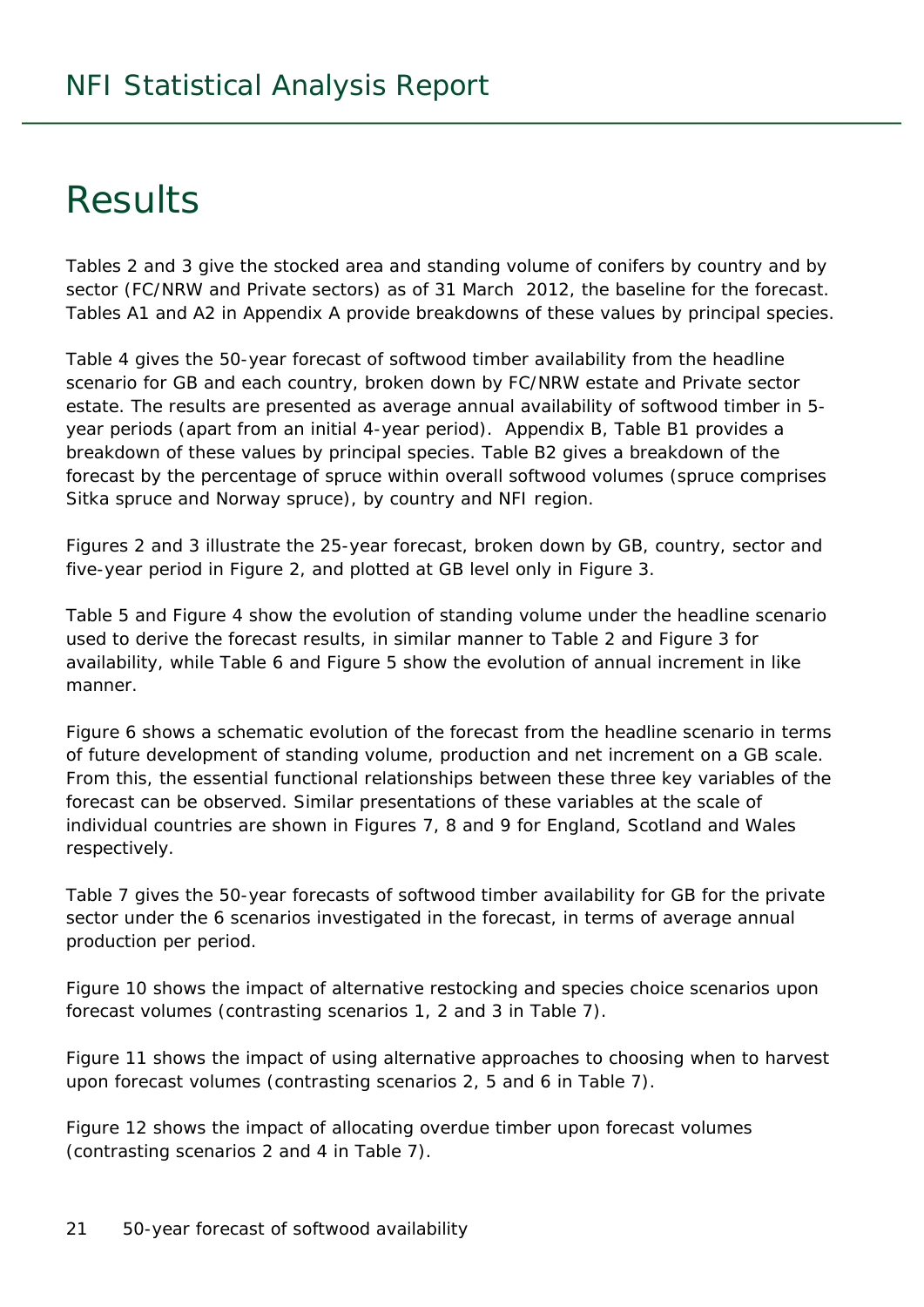## Results

Tables 2 and 3 give the stocked area and standing volume of conifers by country and by sector (FC/NRW and Private sectors) as of 31 March 2012, the baseline for the forecast. Tables A1 and A2 in Appendix A provide breakdowns of these values by principal species.

Table 4 gives the 50-year forecast of softwood timber availability from the headline scenario for GB and each country, broken down by FC/NRW estate and Private sector estate. The results are presented as average annual availability of softwood timber in 5 year periods (apart from an initial 4-year period). Appendix B, Table B1 provides a breakdown of these values by principal species. Table B2 gives a breakdown of the forecast by the percentage of spruce within overall softwood volumes (spruce comprises Sitka spruce and Norway spruce), by country and NFI region.

Figures 2 and 3 illustrate the 25-year forecast, broken down by GB, country, sector and five-year period in Figure 2, and plotted at GB level only in Figure 3.

Table 5 and Figure 4 show the evolution of standing volume under the headline scenario used to derive the forecast results, in similar manner to Table 2 and Figure 3 for availability, while Table 6 and Figure 5 show the evolution of annual increment in like manner.

Figure 6 shows a schematic evolution of the forecast from the headline scenario in terms of future development of standing volume, production and net increment on a GB scale. From this, the essential functional relationships between these three key variables of the forecast can be observed. Similar presentations of these variables at the scale of individual countries are shown in Figures 7, 8 and 9 for England, Scotland and Wales respectively.

Table 7 gives the 50-year forecasts of softwood timber availability for GB for the private sector under the 6 scenarios investigated in the forecast, in terms of average annual production per period.

Figure 10 shows the impact of alternative restocking and species choice scenarios upon forecast volumes (contrasting scenarios 1, 2 and 3 in Table 7).

Figure 11 shows the impact of using alternative approaches to choosing when to harvest upon forecast volumes (contrasting scenarios 2, 5 and 6 in Table 7).

Figure 12 shows the impact of allocating overdue timber upon forecast volumes (contrasting scenarios 2 and 4 in Table 7).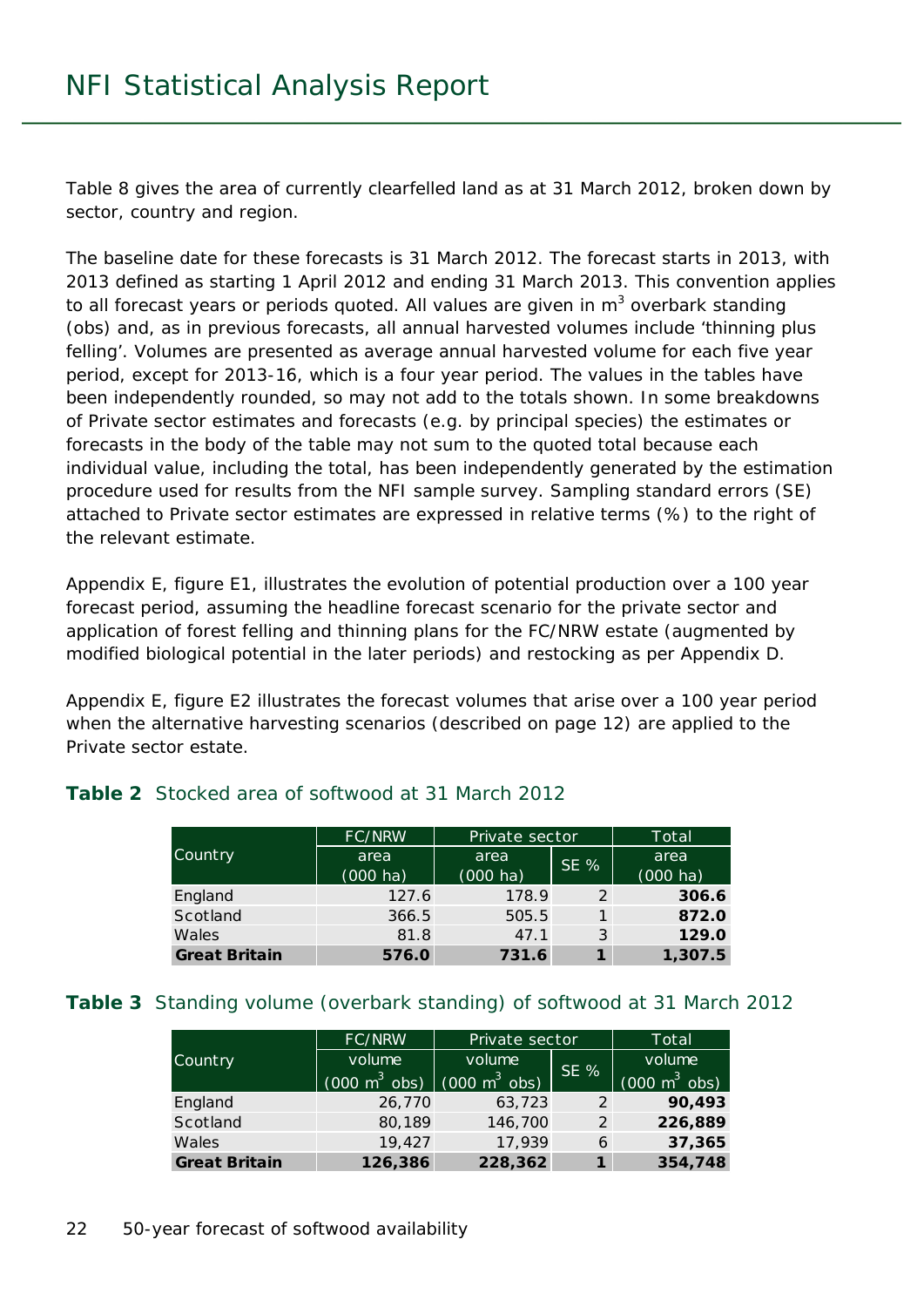Table 8 gives the area of currently clearfelled land as at 31 March 2012, broken down by sector, country and region.

The baseline date for these forecasts is 31 March 2012. The forecast starts in 2013, with 2013 defined as starting 1 April 2012 and ending 31 March 2013. This convention applies to all forecast years or periods quoted. All values are given in  $m^3$  overbark standing (obs) and, as in previous forecasts, all annual harvested volumes include 'thinning plus felling'. Volumes are presented as average annual harvested volume for each five year period, except for 2013-16, which is a four year period. The values in the tables have been independently rounded, so may not add to the totals shown. In some breakdowns of Private sector estimates and forecasts (e.g. by principal species) the estimates or forecasts in the body of the table may not sum to the quoted total because each individual value, including the total, has been independently generated by the estimation procedure used for results from the NFI sample survey. Sampling standard errors (SE) attached to Private sector estimates are expressed in relative terms (%) to the right of the relevant estimate.

Appendix E, figure E1, illustrates the evolution of potential production over a 100 year forecast period, assuming the headline forecast scenario for the private sector and application of forest felling and thinning plans for the FC/NRW estate (augmented by modified biological potential in the later periods) and restocking as per Appendix D.

Appendix E, figure E2 illustrates the forecast volumes that arise over a 100 year period when the alternative harvesting scenarios (described on page 12) are applied to the Private sector estate.

|  | <b>Table 2</b> Stocked area of softwood at 31 March 2012 |
|--|----------------------------------------------------------|
|  |                                                          |

|                      | FC/NRW                     | Private sector             |        | Total                      |
|----------------------|----------------------------|----------------------------|--------|----------------------------|
| Country              | area<br>$(000 \text{ ha})$ | area<br>$(000 \text{ ha})$ | $SE$ % | area<br>$(000 \text{ ha})$ |
| England              | 127.6                      | 178.9                      | 2      | 306.6                      |
| Scotland             | 366.5                      | 505.5                      |        | 872.0                      |
| Wales                | 81.8                       | 47.1                       | 3      | 129.0                      |
| <b>Great Britain</b> | 576.0                      | 731.6                      |        | 1,307.5                    |

#### **Table 3** Standing volume (overbark standing) of softwood at 31 March 2012

|                      | FC/NRW                                                          | Private sector | Total  |                                 |
|----------------------|-----------------------------------------------------------------|----------------|--------|---------------------------------|
| Country              | volume                                                          | volume         |        | volume                          |
|                      | $(000 \text{ m}^3 \text{ obs})$ $(000 \text{ m}^3 \text{ obs})$ |                | $SE$ % | $(000 \text{ m}^3 \text{ obs})$ |
| England              | 26,770                                                          | 63,723         | 2      | 90,493                          |
| Scotland             | 80,189                                                          | 146,700        | 2      | 226,889                         |
| Wales                | 19,427                                                          | 17,939         | 6      | 37,365                          |
| <b>Great Britain</b> | 126,386                                                         | 228,362        | 1      | 354,748                         |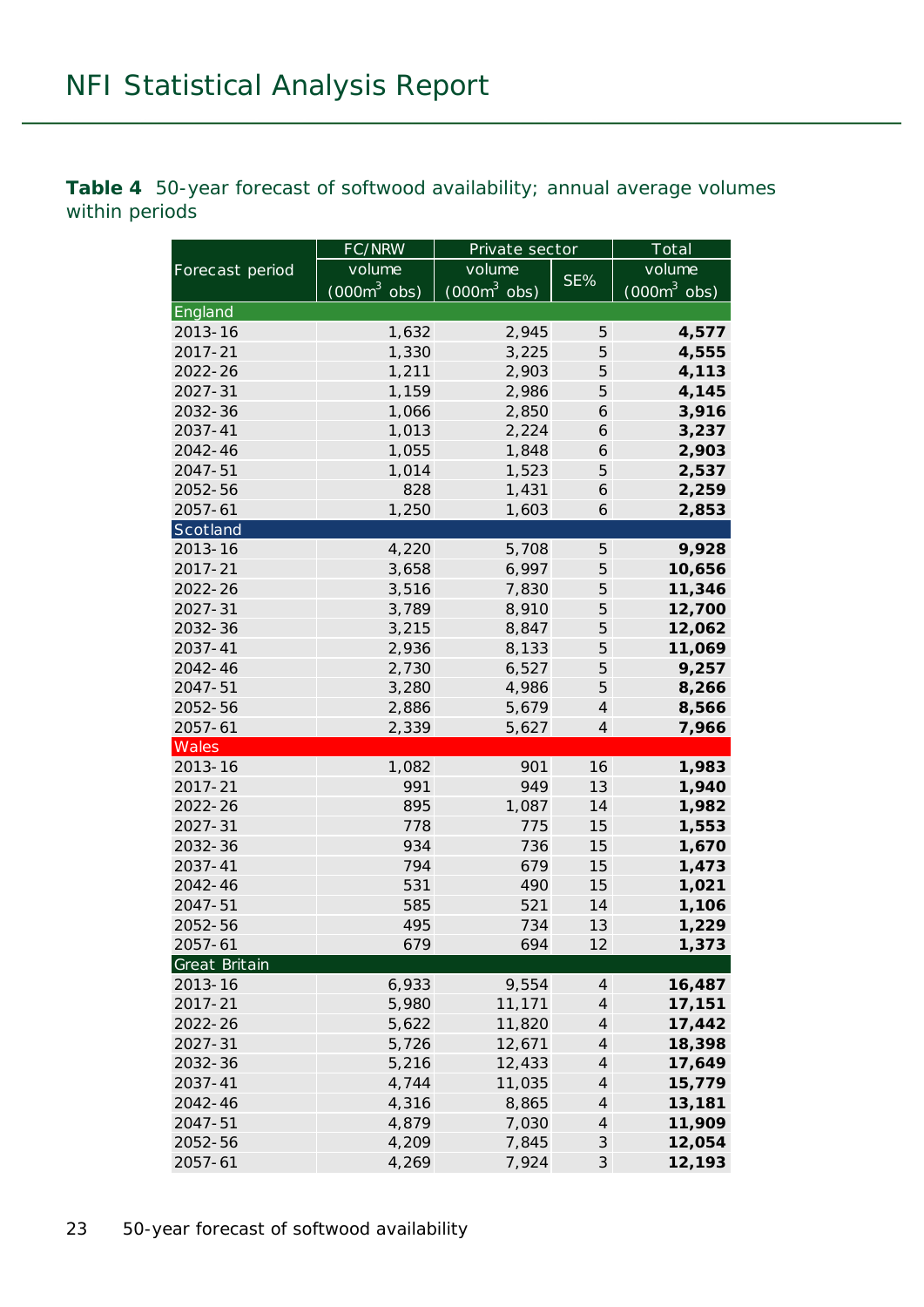**Table 4** 50-year forecast of softwood availability; annual average volumes within periods

|                 | FC/NRW                 | Private sector | Total                       |                |
|-----------------|------------------------|----------------|-----------------------------|----------------|
| Forecast period | volume                 | volume         |                             | volume         |
|                 | $(000m^3 \text{ obs})$ | $(000m^3$ obs) | SE%                         | $(000m^3$ obs) |
| England         |                        |                |                             |                |
| 2013-16         | 1,632                  | 2,945          | 5                           | 4,577          |
| 2017-21         | 1,330                  | 3,225          | 5                           | 4,555          |
| 2022-26         | 1,211                  | 2,903          | 5                           | 4,113          |
| 2027-31         | 1,159                  | 2,986          | 5                           | 4,145          |
| 2032-36         | 1,066                  | 2,850          | 6                           | 3,916          |
| 2037-41         | 1,013                  | 2,224          | 6                           | 3,237          |
| 2042-46         | 1,055                  | 1,848          | 6                           | 2,903          |
| 2047-51         | 1,014                  | 1,523          | 5                           | 2,537          |
| 2052-56         | 828                    | 1,431          | 6                           | 2,259          |
| $2057 - 61$     | 1,250                  | 1,603          | 6                           | 2,853          |
| Scotland        |                        |                |                             |                |
| 2013-16         | 4,220                  | 5,708          | 5                           | 9,928          |
| 2017-21         | 3,658                  | 6,997          | 5                           | 10,656         |
| 2022-26         | 3,516                  | 7,830          | 5                           | 11,346         |
| 2027-31         | 3,789                  | 8,910          | 5                           | 12,700         |
| 2032-36         | 3,215                  | 8,847          | 5                           | 12,062         |
| 2037-41         | 2,936                  | 8,133          | 5                           | 11,069         |
| 2042-46         | 2,730                  | 6,527          | 5                           | 9,257          |
| 2047-51         | 3,280                  | 4,986          | 5                           | 8,266          |
| 2052-56         | 2,886                  | 5,679          | $\overline{4}$              | 8,566          |
| $2057 - 61$     | 2,339                  | 5,627          | $\overline{4}$              | 7,966          |
| Wales           |                        |                |                             |                |
| 2013-16         | 1,082                  | 901            | 16                          | 1,983          |
| 2017-21         | 991                    | 949            | 13                          | 1,940          |
| 2022-26         | 895                    | 1,087          | 14                          | 1,982          |
| 2027-31         | 778                    | 775            | 15                          | 1,553          |
| 2032-36         | 934                    | 736            | 15                          | 1,670          |
| 2037-41         | 794                    | 679            | 15                          | 1,473          |
| 2042-46         | 531                    | 490            | 15                          | 1,021          |
| 2047-51         | 585                    | 521            | 14                          | 1,106          |
| 2052-56         | 495                    | 734            | 13                          | 1,229          |
| $2057 - 61$     | 679                    | 694            | 12                          | 1,373          |
| Great Britain   |                        |                |                             |                |
| 2013-16         | 6,933                  | 9,554          | $\overline{4}$              | 16,487         |
| 2017-21         | 5,980                  | 11,171         | $\overline{4}$              | 17,151         |
| 2022-26         | 5,622                  | 11,820         | $\overline{4}$              | 17,442         |
| 2027-31         | 5,726                  | 12,671         | $\overline{4}$              | 18,398         |
| 2032-36         | 5,216                  | 12,433         | $\overline{4}$              | 17,649         |
| 2037-41         | 4,744                  | 11,035         | $\overline{4}$              | 15,779         |
| 2042-46         | 4,316                  | 8,865          | $\overline{4}$              | 13,181         |
| 2047-51         | 4,879                  | 7,030          | $\boldsymbol{4}$            | 11,909         |
| 2052-56         | 4,209                  | 7,845          | $\ensuremath{\mathcal{S}}$  | 12,054         |
| 2057-61         | 4,269                  | 7,924          | $\mathcal{S}_{\mathcal{S}}$ | 12,193         |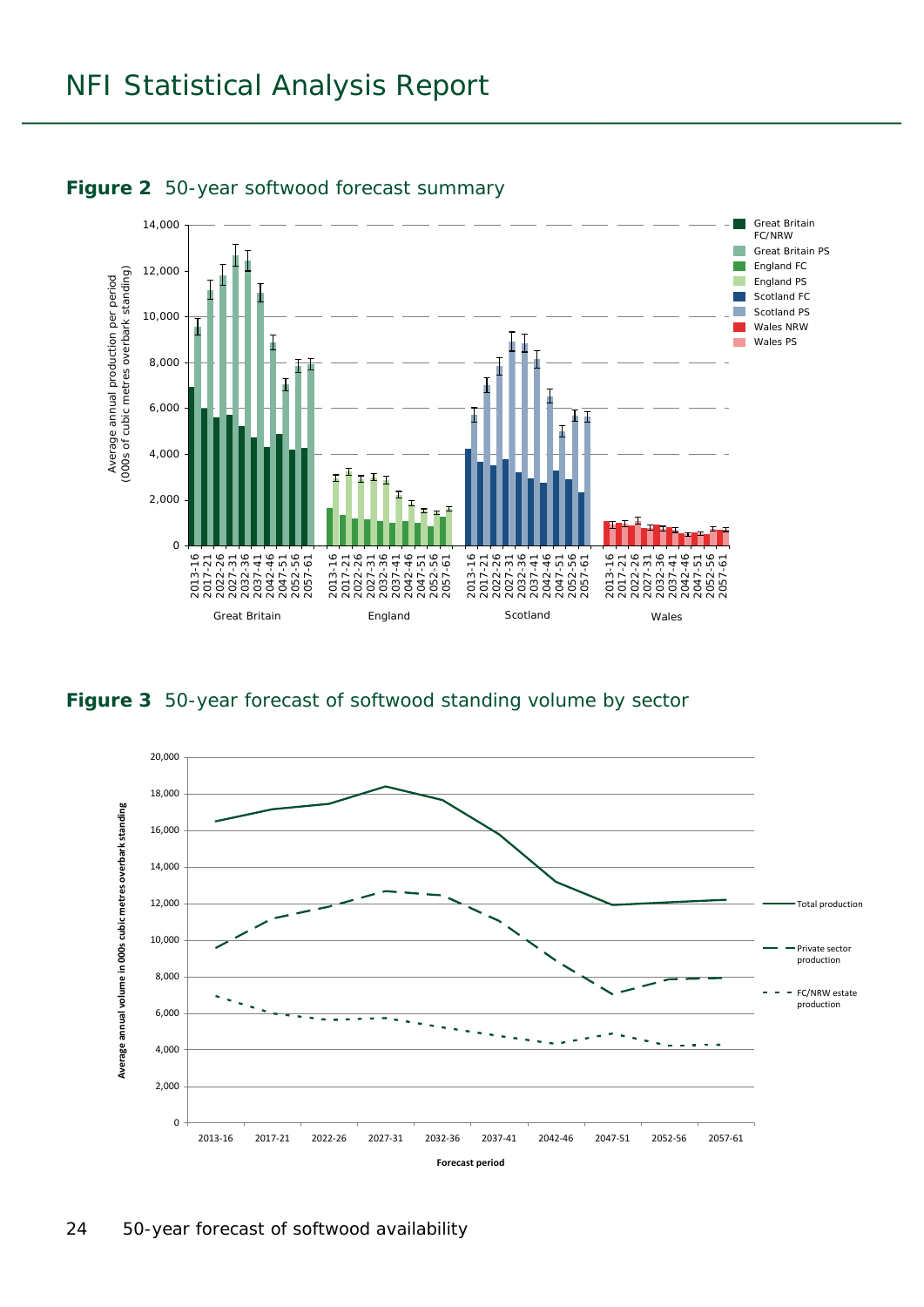



#### **Figure 3** 50-year forecast of softwood standing volume by sector

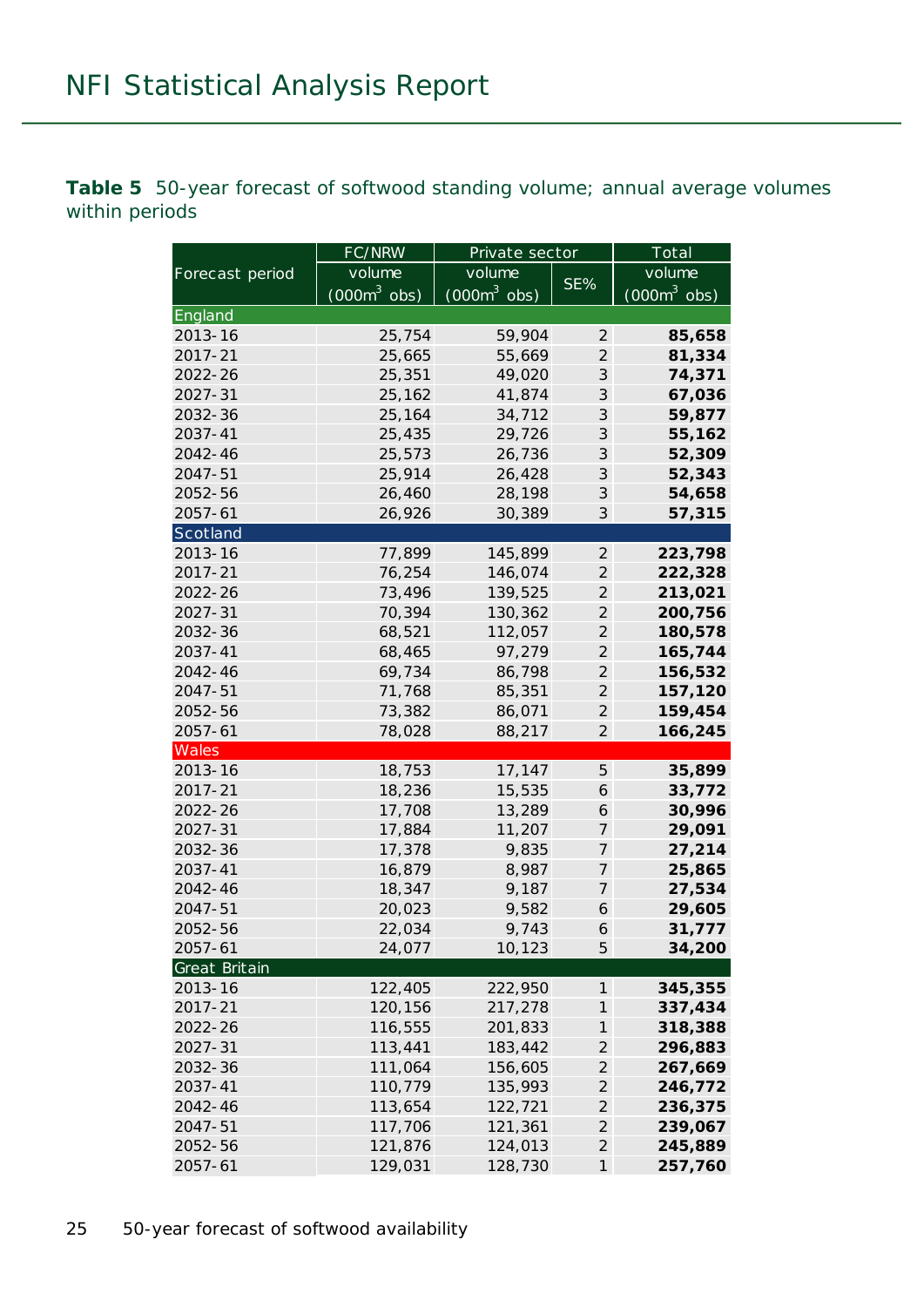**Table 5** 50-year forecast of softwood standing volume; annual average volumes within periods

|                 | FC/NRW                 | Private sector | Total                       |                |
|-----------------|------------------------|----------------|-----------------------------|----------------|
| Forecast period | volume                 | volume         |                             | volume         |
|                 | $(000m^3 \text{ obs})$ | $(000m^3$ obs) | SE%                         | $(000m^3$ obs) |
| England         |                        |                |                             |                |
| 2013-16         | 25,754                 | 59,904         | 2                           | 85,658         |
| 2017-21         | 25,665                 | 55,669         | $\mathcal{L}_{\mathcal{L}}$ | 81,334         |
| 2022-26         | 25,351                 | 49,020         | 3                           | 74,371         |
| 2027-31         | 25,162                 | 41,874         | 3                           | 67,036         |
| 2032-36         | 25,164                 | 34,712         | 3                           | 59,877         |
| 2037-41         | 25,435                 | 29,726         | 3                           | 55,162         |
| 2042-46         | 25,573                 | 26,736         | 3                           | 52,309         |
| 2047-51         | 25,914                 | 26,428         | 3                           | 52,343         |
| 2052-56         | 26,460                 | 28,198         | 3                           | 54,658         |
| $2057 - 61$     | 26,926                 | 30,389         | 3                           | 57,315         |
| Scotland        |                        |                |                             |                |
| 2013-16         | 77,899                 | 145,899        | $\mathcal{Z}_{\mathcal{C}}$ | 223,798        |
| 2017-21         | 76,254                 | 146,074        | $\mathfrak{2}$              | 222,328        |
| 2022-26         | 73,496                 | 139,525        | $\mathcal{L}_{\mathcal{L}}$ | 213,021        |
| 2027-31         | 70,394                 | 130,362        | $\overline{2}$              | 200,756        |
| 2032-36         | 68,521                 | 112,057        | $\mathcal{L}_{\mathcal{L}}$ | 180,578        |
| 2037-41         | 68,465                 | 97,279         | $\mathcal{L}_{\mathcal{L}}$ | 165,744        |
| 2042-46         | 69,734                 | 86,798         | $\mathcal{L}_{\mathcal{L}}$ | 156,532        |
| 2047-51         | 71,768                 | 85,351         | $\overline{2}$              | 157,120        |
| 2052-56         | 73,382                 | 86,071         | $\overline{2}$              | 159,454        |
| 2057-61         | 78,028                 | 88,217         | $\mathfrak{2}$              | 166,245        |
| Wales           |                        |                |                             |                |
| 2013-16         | 18,753                 | 17,147         | $\sqrt{5}$                  | 35,899         |
| 2017-21         | 18,236                 | 15,535         | 6                           | 33,772         |
| 2022-26         | 17,708                 | 13,289         | 6                           | 30,996         |
| 2027-31         | 17,884                 | 11,207         | $\boldsymbol{7}$            | 29,091         |
| 2032-36         | 17,378                 | 9,835          | 7                           | 27,214         |
| 2037-41         | 16,879                 | 8,987          | $\boldsymbol{7}$            | 25,865         |
| 2042-46         | 18,347                 | 9,187          | 7                           | 27,534         |
| 2047-51         | 20,023                 | 9,582          | 6                           | 29,605         |
| 2052-56         | 22,034                 | 9,743          | 6                           | 31,777         |
| $2057 - 61$     | 24,077                 | 10,123         | 5                           | 34,200         |
| Great Britain   |                        |                |                             |                |
| 2013-16         | 122,405                | 222,950        | 1                           | 345,355        |
| 2017-21         | 120,156                | 217,278        | $\boldsymbol{\eta}$         | 337,434        |
| 2022-26         | 116,555                | 201,833        | 1                           | 318,388        |
| 2027-31         | 113,441                | 183,442        | $\mathfrak{2}$              | 296,883        |
| 2032-36         | 111,064                | 156,605        | $\mathcal{Z}_{\mathcal{C}}$ | 267,669        |
| 2037-41         | 110,779                | 135,993        | $\mathfrak{2}$              | 246,772        |
| 2042-46         | 113,654                | 122,721        | $\mathcal{L}_{\mathcal{L}}$ | 236,375        |
| 2047-51         | 117,706                | 121,361        | $\mathfrak{2}$              | 239,067        |
| 2052-56         | 121,876                | 124,013        | $\mathcal{L}_{\mathcal{L}}$ | 245,889        |
| $2057 - 61$     | 129,031                | 128,730        | $\mathcal{I}$               | 257,760        |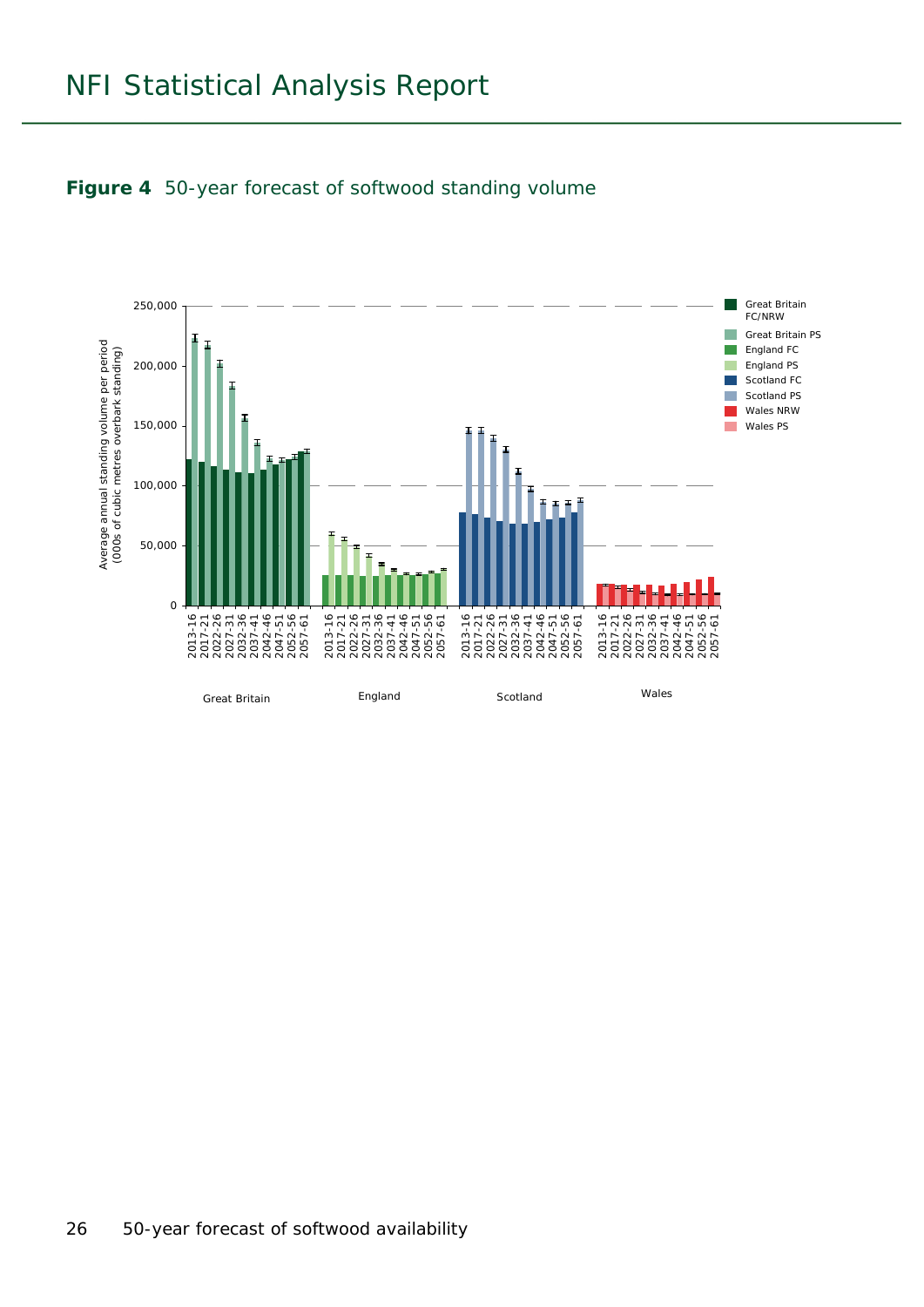

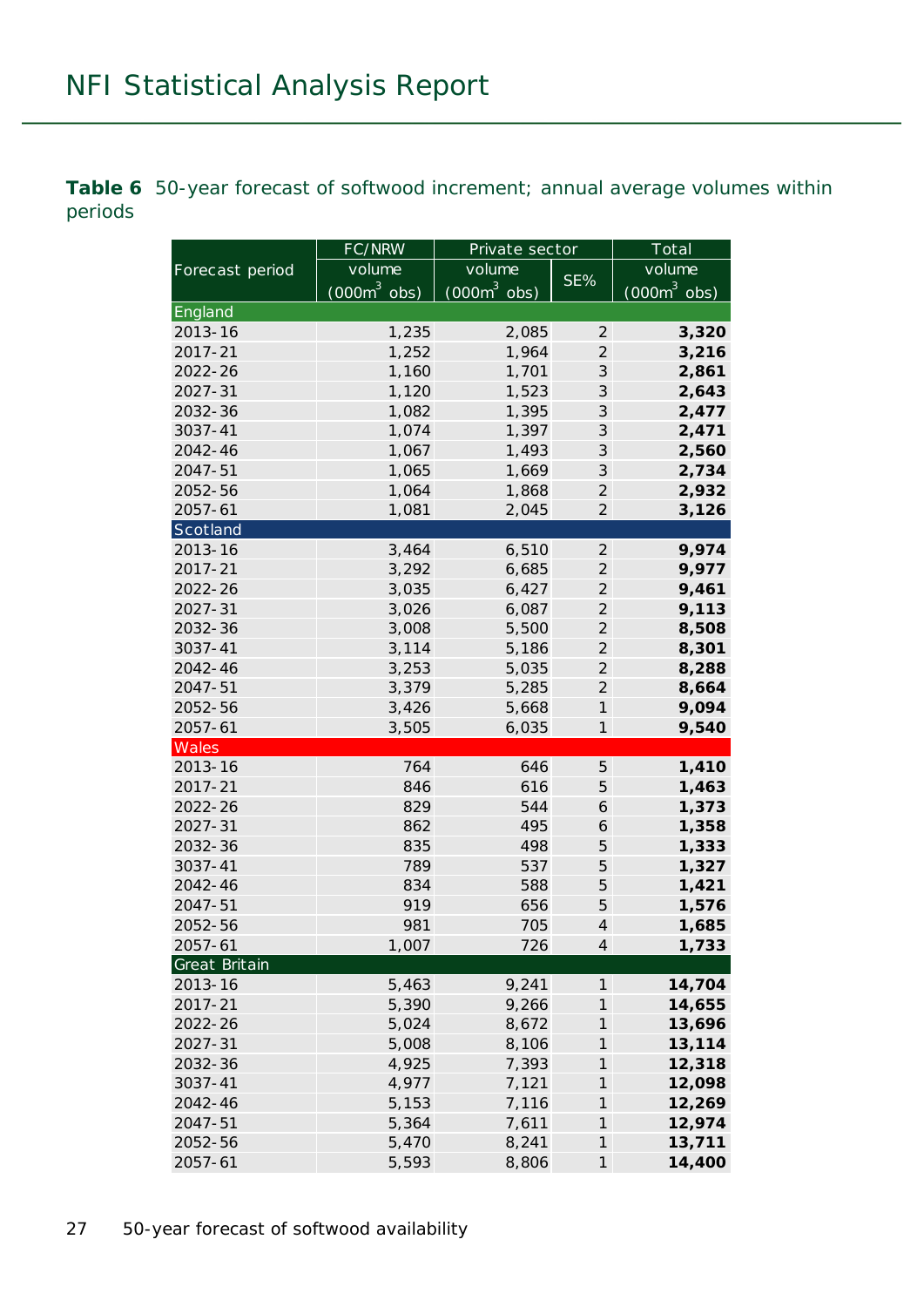**Table 6** 50-year forecast of softwood increment; annual average volumes within periods

|                 | FC/NRW                 | Private sector |                             | Total          |  |
|-----------------|------------------------|----------------|-----------------------------|----------------|--|
| Forecast period | volume                 | volume         |                             | volume         |  |
|                 | $(000m^3 \text{ obs})$ | $(000m^3$ obs) | SE%                         | $(000m^3$ obs) |  |
| England         |                        |                |                             |                |  |
| 2013-16         | 1,235                  | 2,085          | $\mathcal{Z}_{\mathcal{C}}$ | 3,320          |  |
| 2017-21         | 1,252                  | 1,964          | $\overline{2}$              | 3,216          |  |
| 2022-26         | 1,160                  | 1,701          | $\mathcal{S}$               | 2,861          |  |
| 2027-31         | 1,120                  | 1,523          | 3                           | 2,643          |  |
| 2032-36         | 1,082                  | 1,395          | 3                           | 2,477          |  |
| 3037-41         | 1,074                  | 1,397          | $\ensuremath{\mathcal{S}}$  | 2,471          |  |
| 2042-46         | 1,067                  | 1,493          | 3                           | 2,560          |  |
| 2047-51         | 1,065                  | 1,669          | 3                           | 2,734          |  |
| 2052-56         | 1,064                  | 1,868          | $\mathfrak{2}$              | 2,932          |  |
| $2057 - 61$     | 1,081                  | 2,045          | $\mathfrak{2}$              | 3,126          |  |
| Scotland        |                        |                |                             |                |  |
| 2013-16         | 3,464                  | 6,510          | $\mathfrak{2}$              | 9,974          |  |
| 2017-21         | 3,292                  | 6,685          | $\mathfrak{2}$              | 9,977          |  |
| 2022-26         | 3,035                  | 6,427          | $\mathfrak{2}$              | 9,461          |  |
| 2027-31         | 3,026                  | 6,087          | $\overline{2}$              | 9,113          |  |
| 2032-36         | 3,008                  | 5,500          | $\overline{2}$              | 8,508          |  |
| 3037-41         | 3,114                  | 5,186          | $\mathfrak{2}$              | 8,301          |  |
| 2042-46         | 3,253                  | 5,035          | $\overline{2}$              | 8,288          |  |
| 2047-51         | 3,379                  | 5,285          | $\mathfrak{2}$              | 8,664          |  |
| 2052-56         | 3,426                  | 5,668          | $\boldsymbol{\eta}$         | 9,094          |  |
| 2057-61         | 3,505                  | 6,035          | $\boldsymbol{\mathcal{I}}$  | 9,540          |  |
| Wales           |                        |                |                             |                |  |
| 2013-16         | 764                    | 646            | 5                           | 1,410          |  |
| 2017-21         | 846                    | 616            | 5                           | 1,463          |  |
| 2022-26         | 829                    | 544            | 6                           | 1,373          |  |
| 2027-31         | 862                    | 495            | 6                           | 1,358          |  |
| 2032-36         | 835                    | 498            | 5                           | 1,333          |  |
| 3037-41         | 789                    | 537            | 5                           | 1,327          |  |
| 2042-46         | 834                    | 588            | 5                           | 1,421          |  |
| 2047-51         | 919                    | 656            | 5                           | 1,576          |  |
| 2052-56         | 981                    | 705            | $\overline{\mathcal{A}}$    | 1,685          |  |
| 2057-61         | 1,007                  | 726            | $\overline{4}$              | 1,733          |  |
| Great Britain   |                        |                |                             |                |  |
| 2013-16         | 5,463                  | 9,241          | 1                           | 14,704         |  |
| 2017-21         | 5,390                  | 9,266          | $\boldsymbol{\mathcal{I}}$  | 14,655         |  |
| 2022-26         | 5,024                  | 8,672          | $\boldsymbol{\mathcal{I}}$  | 13,696         |  |
| 2027-31         | 5,008                  | 8,106          | $\boldsymbol{\mathcal{I}}$  | 13,114         |  |
| 2032-36         | 4,925                  | 7,393          | $\boldsymbol{\mathcal{I}}$  | 12,318         |  |
| 3037-41         | 4,977                  | 7,121          | $\boldsymbol{\mathcal{I}}$  | 12,098         |  |
| 2042-46         | 5,153                  | 7,116          | $\boldsymbol{\mathcal{I}}$  | 12,269         |  |
| 2047-51         | 5,364                  | 7,611          | $\boldsymbol{\mathcal{I}}$  | 12,974         |  |
| 2052-56         | 5,470                  | 8,241          | $\boldsymbol{\mathcal{I}}$  | 13,711         |  |
| 2057-61         | 5,593                  | 8,806          | $\boldsymbol{\eta}$         | 14,400         |  |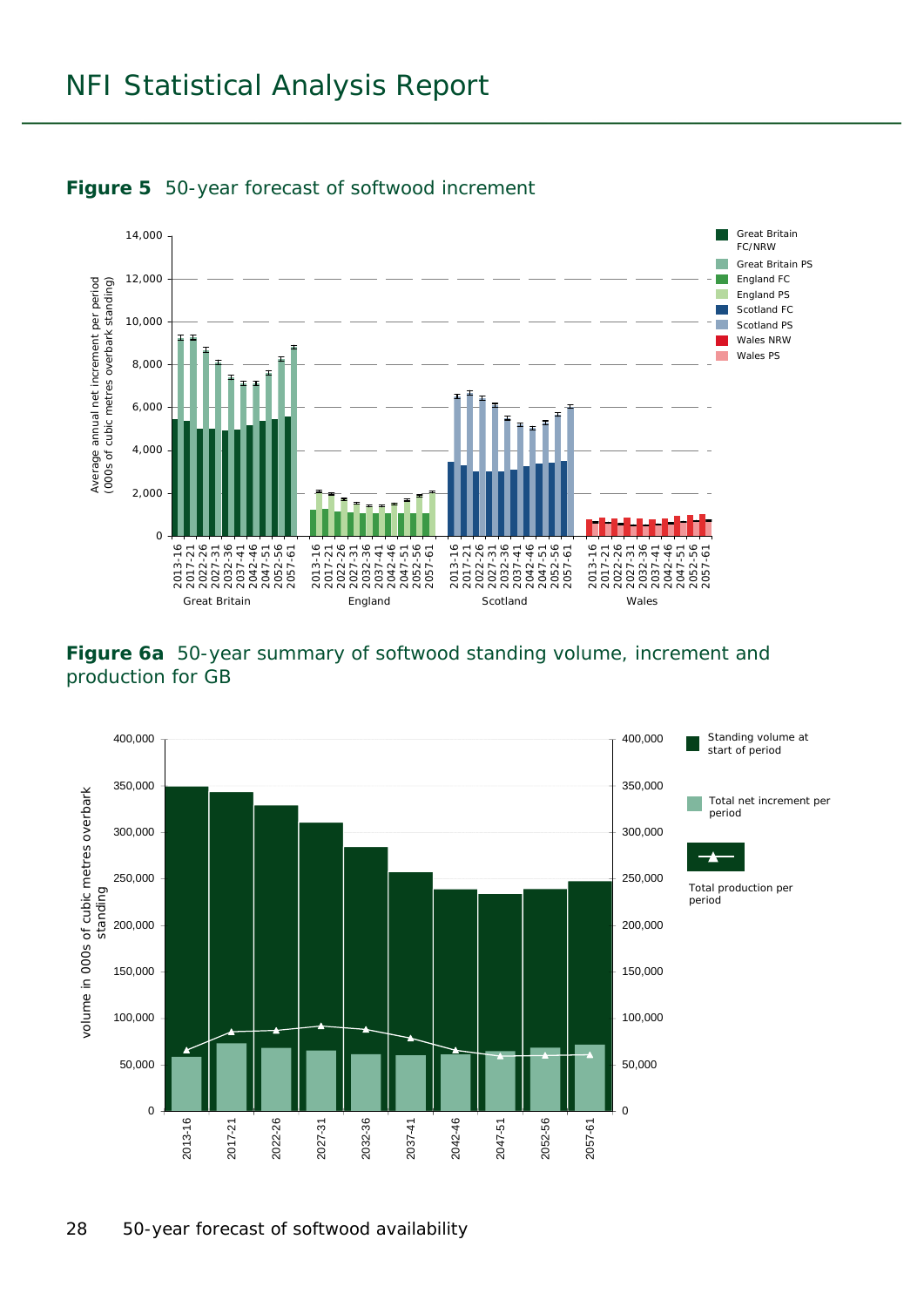

#### **Figure 5** 50-year forecast of softwood increment

#### **Figure 6a** 50-year summary of softwood standing volume, increment and production for GB

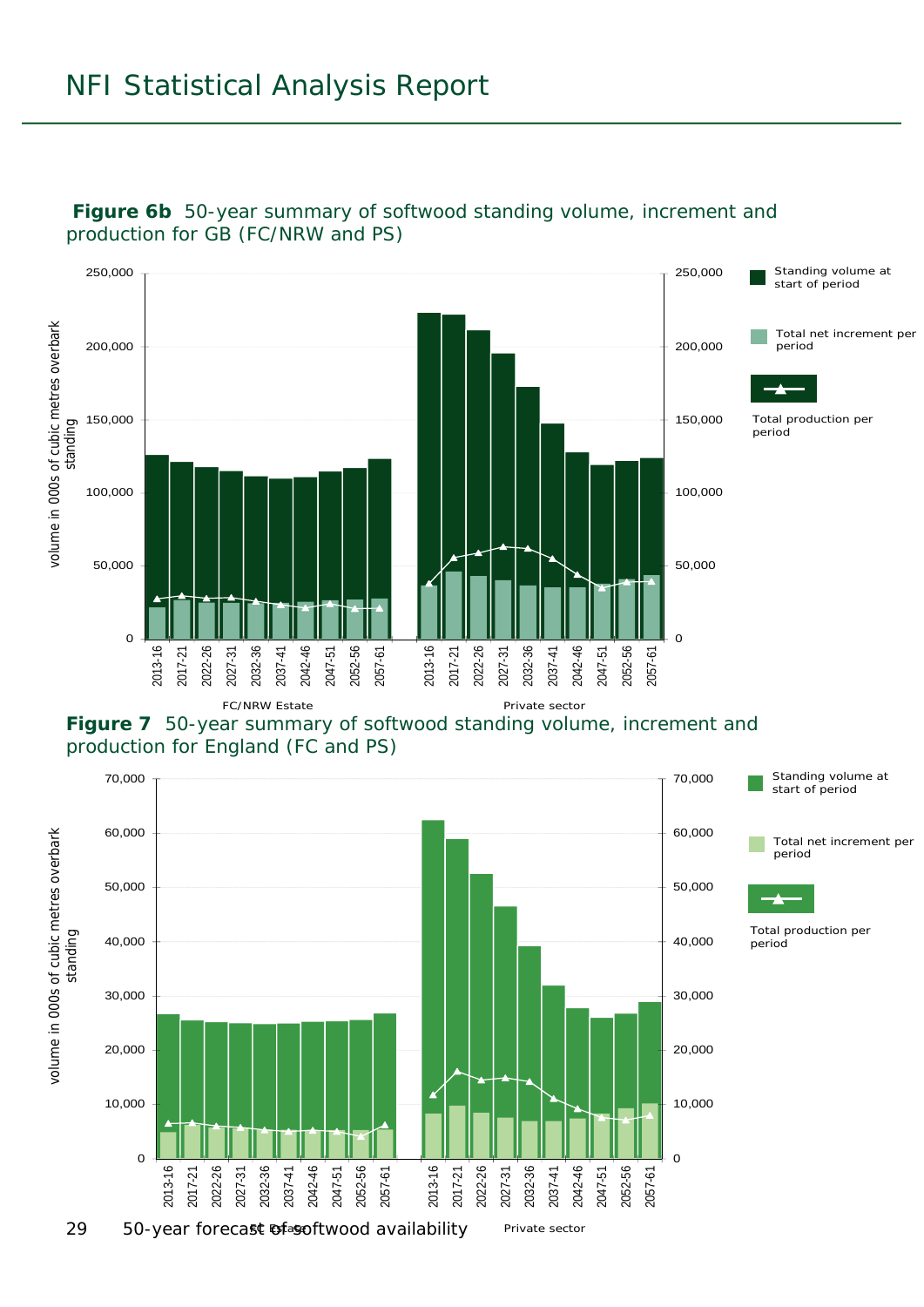

#### **Figure 6b** 50-year summary of softwood standing volume, increment and production for GB (FC/NRW and PS)



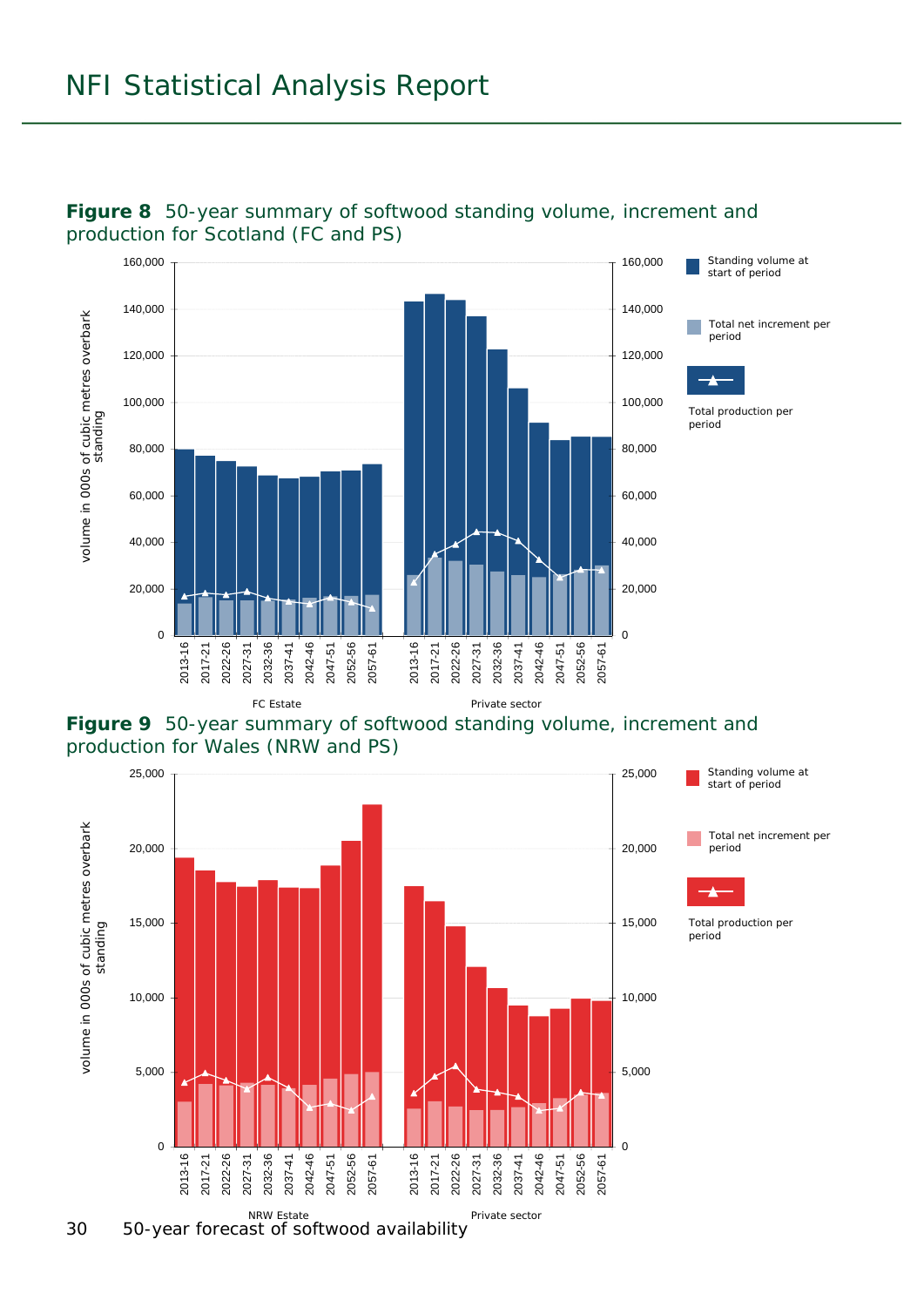





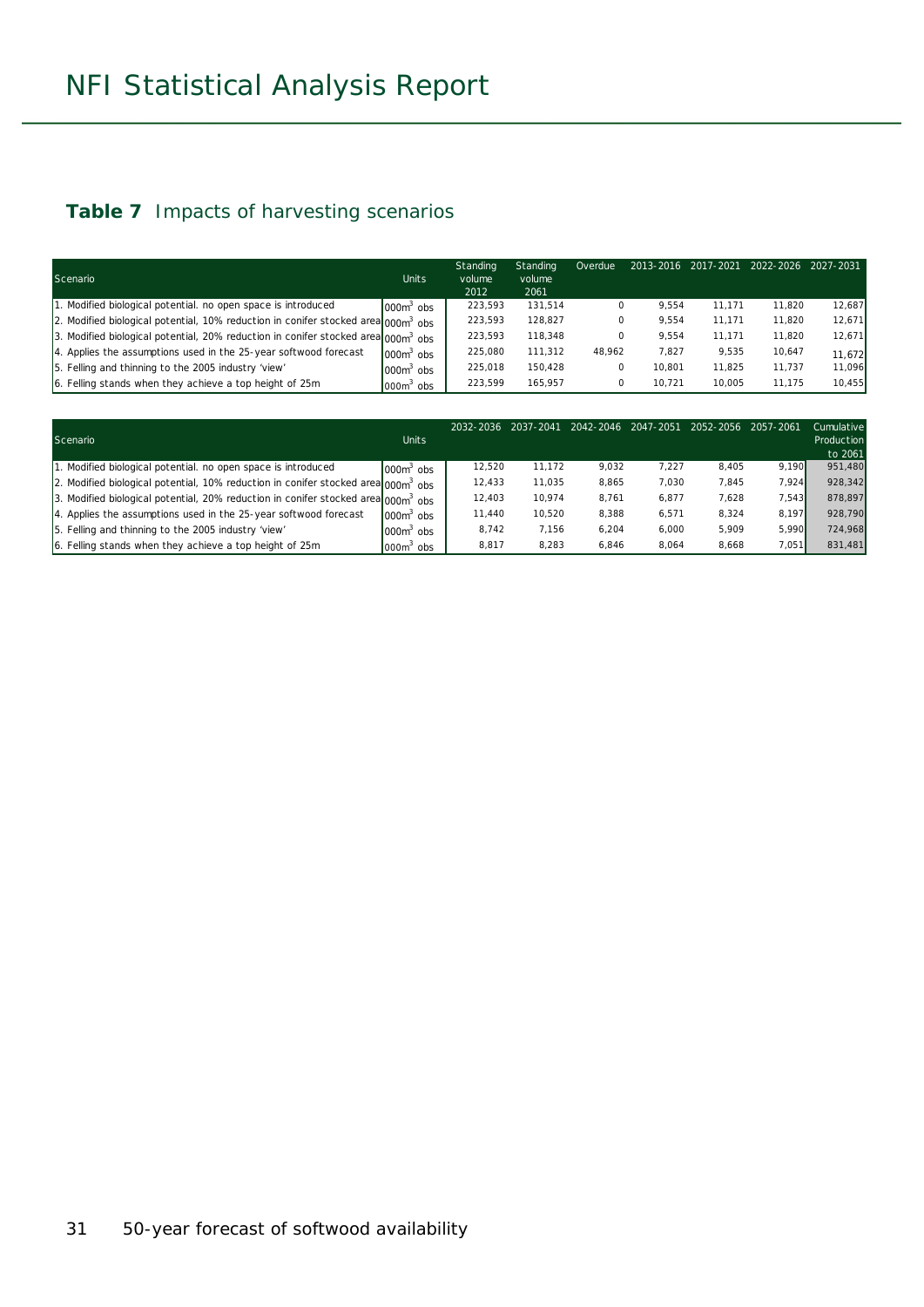#### **Table 7** Impacts of harvesting scenarios

| Scenario                                                                                      | <b>Units</b> | Standing<br>volume | Standing<br>volume | Overdue |        | 2013-2016 2017-2021 2022-2026 |        | 2027-2031 |
|-----------------------------------------------------------------------------------------------|--------------|--------------------|--------------------|---------|--------|-------------------------------|--------|-----------|
|                                                                                               |              | 2012               | 2061               |         |        |                               |        |           |
| 1. Modified biological potential, no open space is introduced                                 | $10003$ obs  | 223,593            | 131,514            | 0       | 9.554  | 11.171                        | 11.820 | 12,687    |
| 2. Modified biological potential, 10% reduction in conifer stocked area $000m^3$ obs          |              | 223,593            | 128.827            | 0       | 9.554  | 11.171                        | 11.820 | 12,671    |
| 3. Modified biological potential, 20% reduction in conifer stocked area 000m <sup>3</sup> obs |              | 223.593            | 118.348            | 0       | 9.554  | 11.171                        | 11.820 | 12,671    |
| 4. Applies the assumptions used in the 25-year softwood forecast                              | $0000$ obs   | 225,080            | 111,312            | 48.962  | 7.827  | 9.535                         | 10,647 | 11,672    |
| 5. Felling and thinning to the 2005 industry 'view'                                           | $1000m3$ obs | 225.018            | 150.428            | 0       | 10.801 | 11.825                        | 11.737 | 11,096    |
| 6. Felling stands when they achieve a top height of 25m                                       | $000m3$ obs  | 223.599            | 165.957            | 0       | 10.721 | 10.005                        | 11.175 | 10,455    |

| Scenario                                                                                      | <b>Units</b>          | 2032-2036 | 2037-2041 | 2042-2046 | 2047-2051 | 2052-2056 | 2057-2061 | Cumulative<br>Production<br>to 2061 |
|-----------------------------------------------------------------------------------------------|-----------------------|-----------|-----------|-----------|-----------|-----------|-----------|-------------------------------------|
| 1. Modified biological potential, no open space is introduced                                 | 000m <sup>3</sup> obs | 12.520    | 11.172    | 9,032     | 7.227     | 8,405     | 9.190     | 951,480                             |
| 2. Modified biological potential, 10% reduction in conifer stocked area 000m <sup>3</sup> obs |                       | 12.433    | 11.035    | 8.865     | 7.030     | 7,845     | 7.924     | 928.342                             |
| 3. Modified biological potential, 20% reduction in conifer stocked area 000m <sup>3</sup> obs |                       | 12.403    | 10.974    | 8.761     | 6.877     | 7,628     | 7.543     | 878.897                             |
| 4. Applies the assumptions used in the 25-year softwood forecast                              | $0006$ obs            | 11.440    | 10.520    | 8.388     | 6,571     | 8.324     | 8.197     | 928,790                             |
| 5. Felling and thinning to the 2005 industry 'view'                                           | $000m$ obs            | 8.742     | 7.156     | 6.204     | 6.000     | 5.909     | 5.990     | 724,968                             |
| 6. Felling stands when they achieve a top height of 25m                                       | $000o$ obs            | 8,817     | 8.283     | 6.846     | 8.064     | 8,668     | 7,051     | 831,481                             |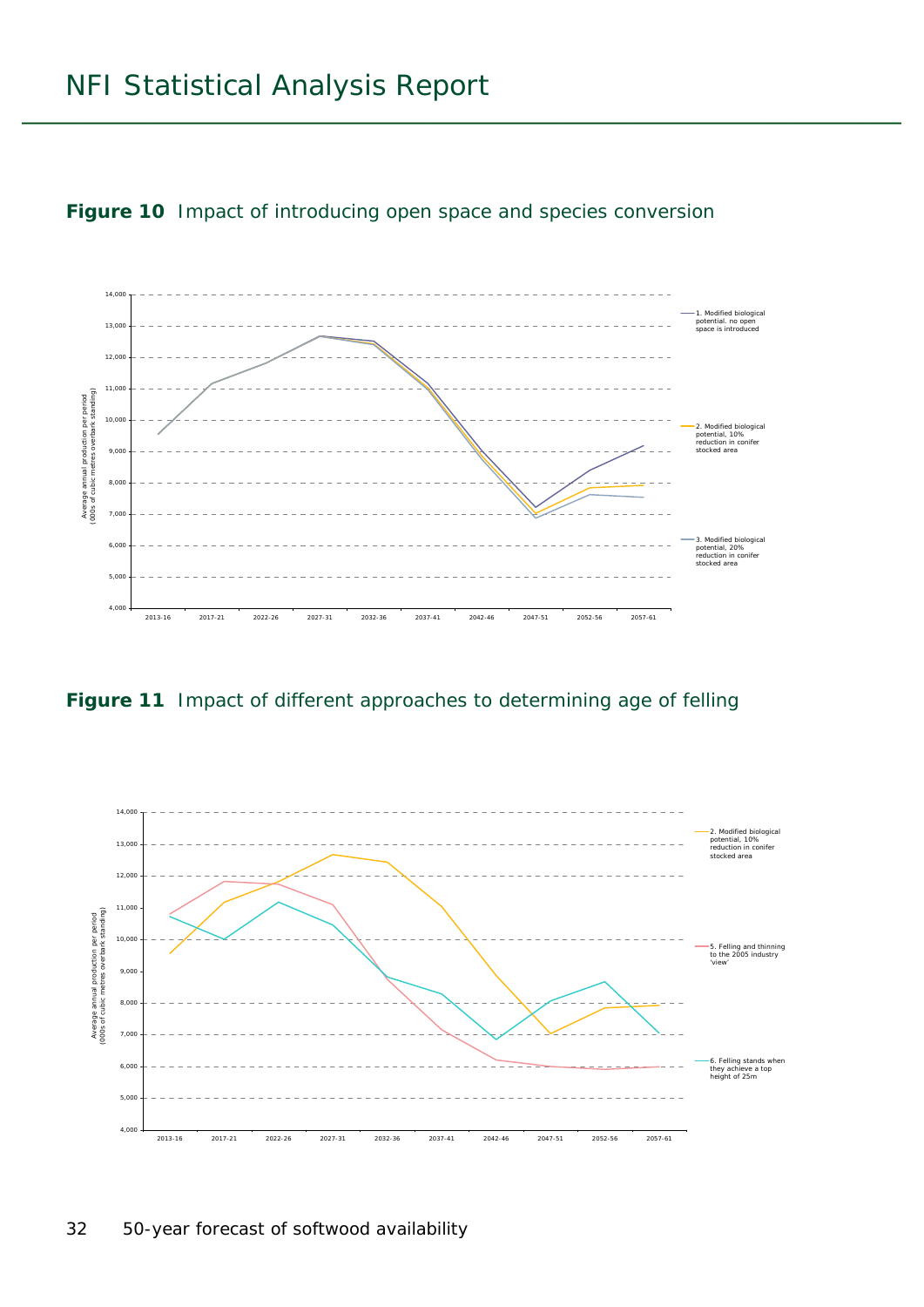

**Figure 10** Impact of introducing open space and species conversion

**Figure 11** Impact of different approaches to determining age of felling

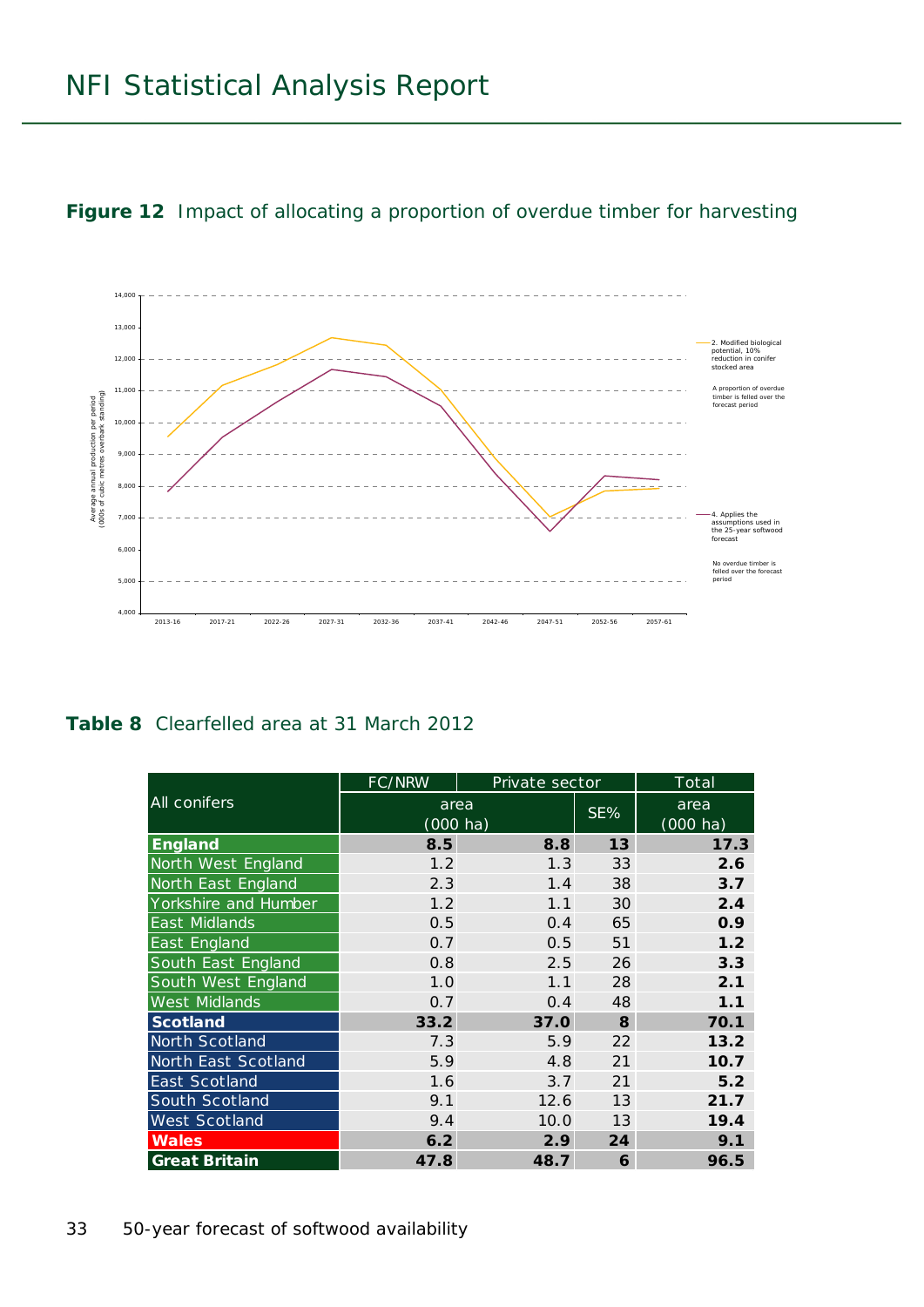**Figure 12** Impact of allocating a proportion of overdue timber for harvesting



**Table 8** Clearfelled area at 31 March 2012

|                      | FC/NRW                     | Private sector |     | Total                      |
|----------------------|----------------------------|----------------|-----|----------------------------|
| <b>All conifers</b>  | area<br>$(000 \text{ ha})$ |                | SE% | area<br>$(000 \text{ ha})$ |
| <b>England</b>       | 8.5                        | 8.8            | 13  | 17.3                       |
| North West England   | 1.2                        | 1.3            | 33  | 2.6                        |
| North East England   | 2.3                        | 1.4            | 38  | 3.7                        |
| Yorkshire and Humber | 1.2                        | 1.1            | 30  | 2.4                        |
| <b>East Midlands</b> | 0.5                        | 0.4            | 65  | 0.9                        |
| East England         | 0.7                        | 0.5            | 51  | 1.2                        |
| South East England   | 0.8                        | 2.5            | 26  | 3.3                        |
| South West England   | 1.0                        | 1.1            | 28  | 2.1                        |
| <b>West Midlands</b> | 0.7                        | 0.4            | 48  | 1.1                        |
| <b>Scotland</b>      | 33.2                       | 37.0           | 8   | 70.1                       |
| North Scotland       | 7.3                        | 5.9            | 22  | 13.2                       |
| North East Scotland  | 5.9                        | 4.8            | 21  | 10.7                       |
| East Scotland        | 1.6                        | 3.7            | 21  | 5.2                        |
| South Scotland       | 9.1                        | 12.6           | 13  | 21.7                       |
| West Scotland        | 9.4                        | 10.0           | 13  | 19.4                       |
| <b>Wales</b>         | 6.2                        | 2.9            | 24  | 9.1                        |
| <b>Great Britain</b> | 47.8                       | 48.7           | 6   | 96.5                       |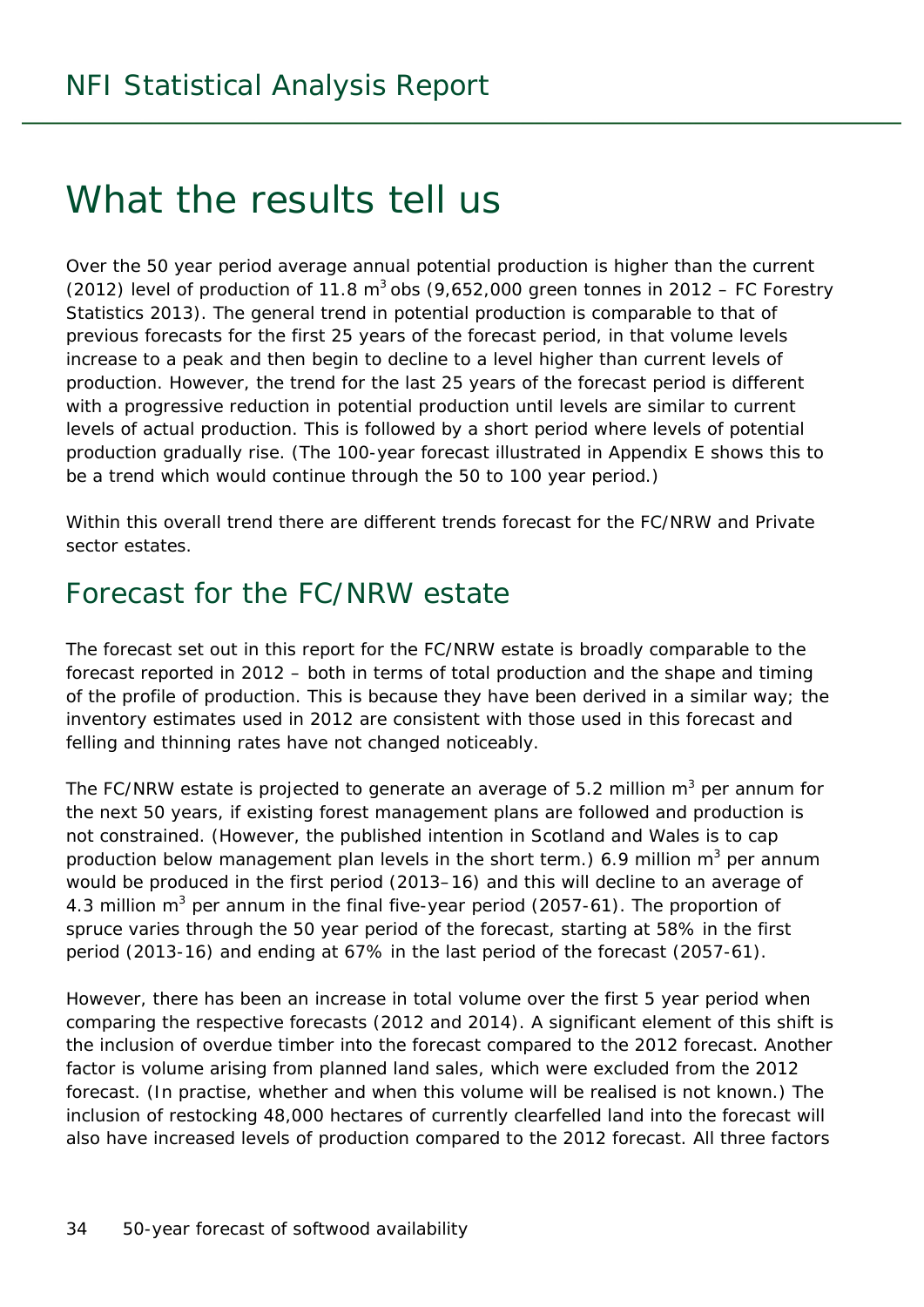## What the results tell us

Over the 50 year period average annual potential production is higher than the current (2012) level of production of 11.8  $m^3$  obs (9,652,000 green tonnes in 2012 – FC Forestry Statistics 2013). The general trend in potential production is comparable to that of previous forecasts for the first 25 years of the forecast period, in that volume levels increase to a peak and then begin to decline to a level higher than current levels of production. However, the trend for the last 25 years of the forecast period is different with a progressive reduction in potential production until levels are similar to current levels of actual production. This is followed by a short period where levels of potential production gradually rise. (The 100-year forecast illustrated in Appendix E shows this to be a trend which would continue through the 50 to 100 year period.)

Within this overall trend there are different trends forecast for the FC/NRW and Private sector estates.

### Forecast for the FC/NRW estate

The forecast set out in this report for the FC/NRW estate is broadly comparable to the forecast reported in 2012 – both in terms of total production and the shape and timing of the profile of production. This is because they have been derived in a similar way; the inventory estimates used in 2012 are consistent with those used in this forecast and felling and thinning rates have not changed noticeably.

The FC/NRW estate is projected to generate an average of 5.2 million  $m^3$  per annum for the next 50 years, if existing forest management plans are followed and production is not constrained. (However, the published intention in Scotland and Wales is to cap production below management plan levels in the short term.) 6.9 million m<sup>3</sup> per annum would be produced in the first period (2013–16) and this will decline to an average of 4.3 million  $m^3$  per annum in the final five-year period (2057-61). The proportion of spruce varies through the 50 year period of the forecast, starting at 58% in the first period (2013-16) and ending at 67% in the last period of the forecast (2057-61).

However, there has been an increase in total volume over the first 5 year period when comparing the respective forecasts (2012 and 2014). A significant element of this shift is the inclusion of overdue timber into the forecast compared to the 2012 forecast. Another factor is volume arising from planned land sales, which were excluded from the 2012 forecast. (In practise, whether and when this volume will be realised is not known.) The inclusion of restocking 48,000 hectares of currently clearfelled land into the forecast will also have increased levels of production compared to the 2012 forecast. All three factors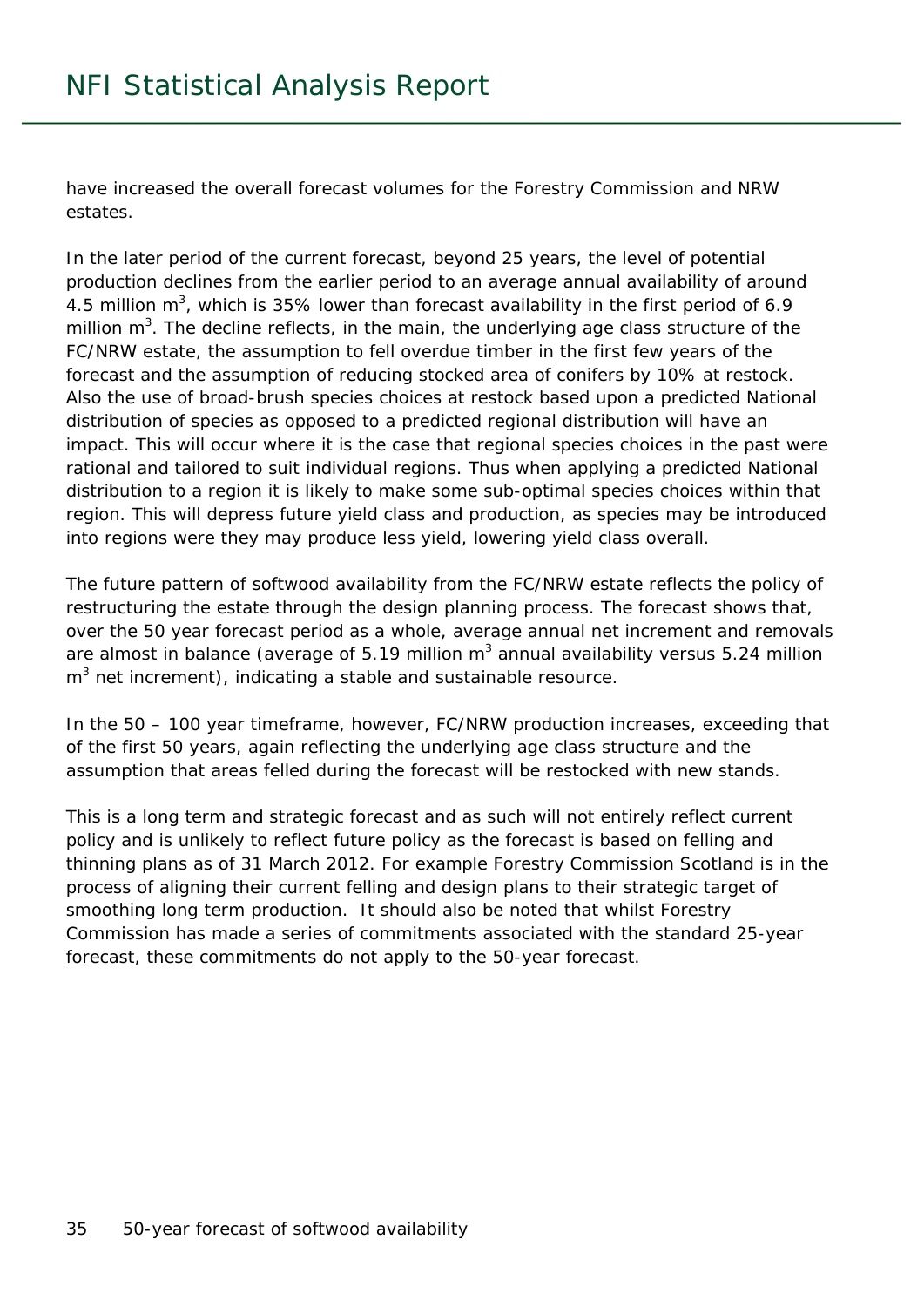have increased the overall forecast volumes for the Forestry Commission and NRW estates.

In the later period of the current forecast, beyond 25 years, the level of potential production declines from the earlier period to an average annual availability of around 4.5 million  $m^3$ , which is 35% lower than forecast availability in the first period of 6.9 million  $m^3$ . The decline reflects, in the main, the underlying age class structure of the FC/NRW estate, the assumption to fell overdue timber in the first few years of the forecast and the assumption of reducing stocked area of conifers by 10% at restock. Also the use of broad-brush species choices at restock based upon a predicted National distribution of species as opposed to a predicted regional distribution will have an impact. This will occur where it is the case that regional species choices in the past were rational and tailored to suit individual regions. Thus when applying a predicted National distribution to a region it is likely to make some sub-optimal species choices within that region. This will depress future yield class and production, as species may be introduced into regions were they may produce less yield, lowering yield class overall.

The future pattern of softwood availability from the FC/NRW estate reflects the policy of restructuring the estate through the design planning process. The forecast shows that, over the 50 year forecast period as a whole, average annual net increment and removals are almost in balance (average of 5.19 million m<sup>3</sup> annual availability versus 5.24 million  $m<sup>3</sup>$  net increment), indicating a stable and sustainable resource.

In the 50 – 100 year timeframe, however, FC/NRW production increases, exceeding that of the first 50 years, again reflecting the underlying age class structure and the assumption that areas felled during the forecast will be restocked with new stands.

This is a long term and strategic forecast and as such will not entirely reflect current policy and is unlikely to reflect future policy as the forecast is based on felling and thinning plans as of 31 March 2012. For example Forestry Commission Scotland is in the process of aligning their current felling and design plans to their strategic target of smoothing long term production. It should also be noted that whilst Forestry Commission has made a series of commitments associated with the standard 25-year forecast, these commitments do not apply to the 50-year forecast.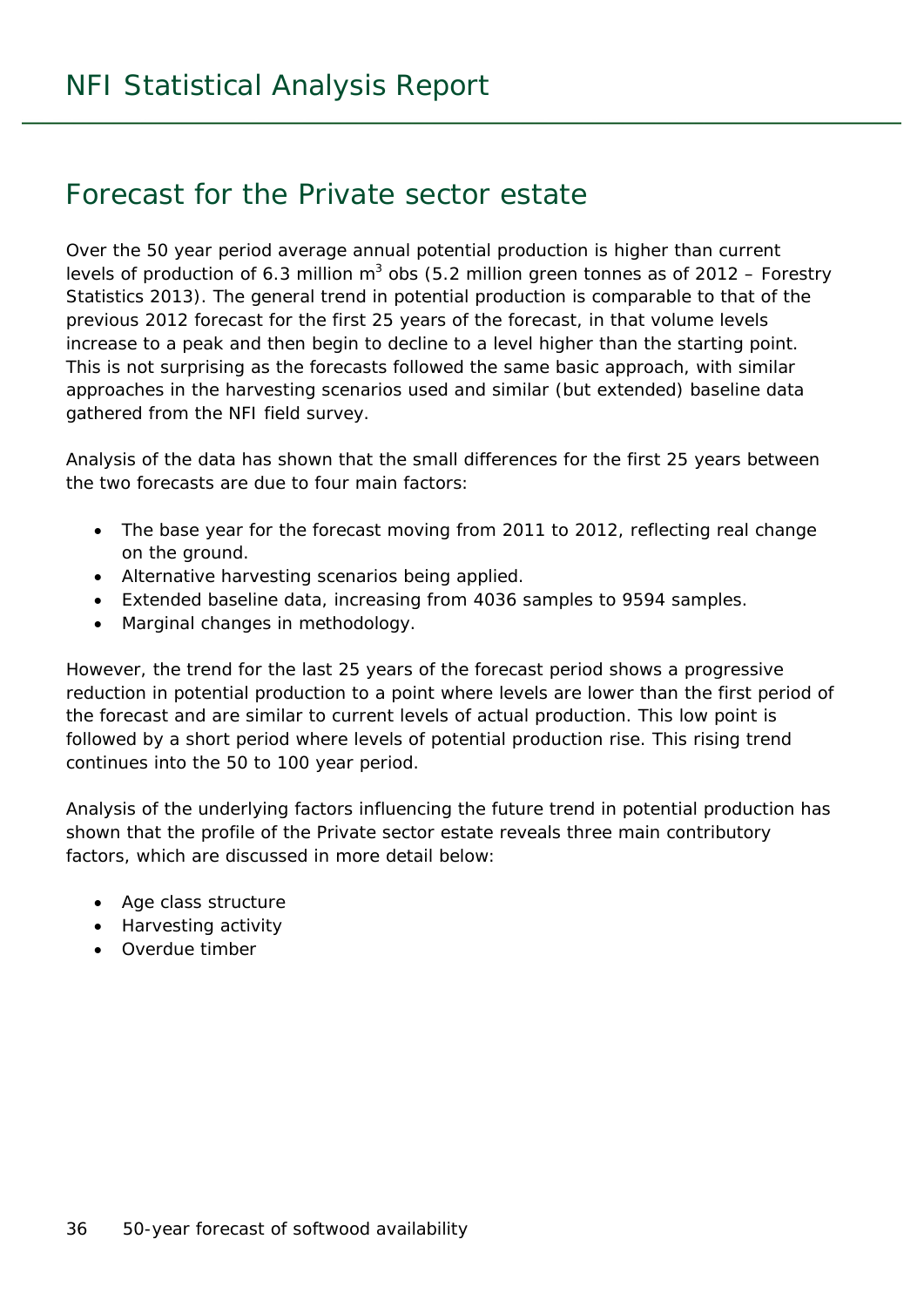### Forecast for the Private sector estate

Over the 50 year period average annual potential production is higher than current levels of production of 6.3 million  $m^3$  obs (5.2 million green tonnes as of 2012 – Forestry Statistics 2013). The general trend in potential production is comparable to that of the previous 2012 forecast for the first 25 years of the forecast, in that volume levels increase to a peak and then begin to decline to a level higher than the starting point. This is not surprising as the forecasts followed the same basic approach, with similar approaches in the harvesting scenarios used and similar (but extended) baseline data gathered from the NFI field survey.

Analysis of the data has shown that the small differences for the first 25 years between the two forecasts are due to four main factors:

- The base year for the forecast moving from 2011 to 2012, reflecting real change on the ground.
- Alternative harvesting scenarios being applied.
- Extended baseline data, increasing from 4036 samples to 9594 samples.
- Marginal changes in methodology.

However, the trend for the last 25 years of the forecast period shows a progressive reduction in potential production to a point where levels are lower than the first period of the forecast and are similar to current levels of actual production. This low point is followed by a short period where levels of potential production rise. This rising trend continues into the 50 to 100 year period.

Analysis of the underlying factors influencing the future trend in potential production has shown that the profile of the Private sector estate reveals three main contributory factors, which are discussed in more detail below:

- Age class structure
- Harvesting activity
- Overdue timber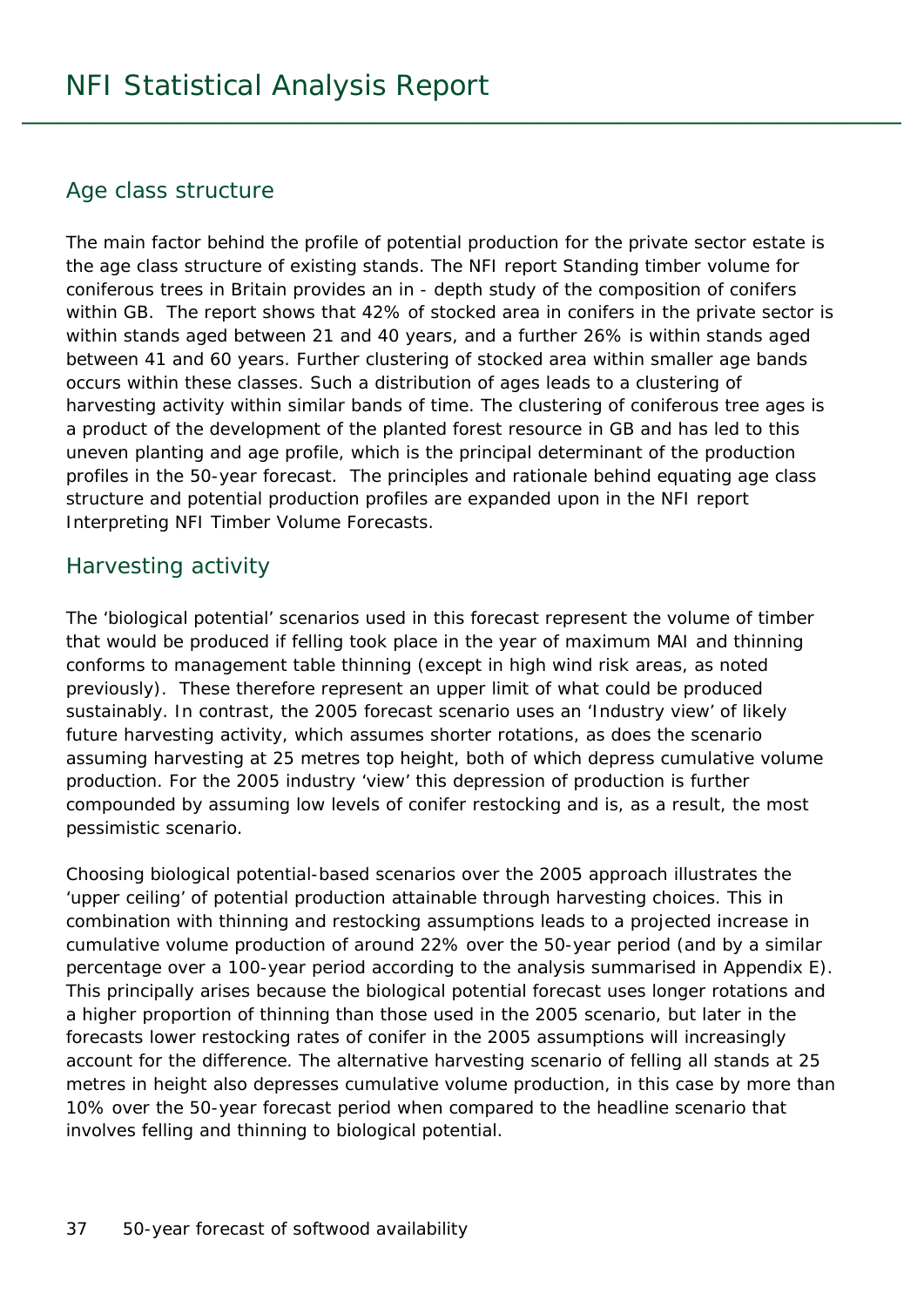#### Age class structure

The main factor behind the profile of potential production for the private sector estate is the age class structure of existing stands. The NFI report *Standing timber volume for coniferous trees in Britain* provides an in - depth study of the composition of conifers within GB. The report shows that 42% of stocked area in conifers in the private sector is within stands aged between 21 and 40 years, and a further 26% is within stands aged between 41 and 60 years. Further clustering of stocked area within smaller age bands occurs within these classes. Such a distribution of ages leads to a clustering of harvesting activity within similar bands of time. The clustering of coniferous tree ages is a product of the development of the planted forest resource in GB and has led to this uneven planting and age profile, which is the principal determinant of the production profiles in the 50-year forecast. The principles and rationale behind equating age class structure and potential production profiles are expanded upon in the NFI report *Interpreting NFI Timber Volume Forecasts.* 

#### Harvesting activity

The 'biological potential' scenarios used in this forecast represent the volume of timber that would be produced if felling took place in the year of maximum MAI and thinning conforms to management table thinning (except in high wind risk areas, as noted previously). These therefore represent an upper limit of what could be produced sustainably. In contrast, the 2005 forecast scenario uses an 'Industry view' of likely future harvesting activity, which assumes shorter rotations, as does the scenario assuming harvesting at 25 metres top height, both of which depress cumulative volume production. For the 2005 industry 'view' this depression of production is further compounded by assuming low levels of conifer restocking and is, as a result, the most pessimistic scenario.

Choosing biological potential-based scenarios over the 2005 approach illustrates the 'upper ceiling' of potential production attainable through harvesting choices. This in combination with thinning and restocking assumptions leads to a projected increase in cumulative volume production of around 22% over the 50-year period (and by a similar percentage over a 100-year period according to the analysis summarised in Appendix E). This principally arises because the biological potential forecast uses longer rotations and a higher proportion of thinning than those used in the 2005 scenario, but later in the forecasts lower restocking rates of conifer in the 2005 assumptions will increasingly account for the difference. The alternative harvesting scenario of felling all stands at 25 metres in height also depresses cumulative volume production, in this case by more than 10% over the 50-year forecast period when compared to the headline scenario that involves felling and thinning to biological potential.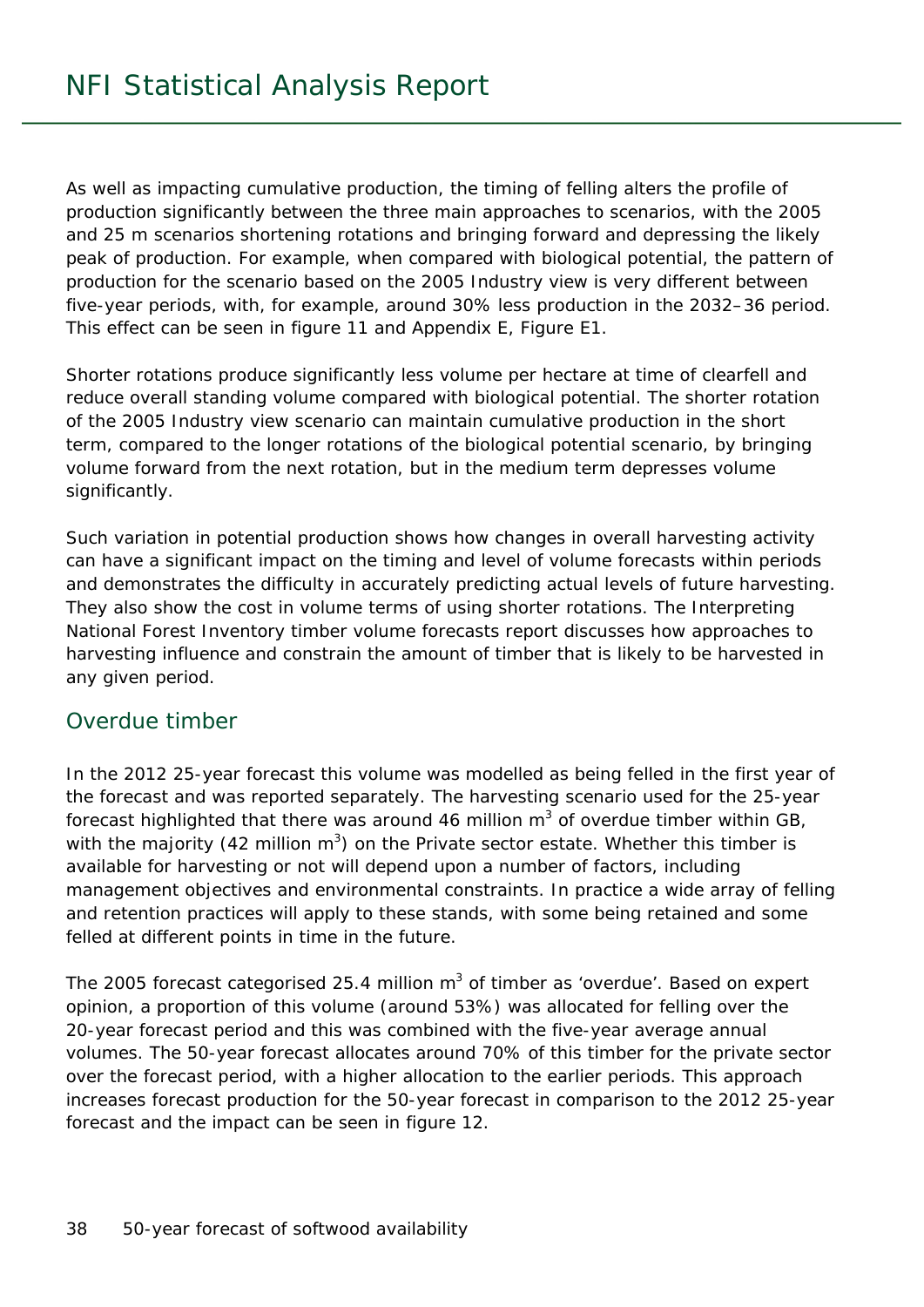As well as impacting cumulative production, the timing of felling alters the profile of production significantly between the three main approaches to scenarios, with the 2005 and 25 m scenarios shortening rotations and bringing forward and depressing the likely peak of production. For example, when compared with biological potential, the pattern of production for the scenario based on the 2005 Industry view is very different between five-year periods, with, for example, around 30% less production in the 2032–36 period. This effect can be seen in figure 11 and Appendix E, Figure E1.

Shorter rotations produce significantly less volume per hectare at time of clearfell and reduce overall standing volume compared with biological potential. The shorter rotation of the 2005 Industry view scenario can maintain cumulative production in the short term, compared to the longer rotations of the biological potential scenario, by bringing volume forward from the next rotation, but in the medium term depresses volume significantly.

Such variation in potential production shows how changes in overall harvesting activity can have a significant impact on the timing and level of volume forecasts within periods and demonstrates the difficulty in accurately predicting actual levels of future harvesting. They also show the cost in volume terms of using shorter rotations. The *Interpreting National Forest Inventory timber volume forecasts* report discusses how approaches to harvesting influence and constrain the amount of timber that is likely to be harvested in any given period.

#### Overdue timber

In the 2012 25-year forecast this volume was modelled as being felled in the first year of the forecast and was reported separately. The harvesting scenario used for the 25-year forecast highlighted that there was around 46 million  $m^3$  of overdue timber within GB, with the majority (42 million  $m^3$ ) on the Private sector estate. Whether this timber is available for harvesting or not will depend upon a number of factors, including management objectives and environmental constraints. In practice a wide array of felling and retention practices will apply to these stands, with some being retained and some felled at different points in time in the future.

The 2005 forecast categorised 25.4 million  $m^3$  of timber as 'overdue'. Based on expert opinion, a proportion of this volume (around 53%) was allocated for felling over the 20-year forecast period and this was combined with the five-year average annual volumes. The 50-year forecast allocates around 70% of this timber for the private sector over the forecast period, with a higher allocation to the earlier periods. This approach increases forecast production for the 50-year forecast in comparison to the 2012 25-year forecast and the impact can be seen in figure 12.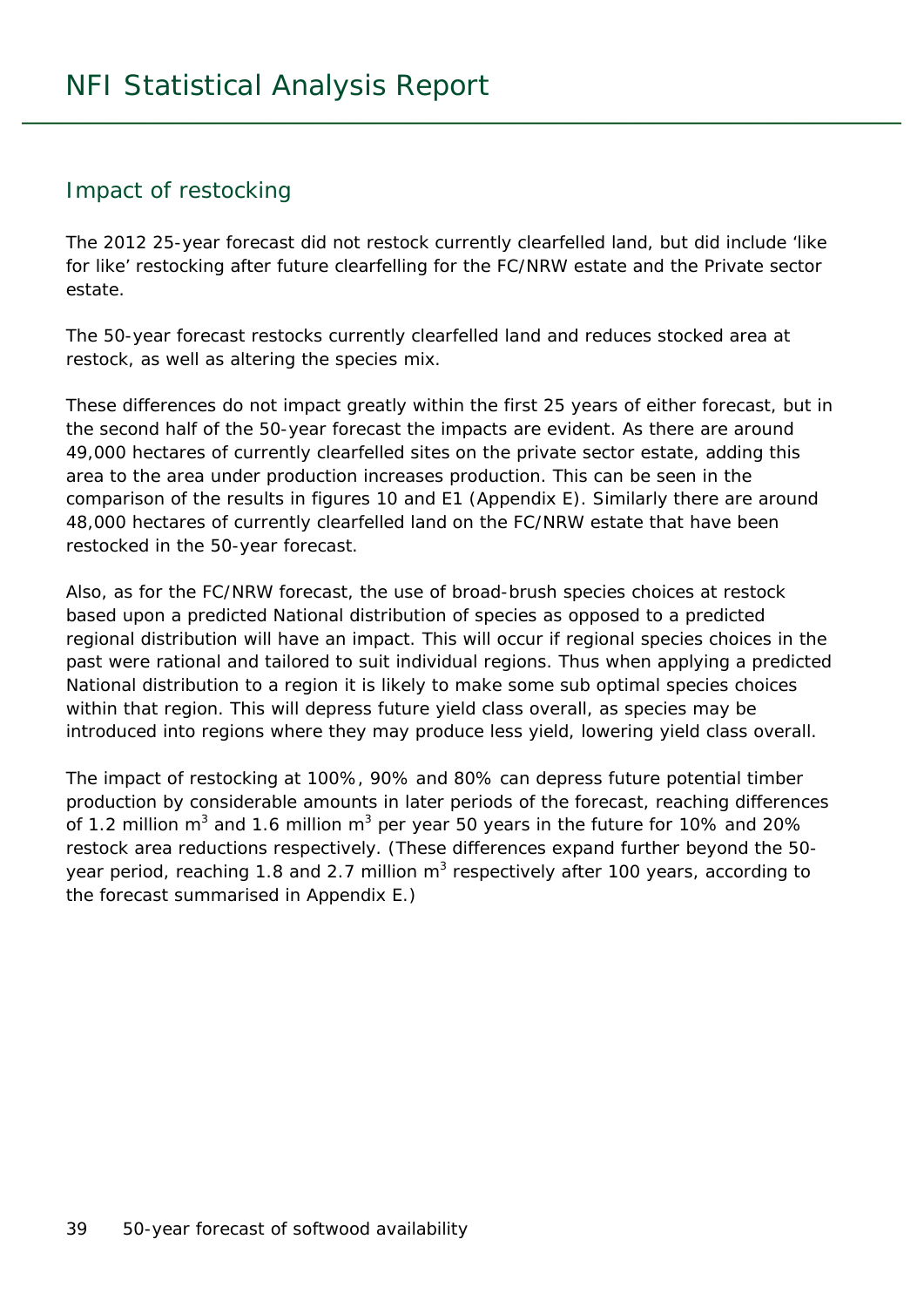#### Impact of restocking

The 2012 25-year forecast did not restock currently clearfelled land, but did include 'like for like' restocking after future clearfelling for the FC/NRW estate and the Private sector estate.

The 50-year forecast restocks currently clearfelled land and reduces stocked area at restock, as well as altering the species mix.

These differences do not impact greatly within the first 25 years of either forecast, but in the second half of the 50-year forecast the impacts are evident. As there are around 49,000 hectares of currently clearfelled sites on the private sector estate, adding this area to the area under production increases production. This can be seen in the comparison of the results in figures 10 and E1 (Appendix E). Similarly there are around 48,000 hectares of currently clearfelled land on the FC/NRW estate that have been restocked in the 50-year forecast.

Also, as for the FC/NRW forecast, the use of broad-brush species choices at restock based upon a predicted National distribution of species as opposed to a predicted regional distribution will have an impact. This will occur if regional species choices in the past were rational and tailored to suit individual regions. Thus when applying a predicted National distribution to a region it is likely to make some sub optimal species choices within that region. This will depress future yield class overall, as species may be introduced into regions where they may produce less yield, lowering yield class overall.

The impact of restocking at 100%, 90% and 80% can depress future potential timber production by considerable amounts in later periods of the forecast, reaching differences of 1.2 million m<sup>3</sup> and 1.6 million m<sup>3</sup> per year 50 years in the future for 10% and 20% restock area reductions respectively. (These differences expand further beyond the 50 year period, reaching 1.8 and 2.7 million  $m^3$  respectively after 100 years, according to the forecast summarised in Appendix E.)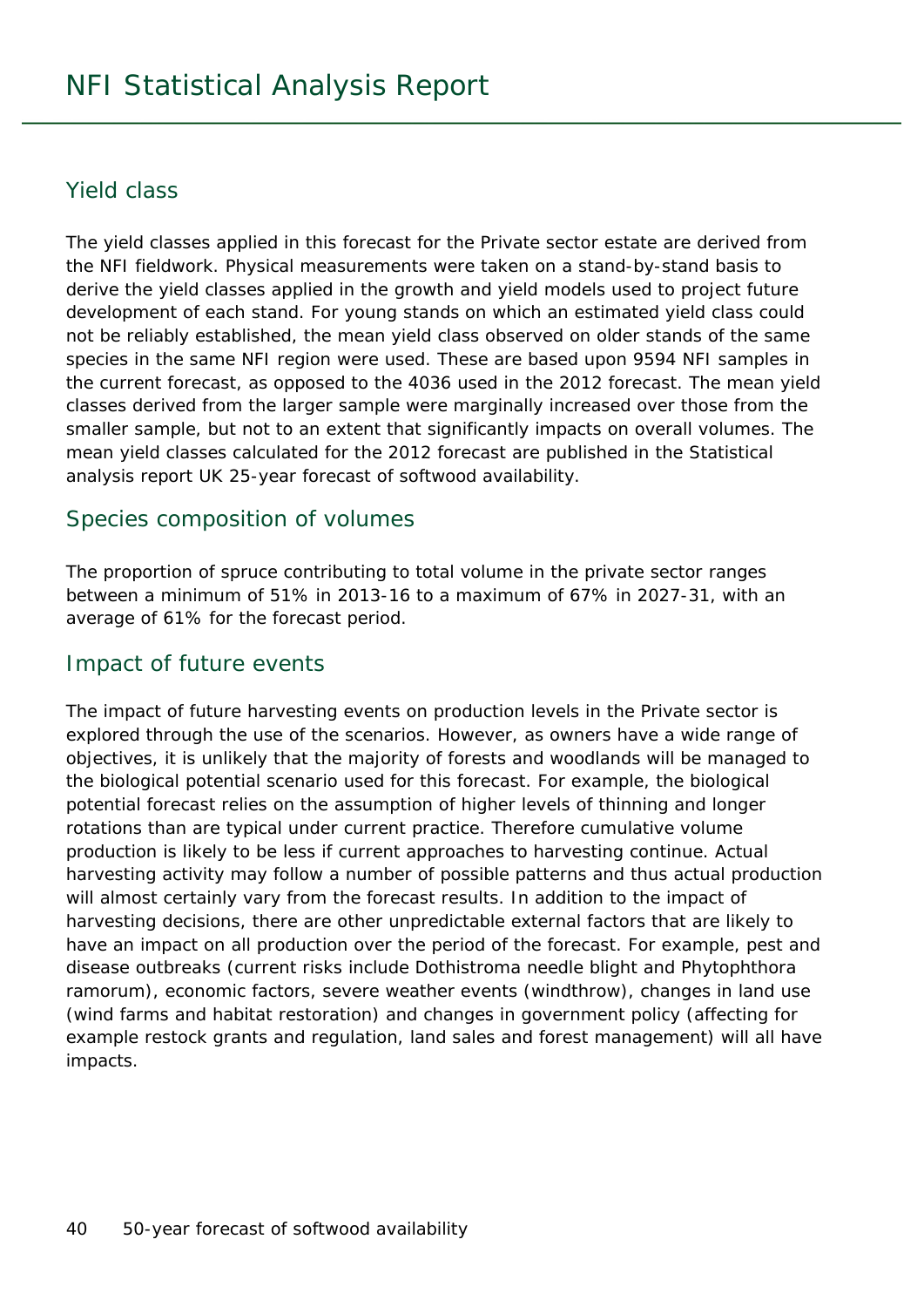#### Yield class

The yield classes applied in this forecast for the Private sector estate are derived from the NFI fieldwork. Physical measurements were taken on a stand-by-stand basis to derive the yield classes applied in the growth and yield models used to project future development of each stand. For young stands on which an estimated yield class could not be reliably established, the mean yield class observed on older stands of the same species in the same NFI region were used. These are based upon 9594 NFI samples in the current forecast, as opposed to the 4036 used in the 2012 forecast. The mean yield classes derived from the larger sample were marginally increased over those from the smaller sample, but not to an extent that significantly impacts on overall volumes. The mean yield classes calculated for the 2012 forecast are published in the Statistical analysis report *UK 25-year forecast of softwood availability*.

#### Species composition of volumes

The proportion of spruce contributing to total volume in the private sector ranges between a minimum of 51% in 2013-16 to a maximum of 67% in 2027-31, with an average of 61% for the forecast period.

#### Impact of future events

The impact of future harvesting events on production levels in the Private sector is explored through the use of the scenarios. However, as owners have a wide range of objectives, it is unlikely that the majority of forests and woodlands will be managed to the biological potential scenario used for this forecast. For example, the biological potential forecast relies on the assumption of higher levels of thinning and longer rotations than are typical under current practice. Therefore cumulative volume production is likely to be less if current approaches to harvesting continue. Actual harvesting activity may follow a number of possible patterns and thus actual production will almost certainly vary from the forecast results. In addition to the impact of harvesting decisions, there are other unpredictable external factors that are likely to have an impact on all production over the period of the forecast. For example, pest and disease outbreaks (current risks include Dothistroma needle blight and *Phytophthora ramorum*), economic factors, severe weather events (windthrow), changes in land use (wind farms and habitat restoration) and changes in government policy (affecting for example restock grants and regulation, land sales and forest management) will all have impacts.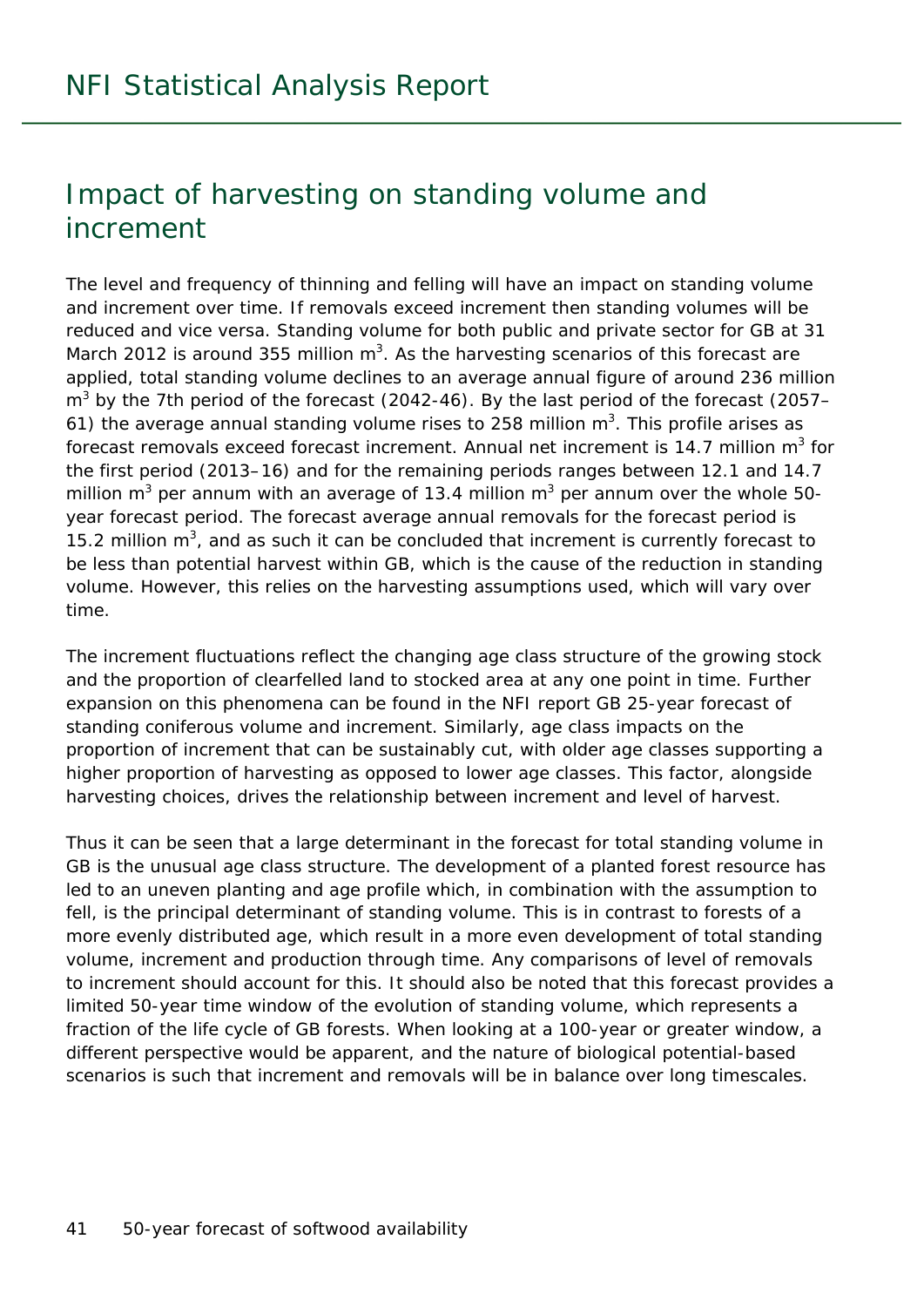## Impact of harvesting on standing volume and increment

The level and frequency of thinning and felling will have an impact on standing volume and increment over time. If removals exceed increment then standing volumes will be reduced and vice versa. Standing volume for both public and private sector for GB at 31 March 2012 is around 355 million  $m^3$ . As the harvesting scenarios of this forecast are applied, total standing volume declines to an average annual figure of around 236 million m<sup>3</sup> by the 7th period of the forecast (2042-46). By the last period of the forecast (2057– 61) the average annual standing volume rises to 258 million  $m<sup>3</sup>$ . This profile arises as forecast removals exceed forecast increment. Annual net increment is 14.7 million  $m^3$  for the first period (2013–16) and for the remaining periods ranges between 12.1 and 14.7 million m<sup>3</sup> per annum with an average of 13.4 million m<sup>3</sup> per annum over the whole 50year forecast period. The forecast average annual removals for the forecast period is 15.2 million  $m^3$ , and as such it can be concluded that increment is currently forecast to be less than potential harvest within GB, which is the cause of the reduction in standing volume. However, this relies on the harvesting assumptions used, which will vary over time.

The increment fluctuations reflect the changing age class structure of the growing stock and the proportion of clearfelled land to stocked area at any one point in time. Further expansion on this phenomena can be found in the NFI report *GB 25-year forecast of standing coniferous volume and increment*. Similarly, age class impacts on the proportion of increment that can be sustainably cut, with older age classes supporting a higher proportion of harvesting as opposed to lower age classes. This factor, alongside harvesting choices, drives the relationship between increment and level of harvest.

Thus it can be seen that a large determinant in the forecast for total standing volume in GB is the unusual age class structure. The development of a planted forest resource has led to an uneven planting and age profile which, in combination with the assumption to fell, is the principal determinant of standing volume. This is in contrast to forests of a more evenly distributed age, which result in a more even development of total standing volume, increment and production through time. Any comparisons of level of removals to increment should account for this. It should also be noted that this forecast provides a limited 50-year time window of the evolution of standing volume, which represents a fraction of the life cycle of GB forests. When looking at a 100-year or greater window, a different perspective would be apparent, and the nature of biological potential-based scenarios is such that increment and removals will be in balance over long timescales.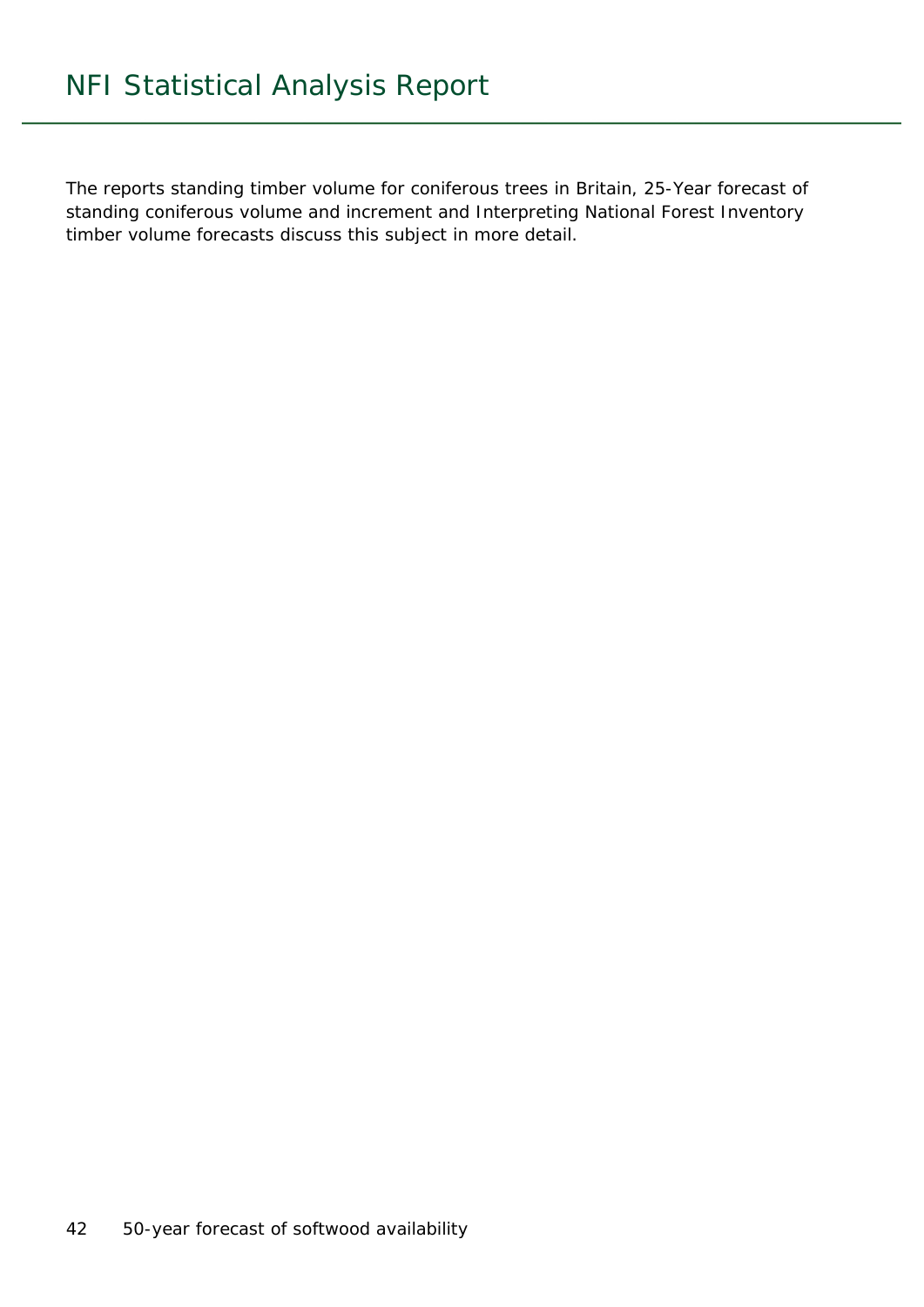The reports *standing timber volume for coniferous trees in Britain*, *25-Year forecast of standing coniferous volume and increment* and *Interpreting National Forest Inventory timber volume forecasts* discuss this subject in more detail.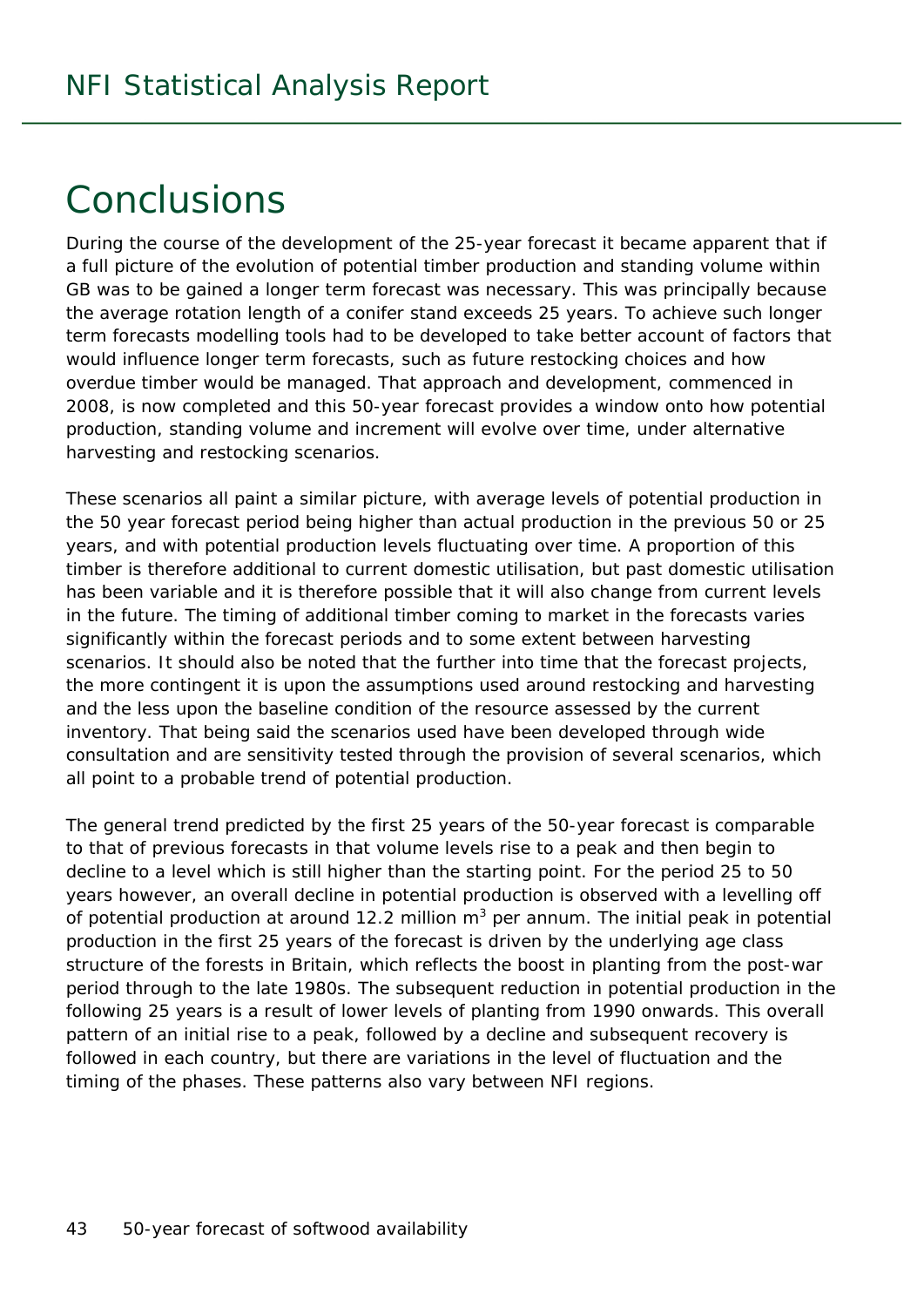## **Conclusions**

During the course of the development of the 25-year forecast it became apparent that if a full picture of the evolution of potential timber production and standing volume within GB was to be gained a longer term forecast was necessary. This was principally because the average rotation length of a conifer stand exceeds 25 years. To achieve such longer term forecasts modelling tools had to be developed to take better account of factors that would influence longer term forecasts, such as future restocking choices and how overdue timber would be managed. That approach and development, commenced in 2008, is now completed and this 50-year forecast provides a window onto how potential production, standing volume and increment will evolve over time, under alternative harvesting and restocking scenarios.

These scenarios all paint a similar picture, with average levels of potential production in the 50 year forecast period being higher than actual production in the previous 50 or 25 years, and with potential production levels fluctuating over time. A proportion of this timber is therefore additional to current domestic utilisation, but past domestic utilisation has been variable and it is therefore possible that it will also change from current levels in the future. The timing of additional timber coming to market in the forecasts varies significantly within the forecast periods and to some extent between harvesting scenarios. It should also be noted that the further into time that the forecast projects, the more contingent it is upon the assumptions used around restocking and harvesting and the less upon the baseline condition of the resource assessed by the current inventory. That being said the scenarios used have been developed through wide consultation and are sensitivity tested through the provision of several scenarios, which all point to a probable trend of potential production.

The general trend predicted by the first 25 years of the 50-year forecast is comparable to that of previous forecasts in that volume levels rise to a peak and then begin to decline to a level which is still higher than the starting point. For the period 25 to 50 years however, an overall decline in potential production is observed with a levelling off of potential production at around 12.2 million  $m^3$  per annum. The initial peak in potential production in the first 25 years of the forecast is driven by the underlying age class structure of the forests in Britain, which reflects the boost in planting from the post-war period through to the late 1980s. The subsequent reduction in potential production in the following 25 years is a result of lower levels of planting from 1990 onwards. This overall pattern of an initial rise to a peak, followed by a decline and subsequent recovery is followed in each country, but there are variations in the level of fluctuation and the timing of the phases. These patterns also vary between NFI regions.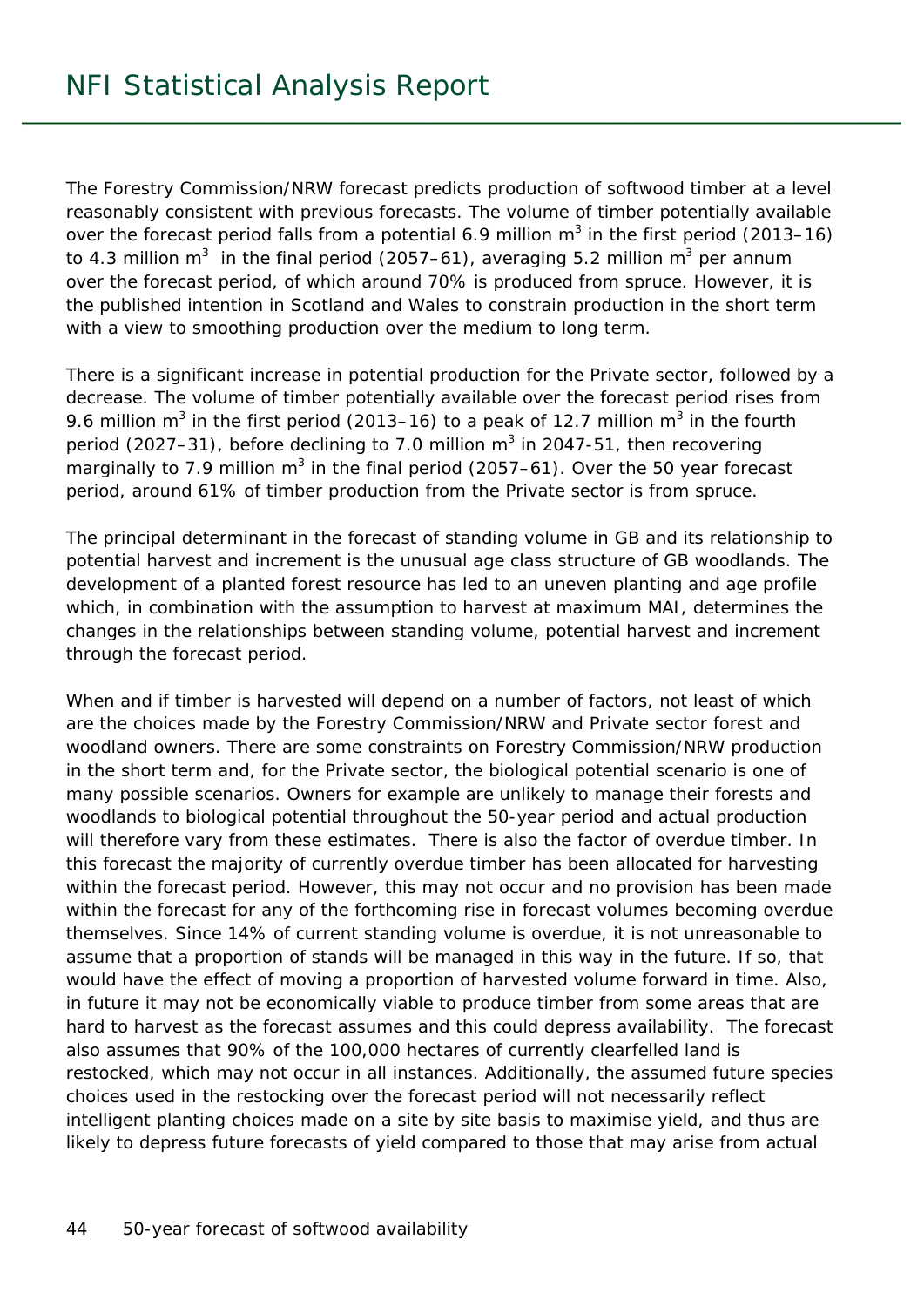The Forestry Commission/NRW forecast predicts production of softwood timber at a level reasonably consistent with previous forecasts. The volume of timber potentially available over the forecast period falls from a potential 6.9 million  $m^3$  in the first period (2013–16) to 4.3 million m<sup>3</sup> in the final period (2057–61), averaging 5.2 million m<sup>3</sup> per annum over the forecast period, of which around 70% is produced from spruce. However, it is the published intention in Scotland and Wales to constrain production in the short term with a view to smoothing production over the medium to long term.

There is a significant increase in potential production for the Private sector, followed by a decrease. The volume of timber potentially available over the forecast period rises from 9.6 million m<sup>3</sup> in the first period (2013–16) to a peak of 12.7 million m<sup>3</sup> in the fourth period (2027–31), before declining to 7.0 million  $m^3$  in 2047-51, then recovering marginally to 7.9 million m<sup>3</sup> in the final period (2057–61). Over the 50 year forecast period, around 61% of timber production from the Private sector is from spruce.

The principal determinant in the forecast of standing volume in GB and its relationship to potential harvest and increment is the unusual age class structure of GB woodlands. The development of a planted forest resource has led to an uneven planting and age profile which, in combination with the assumption to harvest at maximum MAI, determines the changes in the relationships between standing volume, potential harvest and increment through the forecast period.

When and if timber is harvested will depend on a number of factors, not least of which are the choices made by the Forestry Commission/NRW and Private sector forest and woodland owners. There are some constraints on Forestry Commission/NRW production in the short term and, for the Private sector, the biological potential scenario is one of many possible scenarios. Owners for example are unlikely to manage their forests and woodlands to biological potential throughout the 50-year period and actual production will therefore vary from these estimates. There is also the factor of overdue timber. In this forecast the majority of currently overdue timber has been allocated for harvesting within the forecast period. However, this may not occur and no provision has been made within the forecast for any of the forthcoming rise in forecast volumes becoming overdue themselves. Since 14% of current standing volume is overdue, it is not unreasonable to assume that a proportion of stands will be managed in this way in the future. If so, that would have the effect of moving a proportion of harvested volume forward in time. Also, in future it may not be economically viable to produce timber from some areas that are hard to harvest as the forecast assumes and this could depress availability. The forecast also assumes that 90% of the 100,000 hectares of currently clearfelled land is restocked, which may not occur in all instances. Additionally, the assumed future species choices used in the restocking over the forecast period will not necessarily reflect intelligent planting choices made on a site by site basis to maximise yield, and thus are likely to depress future forecasts of yield compared to those that may arise from actual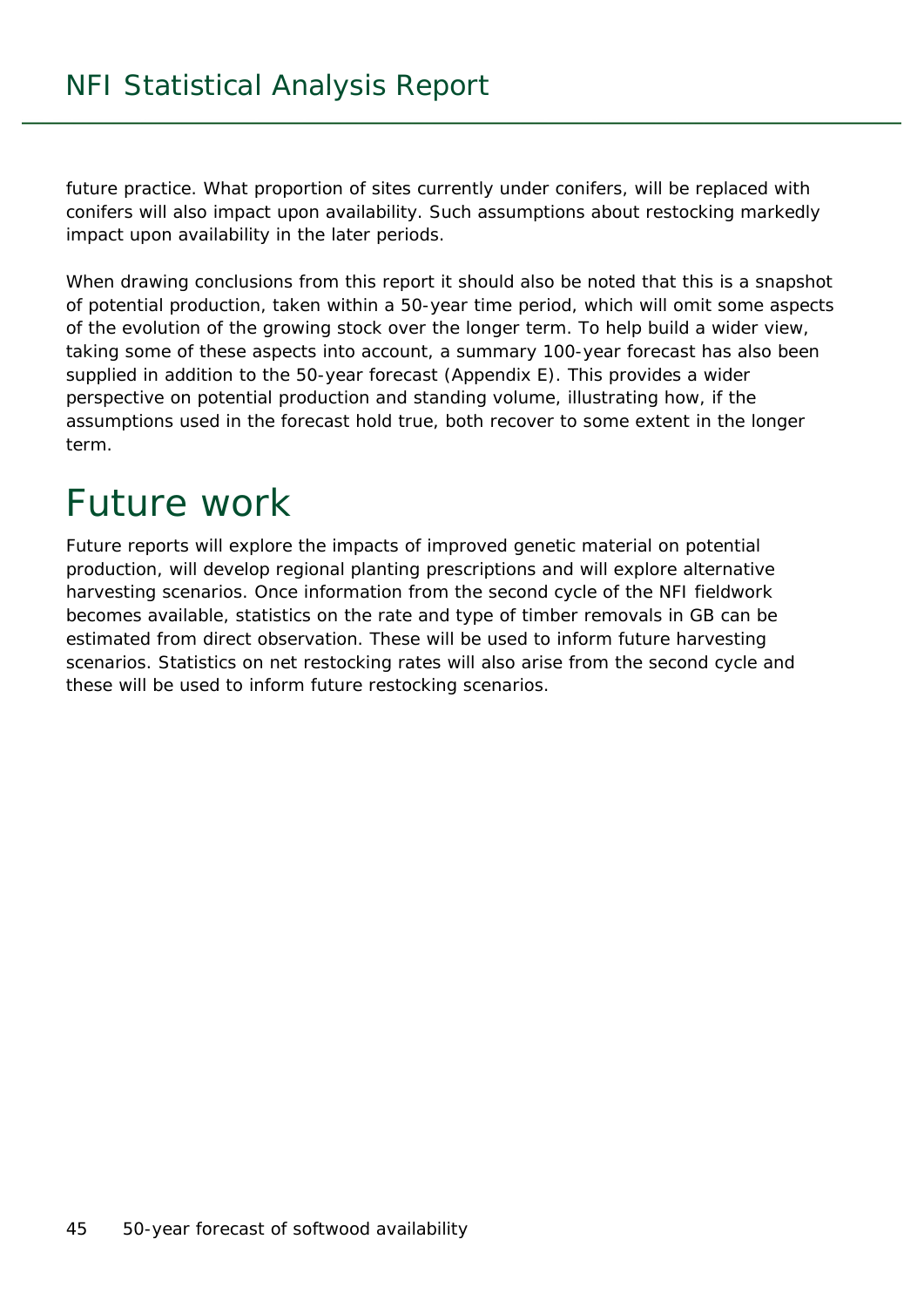future practice. What proportion of sites currently under conifers, will be replaced with conifers will also impact upon availability. Such assumptions about restocking markedly impact upon availability in the later periods.

When drawing conclusions from this report it should also be noted that this is a snapshot of potential production, taken within a 50-year time period, which will omit some aspects of the evolution of the growing stock over the longer term. To help build a wider view, taking some of these aspects into account, a summary 100-year forecast has also been supplied in addition to the 50-year forecast (Appendix E). This provides a wider perspective on potential production and standing volume, illustrating how, if the assumptions used in the forecast hold true, both recover to some extent in the longer term.

## Future work

Future reports will explore the impacts of improved genetic material on potential production, will develop regional planting prescriptions and will explore alternative harvesting scenarios. Once information from the second cycle of the NFI fieldwork becomes available, statistics on the rate and type of timber removals in GB can be estimated from direct observation. These will be used to inform future harvesting scenarios. Statistics on net restocking rates will also arise from the second cycle and these will be used to inform future restocking scenarios.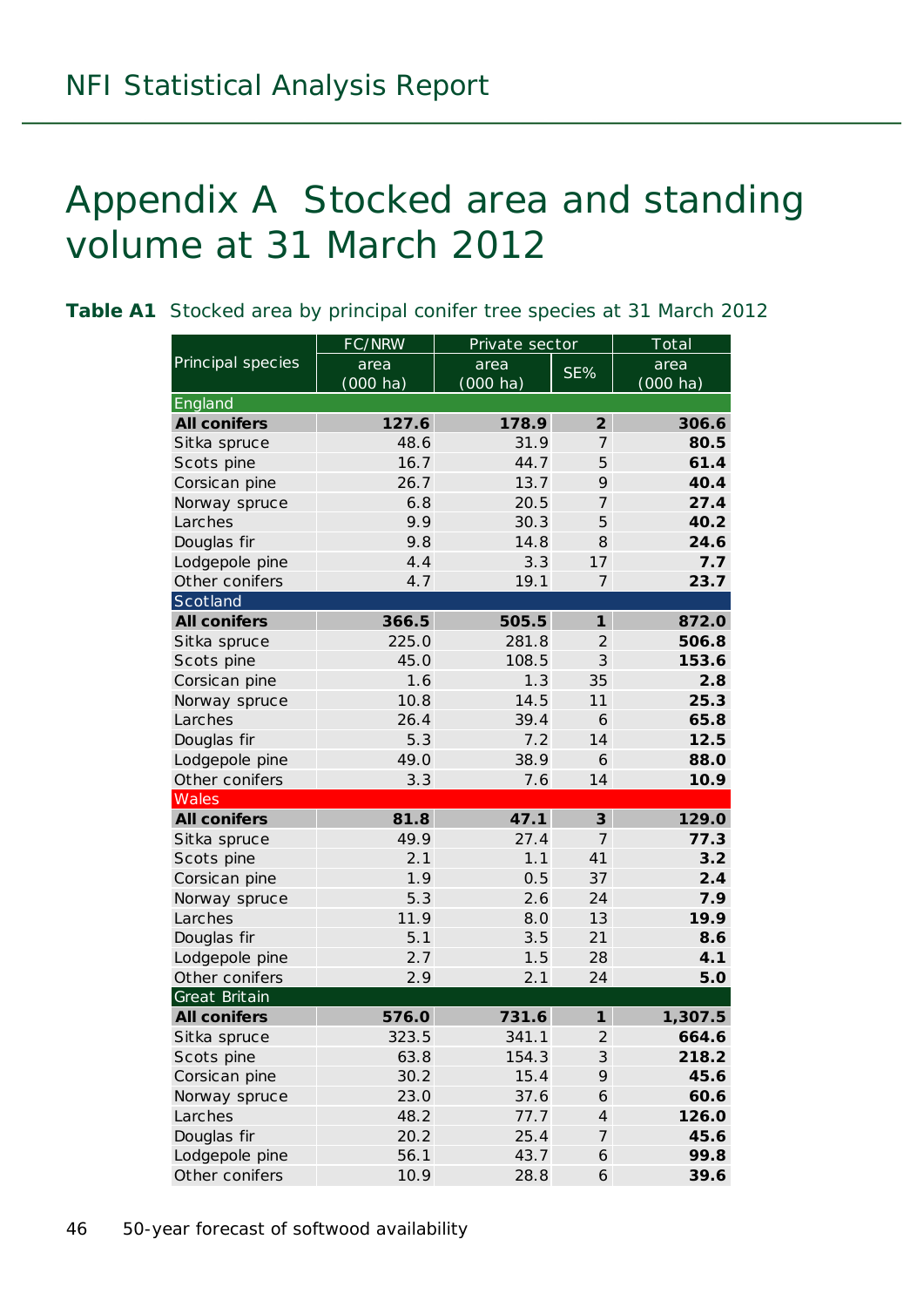## Appendix A Stocked area and standing volume at 31 March 2012

|                     | FC/NRW     | Private sector     |                            | Total              |
|---------------------|------------|--------------------|----------------------------|--------------------|
| Principal species   | area       | area               | SE%                        | area               |
|                     | $(000$ ha) | $(000 \text{ ha})$ |                            | $(000 \text{ ha})$ |
| England             |            |                    |                            |                    |
| <b>All conifers</b> | 127.6      | 178.9              | $\overline{2}$             | 306.6              |
| Sitka spruce        | 48.6       | 31.9               | $\overline{7}$             | 80.5               |
| Scots pine          | 16.7       | 44.7               | 5                          | 61.4               |
| Corsican pine       | 26.7       | 13.7               | 9                          | 40.4               |
| Norway spruce       | 6.8        | 20.5               | $\overline{7}$             | 27.4               |
| Larches             | 9.9        | 30.3               | 5                          | 40.2               |
| Douglas fir         | 9.8        | 14.8               | 8                          | 24.6               |
| Lodgepole pine      | 4.4        | 3.3                | 17                         | 7.7                |
| Other conifers      | 4.7        | 19.1               | $\overline{7}$             | 23.7               |
| Scotland            |            |                    |                            |                    |
| <b>All conifers</b> | 366.5      | 505.5              | $\boldsymbol{\mathcal{I}}$ | 872.0              |
| Sitka spruce        | 225.0      | 281.8              | $\mathfrak{2}$             | 506.8              |
| Scots pine          | 45.0       | 108.5              | $\mathfrak{Z}$             | 153.6              |
| Corsican pine       | 1.6        | 1.3                | 35                         | 2.8                |
| Norway spruce       | 10.8       | 14.5               | 11                         | 25.3               |
| Larches             | 26.4       | 39.4               | 6                          | 65.8               |
| Douglas fir         | 5.3        | 7.2                | 14                         | 12.5               |
| Lodgepole pine      | 49.0       | 38.9               | 6                          | 88.0               |
| Other conifers      | 3.3        | 7.6                | 14                         | 10.9               |
| Wales               |            |                    |                            |                    |
| <b>All conifers</b> | 81.8       | 47.1               | $\mathbf{3}$               | 129.0              |
| Sitka spruce        | 49.9       | 27.4               | $\overline{7}$             | 77.3               |
| Scots pine          | 2.1        | 1.1                | 41                         | 3.2                |
| Corsican pine       | 1.9        | 0.5                | 37                         | 2.4                |
| Norway spruce       | 5.3        | 2.6                | 24                         | 7.9                |
| Larches             | 11.9       | 8.0                | 13                         | 19.9               |
| Douglas fir         | 5.1        | 3.5                | 21                         | 8.6                |
| Lodgepole pine      | 2.7        | 1.5                | 28                         | 4.1                |
| Other conifers      | 2.9        | 2.1                | 24                         | 5.0                |
| Great Britain       |            |                    |                            |                    |
| <b>All conifers</b> | 576.0      | 731.6              | $\mathbf{1}$               | 1,307.5            |
| Sitka spruce        | 323.5      | 341.1              | $\mathfrak{2}$             | 664.6              |
| Scots pine          | 63.8       | 154.3              | $\mathfrak{Z}$             | 218.2              |
| Corsican pine       | 30.2       | 15.4               | 9                          | 45.6               |
| Norway spruce       | 23.0       | 37.6               | 6                          | 60.6               |
| Larches             | 48.2       | 77.7               | $\overline{4}$             | 126.0              |
| Douglas fir         | 20.2       | 25.4               | $\boldsymbol{7}$           | 45.6               |
| Lodgepole pine      | 56.1       | 43.7               | 6                          | 99.8               |
| Other conifers      | 10.9       | 28.8               | 6                          | 39.6               |

**Table A1** Stocked area by principal conifer tree species at 31 March 2012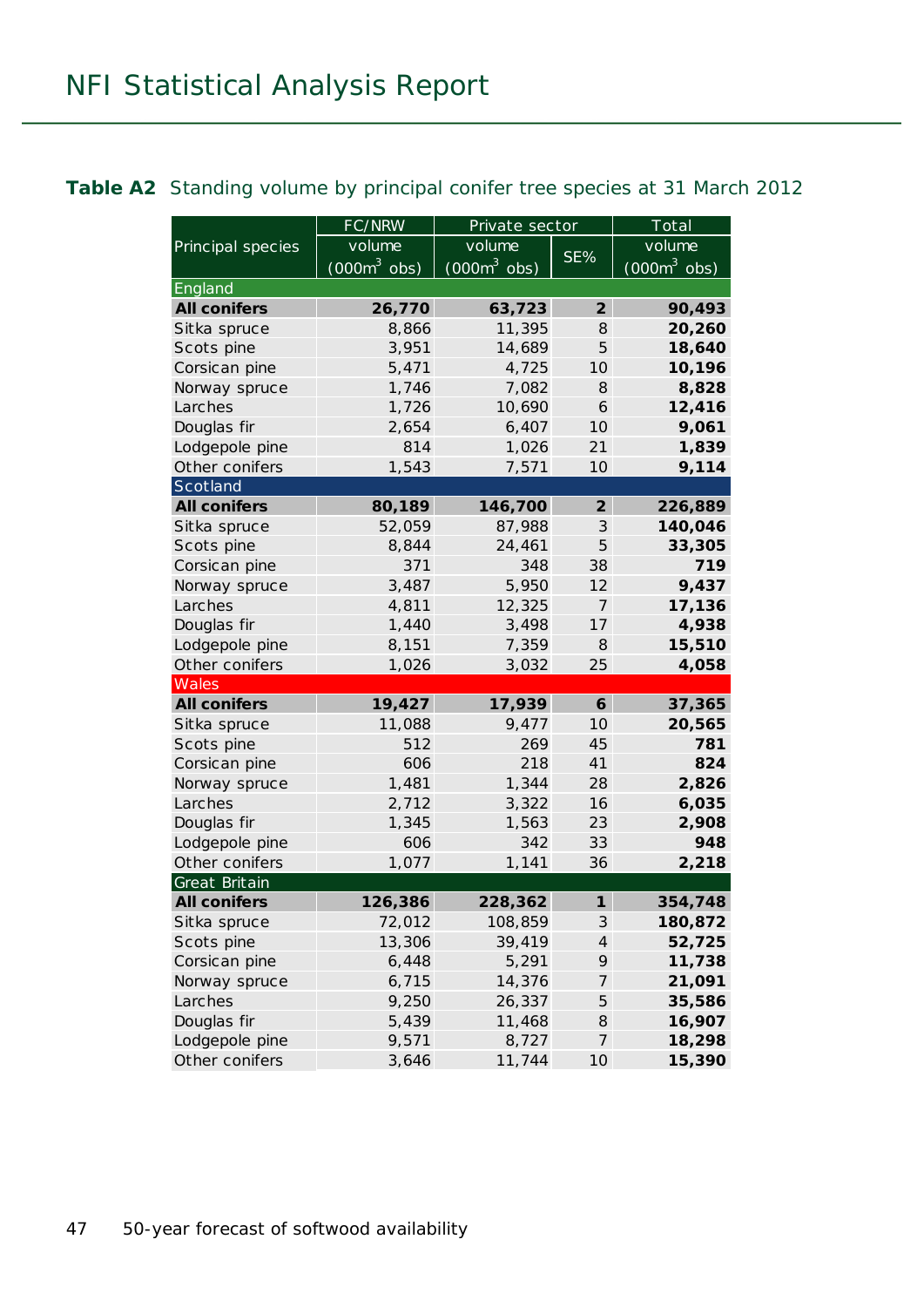#### **Table A2** Standing volume by principal conifer tree species at 31 March 2012

|                     | FC/NRW         | Private sector |                | Total          |  |
|---------------------|----------------|----------------|----------------|----------------|--|
| Principal species   | volume         | volume         |                | volume         |  |
|                     | $(000m^3$ obs) | $(000m^3$ obs) | SE%            | $(000m^3$ obs) |  |
| England             |                |                |                |                |  |
| <b>All conifers</b> | 26,770         | 63,723         | $\overline{2}$ | 90,493         |  |
| Sitka spruce        | 8,866          | 11,395         | 8              | 20,260         |  |
| Scots pine          | 3,951          | 14,689         | 5              | 18,640         |  |
| Corsican pine       | 5,471          | 4,725          | 10             | 10,196         |  |
| Norway spruce       | 1,746          | 7,082          | 8              | 8,828          |  |
| Larches             | 1,726          | 10,690         | 6              | 12,416         |  |
| Douglas fir         | 2,654          | 6,407          | 10             | 9,061          |  |
| Lodgepole pine      | 814            | 1,026          | 21             | 1,839          |  |
| Other conifers      | 1,543          | 7,571          | 10             | 9,114          |  |
| Scotland            |                |                |                |                |  |
| <b>All conifers</b> | 80,189         | 146,700        | $\overline{2}$ | 226,889        |  |
| Sitka spruce        | 52,059         | 87,988         | 3              | 140,046        |  |
| Scots pine          | 8,844          | 24,461         | 5              | 33,305         |  |
| Corsican pine       | 371            | 348            | 38             | 719            |  |
| Norway spruce       | 3,487          | 5,950          | 12             | 9,437          |  |
| Larches             | 4,811          | 12,325         | 7              | 17,136         |  |
| Douglas fir         | 1,440          | 3,498          | 17             | 4,938          |  |
| Lodgepole pine      | 8,151          | 7,359          | 8              | 15,510         |  |
| Other conifers      | 1,026          | 3,032          | 25             | 4,058          |  |
| Wales               |                |                |                |                |  |
| <b>All conifers</b> | 19,427         | 17,939         | 6              | 37,365         |  |
| Sitka spruce        | 11,088         | 9,477          | 10             | 20,565         |  |
| Scots pine          | 512            | 269            | 45             | 781            |  |
| Corsican pine       | 606            | 218            | 41             | 824            |  |
| Norway spruce       | 1,481          | 1,344          | 28             | 2,826          |  |
| Larches             | 2,712          | 3,322          | 16             | 6,035          |  |
| Douglas fir         | 1,345          | 1,563          | 23             | 2,908          |  |
| Lodgepole pine      | 606            | 342            | 33             | 948            |  |
| Other conifers      | 1,077          | 1,141          | 36             | 2,218          |  |
| Great Britain       |                |                |                |                |  |
| <b>All conifers</b> | 126,386        | 228,362        | $\mathbf{1}$   | 354,748        |  |
| Sitka spruce        | 72,012         | 108,859        | $\mathcal{S}$  | 180,872        |  |
| Scots pine          | 13,306         | 39,419         | $\overline{4}$ | 52,725         |  |
| Corsican pine       | 6,448          | 5,291          | 9              | 11,738         |  |
| Norway spruce       | 6,715          | 14,376         | 7              | 21,091         |  |
| Larches             | 9,250          | 26,337         | 5              | 35,586         |  |
| Douglas fir         | 5,439          | 11,468         | 8              | 16,907         |  |
| Lodgepole pine      | 9,571          | 8,727          | $\overline{7}$ | 18,298         |  |
| Other conifers      | 3,646          | 11,744         | 10             | 15,390         |  |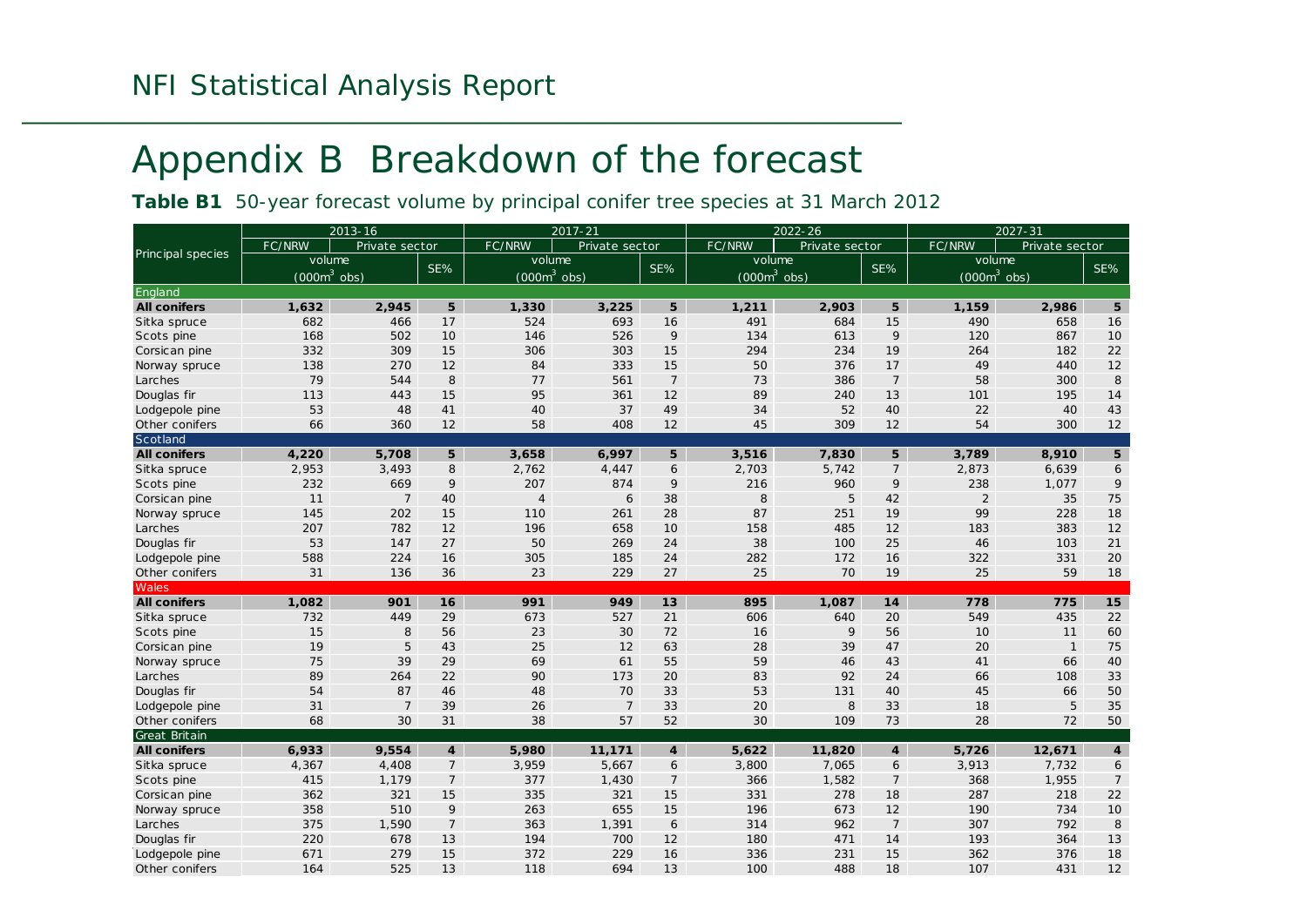## Appendix B Breakdown of the forecast

**Table B1** 50-year forecast volume by principal conifer tree species at 31 March 2012

|                     |                | 2013-16        |                  |                | $2017 - 21$    |                |                | $2022 - 26$    |                |               | $2027 - 31$    |                |
|---------------------|----------------|----------------|------------------|----------------|----------------|----------------|----------------|----------------|----------------|---------------|----------------|----------------|
|                     | FC/NRW         | Private sector |                  | FC/NRW         | Private sector |                | FC/NRW         | Private sector |                | FC/NRW        | Private sector |                |
| Principal species   | volume         |                | SE%              | volume         |                | SE%            | volume         |                | SE%            |               | volume         | SE%            |
|                     | $(000m^3$ obs) |                |                  | $(000m3$ obs)  |                |                | $(000m^3$ obs) |                |                | $(000m3$ obs) |                |                |
| England             |                |                |                  |                |                |                |                |                |                |               |                |                |
| <b>All conifers</b> | 1.632          | 2,945          | 5                | 1,330          | 3,225          | 5              | 1,211          | 2,903          | 5              | 1.159         | 2,986          | 5              |
| Sitka spruce        | 682            | 466            | 17               | 524            | 693            | 16             | 491            | 684            | 15             | 490           | 658            | 16             |
| Scots pine          | 168            | 502            | 10               | 146            | 526            | 9              | 134            | 613            | 9              | 120           | 867            | 10             |
| Corsican pine       | 332            | 309            | 15               | 306            | 303            | 15             | 294            | 234            | 19             | 264           | 182            | 22             |
| Norway spruce       | 138            | 270            | 12               | 84             | 333            | 15             | 50             | 376            | 17             | 49            | 440            | 12             |
| Larches             | 79             | 544            | 8                | 77             | 561            | $\overline{7}$ | 73             | 386            | $\overline{7}$ | 58            | 300            | 8              |
| Douglas fir         | 113            | 443            | 15               | 95             | 361            | 12             | 89             | 240            | 13             | 101           | 195            | 14             |
| Lodgepole pine      | 53             | 48             | 41               | 40             | 37             | 49             | 34             | 52             | 40             | 22            | 40             | 43             |
| Other conifers      | 66             | 360            | 12               | 58             | 408            | 12             | 45             | 309            | 12             | 54            | 300            | 12             |
| Scotland            |                |                |                  |                |                |                |                |                |                |               |                |                |
| <b>All conifers</b> | 4,220          | 5.708          | 5 <sup>5</sup>   | 3,658          | 6,997          | 5              | 3,516          | 7,830          | 5              | 3.789         | 8,910          | $\sqrt{5}$     |
| Sitka spruce        | 2,953          | 3,493          | 8                | 2,762          | 4,447          | 6              | 2,703          | 5,742          | $\overline{7}$ | 2,873         | 6,639          | 6              |
| Scots pine          | 232            | 669            | 9                | 207            | 874            | 9              | 216            | 960            | 9              | 238           | 1,077          | 9              |
| Corsican pine       | 11             | $\overline{7}$ | 40               | $\overline{4}$ | 6              | 38             | 8              | 5              | 42             | 2             | 35             | 75             |
| Norway spruce       | 145            | 202            | 15               | 110            | 261            | 28             | 87             | 251            | 19             | 99            | 228            | $18\,$         |
| Larches             | 207            | 782            | 12               | 196            | 658            | 10             | 158            | 485            | 12             | 183           | 383            | 12             |
| Douglas fir         | 53             | 147            | 27               | 50             | 269            | 24             | 38             | 100            | 25             | 46            | 103            | 21             |
| Lodgepole pine      | 588            | 224            | 16               | 305            | 185            | 24             | 282            | 172            | 16             | 322           | 331            | 20             |
| Other conifers      | 31             | 136            | 36               | 23             | 229            | 27             | 25             | 70             | 19             | 25            | 59             | 18             |
| Wales               |                |                |                  |                |                |                |                |                |                |               |                |                |
| <b>All conifers</b> | 1.082          | 901            | 16               | 991            | 949            | 13             | 895            | 1.087          | 14             | 778           | 775            | 15             |
| Sitka spruce        | 732            | 449            | 29               | 673            | 527            | 21             | 606            | 640            | 20             | 549           | 435            | 22             |
| Scots pine          | 15             | 8              | 56               | 23             | 30             | 72             | 16             | 9              | 56             | 10            | 11             | 60             |
| Corsican pine       | 19             | 5              | 43               | 25             | 12             | 63             | 28             | 39             | 47             | 20            | $\mathbf{1}$   | 75             |
| Norway spruce       | 75             | 39             | 29               | 69             | 61             | 55             | 59             | 46             | 43             | 41            | 66             | 40             |
| Larches             | 89             | 264            | 22               | 90             | 173            | 20             | 83             | 92             | 24             | 66            | 108            | 33             |
| Douglas fir         | 54             | 87             | 46               | 48             | 70             | 33             | 53             | 131            | 40             | 45            | 66             | 50             |
| Lodgepole pine      | 31             | $\overline{7}$ | 39               | 26             | $\overline{7}$ | 33             | 20             | 8              | 33             | 18            | 5              | 35             |
| Other conifers      | 68             | 30             | 31               | 38             | 57             | 52             | 30             | 109            | 73             | 28            | 72             | 50             |
| Great Britain       |                |                |                  |                |                |                |                |                |                |               |                |                |
| <b>All conifers</b> | 6,933          | 9.554          | $\boldsymbol{4}$ | 5,980          | 11.171         | $\overline{4}$ | 5,622          | 11,820         | $\overline{4}$ | 5,726         | 12,671         | $\overline{4}$ |
| Sitka spruce        | 4,367          | 4,408          | $\overline{7}$   | 3,959          | 5,667          | 6              | 3,800          | 7,065          | 6              | 3,913         | 7,732          | 6              |
| Scots pine          | 415            | 1,179          | $\overline{7}$   | 377            | 1,430          | $\overline{7}$ | 366            | 1,582          | $\overline{7}$ | 368           | 1,955          | $\overline{7}$ |
| Corsican pine       | 362            | 321            | 15               | 335            | 321            | 15             | 331            | 278            | 18             | 287           | 218            | 22             |
| Norway spruce       | 358            | 510            | 9                | 263            | 655            | 15             | 196            | 673            | 12             | 190           | 734            | 10             |
| Larches             | 375            | 1,590          | $\overline{7}$   | 363            | 1,391          | 6              | 314            | 962            | $\overline{7}$ | 307           | 792            | $\mathcal S$   |
| Douglas fir         | 220            | 678            | 13               | 194            | 700            | 12             | 180            | 471            | 14             | 193           | 364            | $13\,$         |
| Lodgepole pine      | 671            | 279            | 15               | 372            | 229            | 16             | 336            | 231            | 15             | 362           | 376            | 18             |
| Other conifers      | 164            | 525            | 13               | 118            | 694            | 13             | 100            | 488            | 18             | 107           | 431            | 12             |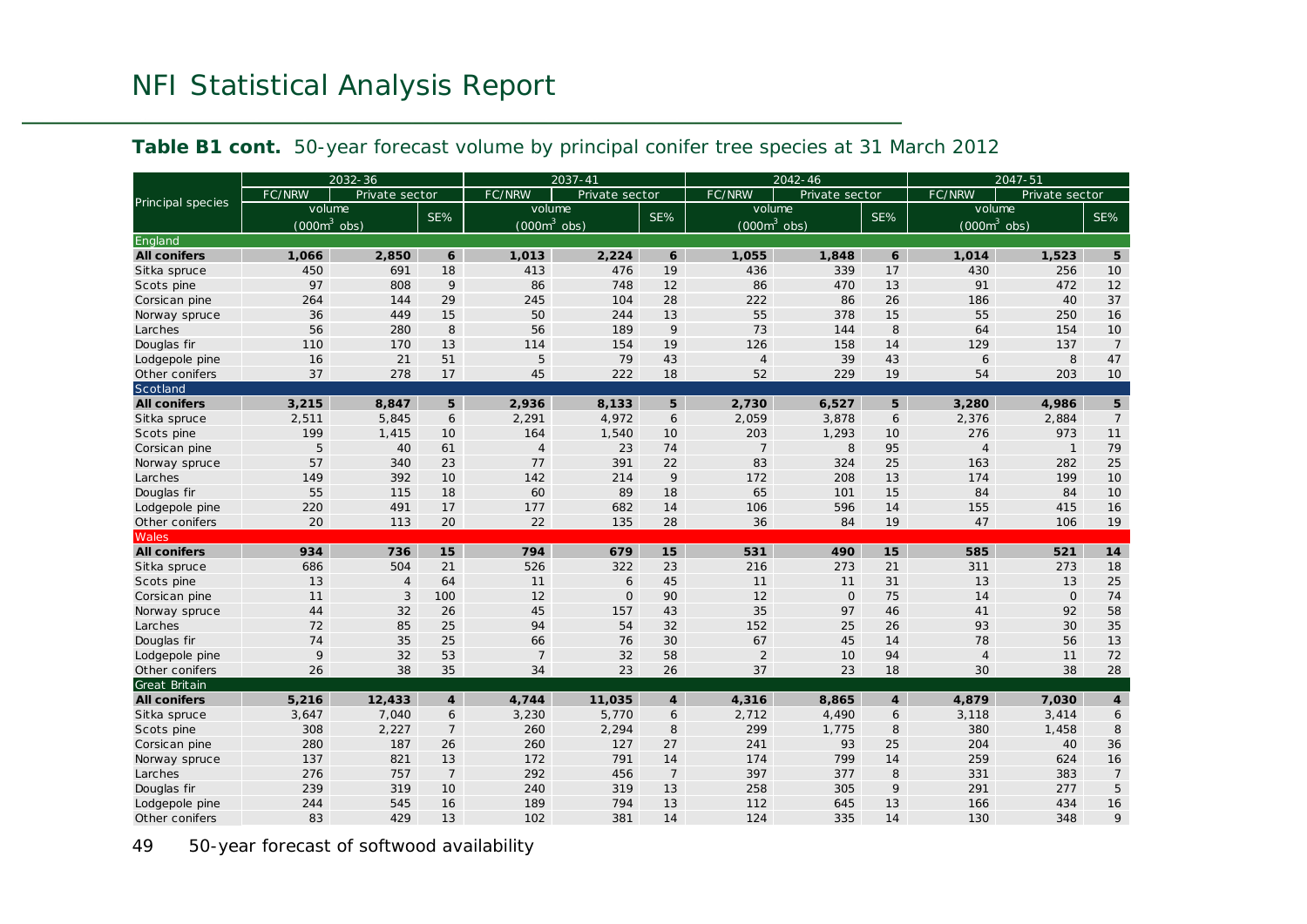|                                      |               | 2032-36        |                  |                | 2037-41        |                      |                | $2042 - 46$    |                |                | 2047-51        |                     |
|--------------------------------------|---------------|----------------|------------------|----------------|----------------|----------------------|----------------|----------------|----------------|----------------|----------------|---------------------|
|                                      | FC/NRW        | Private sector |                  | FC/NRW         | Private sector |                      | FC/NRW         | Private sector |                | FC/NRW         | Private sector |                     |
| Principal species                    | volume        |                | SE%              | volume         |                | SE%                  | volume         |                | SE%            | volume         |                | SE%                 |
|                                      | $(000m3$ obs) |                |                  | $(000m^3$ obs) |                |                      | $(000m3$ obs)  |                |                | $(000m3$ obs)  |                |                     |
| England                              |               |                |                  |                |                |                      |                |                |                |                |                |                     |
| <b>All conifers</b>                  | 1.066         | 2,850          | $\boldsymbol{6}$ | 1.013          | 2,224          | 6                    | 1.055          | 1,848          | 6              | 1.014          | 1,523          | 5                   |
| Sitka spruce                         | 450           | 691            | 18               | 413            | 476            | 19                   | 436            | 339            | 17             | 430            | 256            | 10                  |
| Scots pine                           | 97            | 808            | 9                | 86             | 748            | 12                   | 86             | 470            | 13             | 91             | 472            | 12                  |
| Corsican pine                        | 264           | 144            | 29               | 245            | 104            | 28                   | 222            | 86             | 26             | 186            | 40             | 37                  |
| Norway spruce                        | 36            | 449            | 15               | 50             | 244            | 13                   | 55             | 378            | 15             | 55             | 250            | 16                  |
| Larches                              | 56            | 280            | 8                | 56             | 189            | 9                    | 73             | 144            | 8              | 64             | 154            | 10                  |
| Douglas fir                          | 110           | 170            | 13               | 114            | 154            | 19                   | 126            | 158            | 14             | 129            | 137            | $\overline{7}$      |
| Lodgepole pine                       | 16            | 21             | 51               | 5              | 79             | 43                   | $\overline{4}$ | 39             | 43             | 6              | 8              | 47                  |
| Other conifers                       | 37            | 278            | 17               | 45             | 222            | 18                   | 52             | 229            | 19             | 54             | 203            | 10                  |
| Scotland                             |               |                |                  |                |                |                      |                |                |                |                |                |                     |
| <b>All conifers</b>                  | 3.215         | 8,847          | 5 <sup>5</sup>   | 2.936          | 8,133          | 5                    | 2.730          | 6,527          | 5              | 3,280          | 4,986          | 5 <sup>5</sup>      |
| Sitka spruce                         | 2,511         | 5,845          | 6                | 2,291          | 4,972          | 6                    | 2,059          | 3,878          | 6              | 2,376          | 2,884          | $\overline{7}$      |
| Scots pine                           | 199           | 1,415          | 10               | 164            | 1,540          | 10                   | 203            | 1,293          | 10             | 276            | 973            | 11                  |
| Corsican pine                        | 5             | 40             | 61               | $\overline{4}$ | 23             | 74                   | $\overline{7}$ | 8              | 95             | $\overline{4}$ | $\mathbf{1}$   | 79                  |
| Norway spruce                        | 57            | 340            | 23               | 77             | 391            | 22                   | 83             | 324            | 25             | 163            | 282            | 25                  |
| Larches                              | 149           | 392            | 10               | 142            | 214            | 9                    | 172            | 208            | 13             | 174            | 199            | 10                  |
| Douglas fir                          | 55            | 115            | 18               | 60             | 89             | 18                   | 65             | 101            | 15             | 84             | 84             | 10                  |
| Lodgepole pine                       | 220           | 491            | 17               | 177            | 682            | 14                   | 106            | 596            | 14             | 155            | 415            | 16                  |
| Other conifers                       | 20            | 113            | 20               | 22             | 135            | 28                   | 36             | 84             | 19             | 47             | 106            | 19                  |
| Wales                                |               |                |                  |                |                |                      |                |                |                |                |                |                     |
| <b>All conifers</b>                  | 934           | 736            | 15               | 794            | 679            | 15                   | 531            | 490            | 15             | 585            | 521            | 14                  |
| Sitka spruce                         | 686           | 504            | 21               | 526            | 322            | 23                   | 216            | 273            | 21             | 311            | 273            | 18                  |
| Scots pine                           | 13            | $\overline{4}$ | 64               | 11             | 6              | 45                   | 11             | 11             | 31             | 13             | 13             | 25                  |
| Corsican pine                        | 11            | 3              | 100              | 12             | $\mathbf 0$    | 90                   | 12             | $\mathsf{O}$   | 75             | 14             | $\mathsf{O}$   | 74                  |
| Norway spruce                        | 44            | 32             | 26               | 45             | 157            | 43                   | 35             | 97             | 46             | 41             | 92             | 58                  |
| Larches                              | 72            | 85             | 25               | 94             | 54             | 32                   | 152            | 25             | 26             | 93             | 30             | 35                  |
| Douglas fir                          | 74            | 35             | 25               | 66             | 76             | 30                   | 67             | 45             | 14             | 78             | 56             | 13                  |
| Lodgepole pine                       | 9             | 32             | 53               | $\overline{7}$ | 32             | 58                   | $\overline{2}$ | 10             | 94             | $\overline{4}$ | 11             | 72                  |
| Other conifers                       | 26            | 38             | 35               | 34             | 23             | 26                   | 37             | 23             | 18             | 30             | 38             | 28                  |
| Great Britain<br><b>All conifers</b> | 5,216         | 12,433         | $\overline{4}$   | 4,744          | 11,035         | $\overline{4}$       | 4,316          | 8,865          | $\overline{4}$ | 4,879          | 7.030          | $\boldsymbol{4}$    |
| Sitka spruce                         | 3,647         | 7,040          | 6                | 3,230          | 5,770          | 6                    | 2,712          | 4,490          | 6              | 3,118          | 3,414          | 6                   |
|                                      | 308           |                | $\overline{7}$   | 260            |                | 8                    | 299            |                | 8              | 380            |                | $\mathcal S$        |
| Scots pine                           | 280           | 2,227<br>187   | 26               | 260            | 2,294<br>127   | 27                   | 241            | 1,775<br>93    | 25             | 204            | 1,458<br>40    | 36                  |
| Corsican pine                        | 137           | 821            | 13               | 172            | 791            | 14                   | 174            | 799            | 14             | 259            | 624            | 16                  |
| Norway spruce                        | 276           |                | $\overline{7}$   | 292            |                |                      | 397            | 377            | 8              |                | 383            |                     |
| Larches                              | 239           | 757<br>319     | 10               | 240            | 456<br>319     | $\overline{7}$<br>13 | 258            | 305            | 9              | 331<br>291     | 277            | $\overline{7}$<br>5 |
| Douglas fir                          | 244           | 545            | 16               | 189            | 794            | 13                   | 112            | 645            | 13             | 166            | 434            | 16                  |
| Lodgepole pine                       |               |                |                  |                |                |                      |                |                |                |                |                | 9                   |
| Other conifers                       | 83            | 429            | 13               | 102            | 381            | 14                   | 124            | 335            | 14             | 130            | 348            |                     |

#### **Table B1 cont.** 50-year forecast volume by principal conifer tree species at 31 March 2012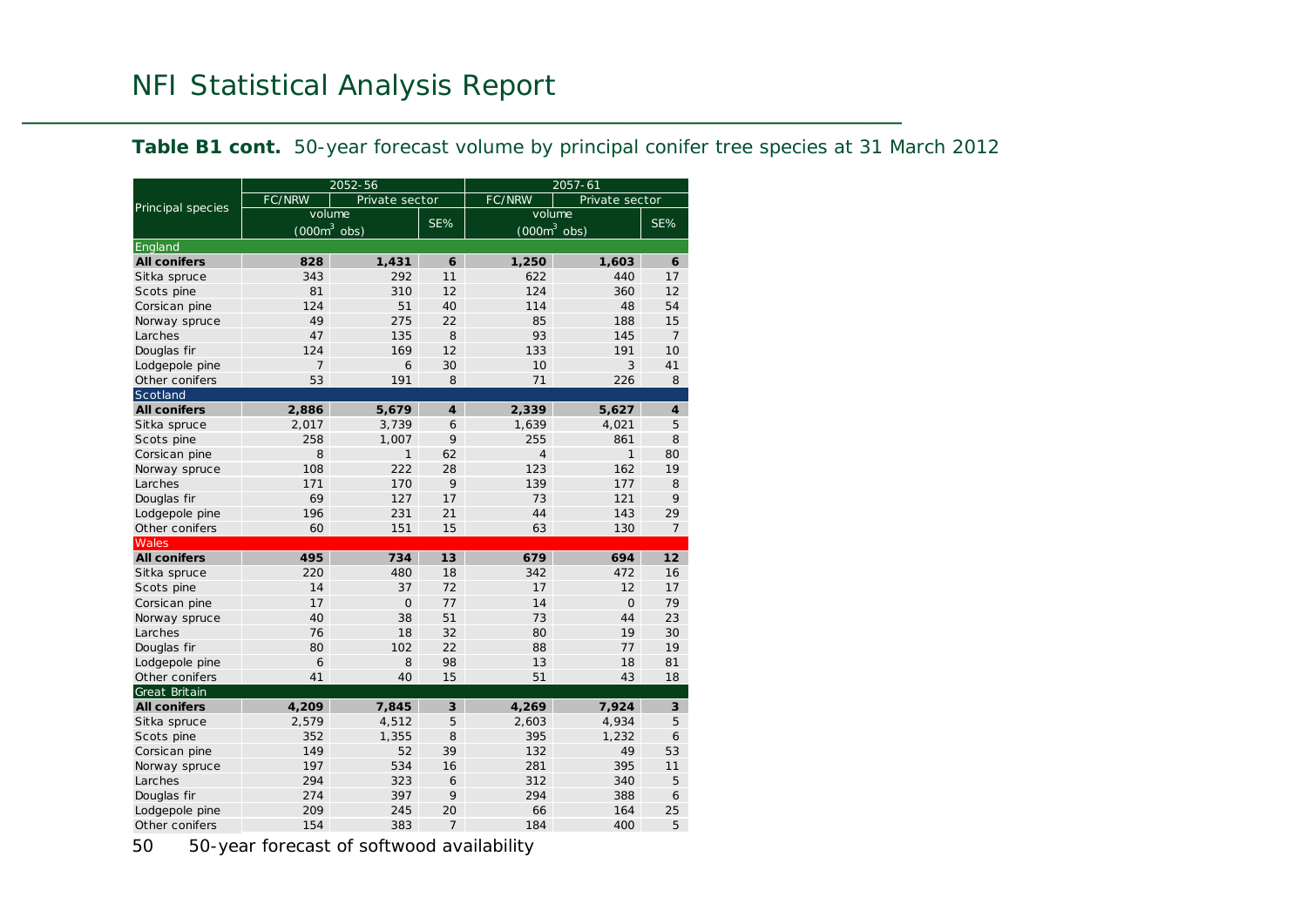|  |  |  | Table B1 cont. 50-year forecast volume by principal conifer tree species at 31 March 2012 |  |
|--|--|--|-------------------------------------------------------------------------------------------|--|
|--|--|--|-------------------------------------------------------------------------------------------|--|

|                     |                | 2052-56        |                             | $2057 - 61$    |                |                 |  |  |
|---------------------|----------------|----------------|-----------------------------|----------------|----------------|-----------------|--|--|
| Principal species   | FC/NRW         | Private sector |                             | <b>FC/NRW</b>  | Private sector |                 |  |  |
|                     | volume         |                | SE%                         | volume         |                | SE%             |  |  |
|                     | $(000m^3$ obs) |                |                             | $(000m3$ obs)  |                |                 |  |  |
| England             |                |                |                             |                |                |                 |  |  |
| <b>All conifers</b> | 828            | 1,431          | 6                           | 1,250          | 1,603          | 6               |  |  |
| Sitka spruce        | 343            | 292            | 11                          | 622            | 440            | 17              |  |  |
| Scots pine          | 81             | 310            | 12                          | 124            | 360            | 12              |  |  |
| Corsican pine       | 124            | 51             | 40                          | 114            | 48             | 54              |  |  |
| Norway spruce       | 49             | 275            | 22                          | 85             | 188            | 15              |  |  |
| Larches             | 47             | 135            | 8                           | 93             | 145            | $\overline{7}$  |  |  |
| Douglas fir         | 124            | 169            | 12                          | 133            | 191            | 10 <sup>1</sup> |  |  |
| Lodgepole pine      | $\overline{7}$ | 6              | 30                          | 10             | 3              | 41              |  |  |
| Other conifers      | 53             | 191            | 8                           | 71             | 226            | 8               |  |  |
| Scotland            |                |                |                             |                |                |                 |  |  |
| <b>All conifers</b> | 2,886          | 5,679          | $\overline{\boldsymbol{4}}$ | 2,339          | 5,627          | $\overline{4}$  |  |  |
| Sitka spruce        | 2,017          | 3,739          | 6                           | 1,639          | 4.021          | 5               |  |  |
| Scots pine          | 258            | 1,007          | 9                           | 255            | 861            | 8               |  |  |
| Corsican pine       | 8              | $\mathbf{1}$   | 62                          | $\overline{4}$ | $\mathbf{1}$   | 80              |  |  |
| Norway spruce       | 108            | 222            | 28                          | 123            | 162            | 19              |  |  |
| Larches             | 171            | 170            | 9                           | 139            | 177            | 8               |  |  |
| Douglas fir         | 69             | 127            | 17                          | 73             | 121            | 9               |  |  |
| Lodgepole pine      | 196            | 231            | 21                          | 44             | 143            | 29              |  |  |
| Other conifers      | 60             | 151            | 15                          | 63             | 130            | 7               |  |  |
| Wales               |                |                |                             |                |                |                 |  |  |
| <b>All conifers</b> | 495            | 734            | 13                          | 679            | 694            | 12 <sup>7</sup> |  |  |
| Sitka spruce        | 220            | 480            | 18                          | 342            | 472            | 16              |  |  |
| Scots pine          | 14             | 37             | 72                          | 17             | 12             | 17              |  |  |
| Corsican pine       | 17             | $\Omega$       | 77                          | 14             | $\Omega$       | 79              |  |  |
| Norway spruce       | 40             | 38             | 51                          | 73             | 44             | 23              |  |  |
| Larches             | 76             | 18             | 32                          | 80             | 19             | 30              |  |  |
| Douglas fir         | 80             | 102            | 22                          | 88             | 77             | 19              |  |  |
| Lodgepole pine      | 6              | 8              | 98                          | 13             | 18             | 81              |  |  |
| Other conifers      | 41             | 40             | 15                          | 51             | 43             | 18              |  |  |
| Great Britain       |                |                |                             |                |                |                 |  |  |
| <b>All conifers</b> | 4,209          | 7,845          | 3                           | 4,269          | 7,924          | 3               |  |  |
| Sitka spruce        | 2,579          | 4,512          | 5                           | 2,603          | 4,934          | 5               |  |  |
| Scots pine          | 352            | 1,355          | 8                           | 395            | 1,232          | 6               |  |  |
| Corsican pine       | 149            | 52             | 39                          | 132            | 49             | 53              |  |  |
| Norway spruce       | 197            | 534            | 16                          | 281            | 395            | 11              |  |  |
| Larches             | 294            | 323            | 6                           | 312            | 340            | 5               |  |  |
| Douglas fir         | 274            | 397            | 9                           | 294            | 388            | 6               |  |  |
| Lodgepole pine      | 209            | 245            | 20                          | 66             | 164            | 25              |  |  |
| Other conifers      | 154            | 383            | $\overline{7}$              | 184            | 400            | 5               |  |  |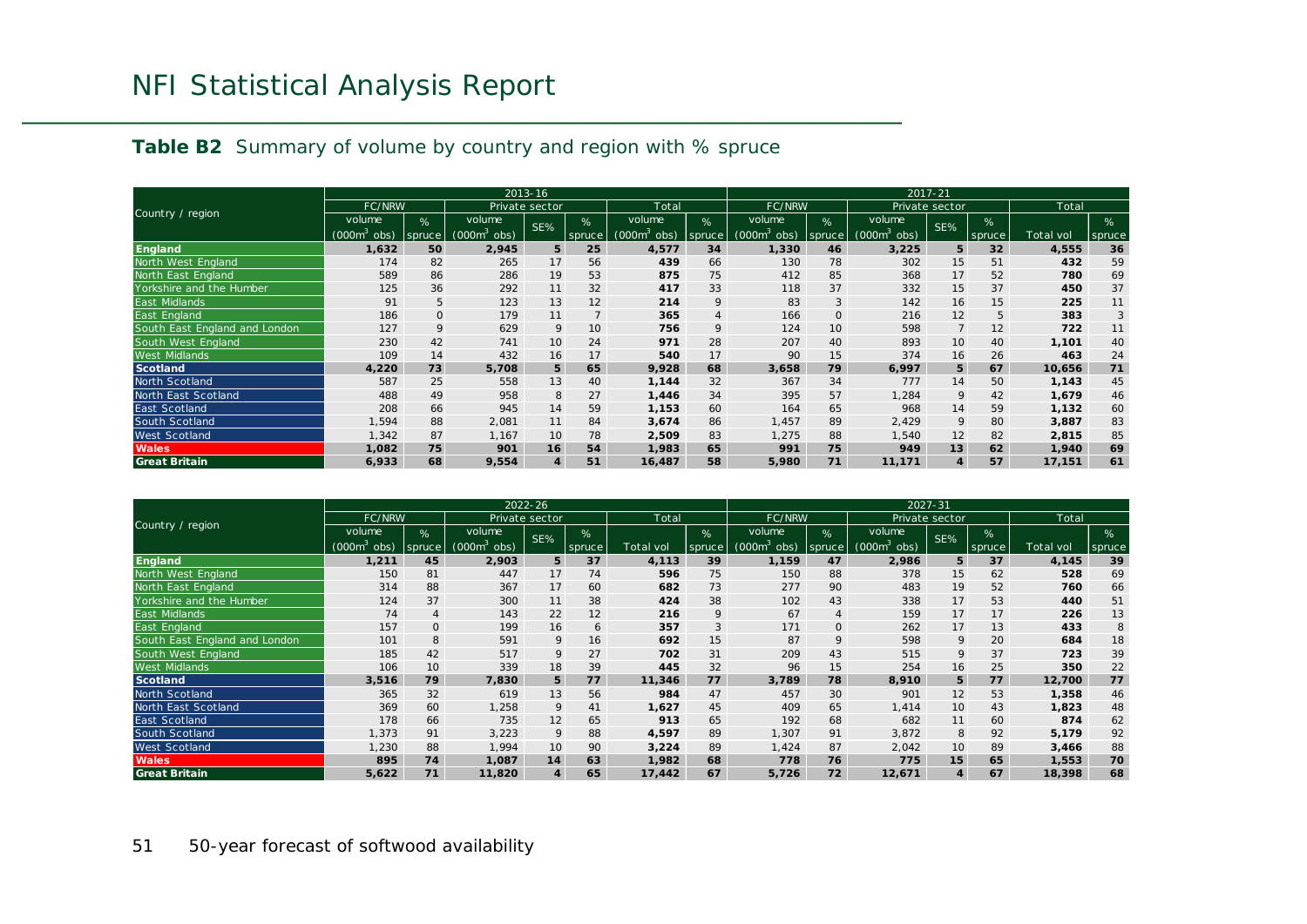|  | <b>Table B2</b> Summary of volume by country and region with % spruce |  |  |  |  |
|--|-----------------------------------------------------------------------|--|--|--|--|
|  |                                                                       |  |  |  |  |

|                               |                             | $2013 - 16$ |                |                |                 |                            |                |                            | 2017-21         |                |                |                 |                  |             |
|-------------------------------|-----------------------------|-------------|----------------|----------------|-----------------|----------------------------|----------------|----------------------------|-----------------|----------------|----------------|-----------------|------------------|-------------|
|                               | <b>FC/NRW</b>               |             |                | Private sector |                 | Total                      |                | FC/NRW                     |                 |                | Private sector |                 | Total            |             |
| Country / region              | volume                      | %           | volume         | SE%            | $\frac{9}{6}$   | volume                     | %              | volume                     | %               | volume         | SE%            | %               |                  | %           |
|                               | (000 <sub>m</sub> )<br>obs) | spruce      | obs)<br>(000m° |                | spruce          | (000m <sup>-</sup><br>obs) | spruce         | (000m <sup>3</sup><br>obs) | spruce          | (000m°<br>obs) |                | spruce          | <b>Total vol</b> | $spruc \in$ |
| England                       | 1,632                       | 50          | 2,945          | 5              | 25              | 4,577                      | 34             | 1,330                      | 46              | 3,225          | 5              | 32 <sub>2</sub> | 4,555            | 36          |
| North West England            | 174                         | 82          | 265            | 17             | 56              | 439                        | 66             | 130                        | 78              | 302            | 15             | 51              | 432              | 59          |
| North East England            | 589                         | 86          | 286            | 19             | 53              | 875                        | 75             | 412                        | 85              | 368            | 17             | 52              | 780              | 69          |
| Yorkshire and the Humber      | 125                         | 36          | 292            | 11             | 32              | 417                        | 33             | 118                        | 37              | 332            | 15             | 37              | 450              | 37          |
| East Midlands                 | 91                          | 5           | 123            | 13             | 12              | 214                        | 9              | 83                         | $\mathbf{3}$    | 142            | 16             | 15              | 225              | 11          |
| East England                  | 186                         | O           | 179            | 11             |                 | 365                        | $\overline{4}$ | 166                        | $\mathbf{0}$    | 216            | 12             | 5               | 383              | 3           |
| South East England and London | 127                         | 9           | 629            | 9              | 10 <sup>°</sup> | 756                        | 9              | 124                        | 10 <sup>°</sup> | 598            | $\overline{7}$ | 12              | 722              | 11          |
| South West England            | 230                         | 42          | 741            | 10             | 24              | 971                        | 28             | 207                        | 40              | 893            | 10             | 40              | 1,101            | 40          |
| <b>West Midlands</b>          | 109                         | 14          | 432            | 16             | 17              | 540                        | 17             | 90                         | 15              | 374            | 16             | 26              | 463              | 24          |
| <b>Scotland</b>               | 4,220                       | 73          | 5,708          | 5              | 65              | 9,928                      | 68             | 3,658                      | 79              | 6,997          | 5              | 67              | 10,656           | 71          |
| North Scotland                | 587                         | 25          | 558            | 13             | 40              | 1,144                      | 32             | 367                        | 34              | 777            | 14             | 50              | 1,143            | 45          |
| North East Scotland           | 488                         | 49          | 958            | 8              | 27              | 1,446                      | 34             | 395                        | 57              | 1,284          | 9              | 42              | 1,679            | 46          |
| <b>East Scotland</b>          | 208                         | 66          | 945            | 14             | 59              | 1,153                      | 60             | 164                        | 65              | 968            | 14             | 59              | 1,132            | 60          |
| South Scotland                | 1,594                       | 88          | 2,081          | 11             | 84              | 3,674                      | 86             | 1.457                      | 89              | 2.429          | 9              | 80              | 3,887            | 83          |
| West Scotland                 | 1,342                       | 87          | 1,167          | 10             | 78              | 2,509                      | 83             | 1,275                      | 88              | 1,540          | 12             | 82              | 2,815            | 85          |
| <b>Wales</b>                  | 1,082                       | 75          | 901            | 16             | 54              | 1,983                      | 65             | 991                        | 75              | 949            | 13             | 62              | 1,940            | 69          |
| <b>Great Britain</b>          | 6,933                       | 68          | 9,554          | 4              | 51              | 16,487                     | 58             | 5,980                      | 71              | 11,171         | $\overline{4}$ | 57              | 17,151           | 61          |

|                               |                    |                |                          | $2022 - 26$    |        |           |        |                          |         |                    | 2027-31        |        |           |        |
|-------------------------------|--------------------|----------------|--------------------------|----------------|--------|-----------|--------|--------------------------|---------|--------------------|----------------|--------|-----------|--------|
|                               | <b>FC/NRW</b>      |                |                          | Private sector |        | Total     |        | <b>FC/NRW</b>            |         |                    | Private sector |        | Total     |        |
| Country / region              | volume             | %              | volume                   | SE%            | %      |           | %      | volume                   | %       | volume             | SE%            | %      |           | %      |
|                               | $(000m^3)$<br>obs) | spruce         | (000m $^{\circ}$<br>obs) |                | spruce | Total vol | spruce | (000m $^{\circ}$<br>obs) | spruce. | (000 $m^3$<br>obs) |                | spruce | Total vol | spruce |
| <b>England</b>                | 1,211              | 45             | 2,903                    | 5              | 37     | 4,113     | 39     | 1,159                    | 47      | 2,986              | 5              | 37     | 4,145     | 39     |
| North West England            | 150                | 81             | 447                      | 17             | 74     | 596       | 75     | 150                      | 88      | 378                | 15             | 62     | 528       | 69     |
| North East England            | 314                | 88             | 367                      | 17             | 60     | 682       | 73     | 277                      | 90      | 483                | 19             | 52     | 760       | 66     |
| Yorkshire and the Humber      | 124                | 37             | 300                      | 11             | 38     | 424       | 38     | 102                      | 43      | 338                | 17             | 53     | 440       | 51     |
| <b>East Midlands</b>          | 74                 | $\overline{4}$ | 143                      | 22             | 12     | 216       | 9      | 67                       | 4       | 159                | 17             | 17     | 226       | 13     |
| East England                  | 157                | $\mathsf{O}$   | 199                      | 16             | 6      | 357       | 3      | 171                      | $\circ$ | 262                | 17             | 13     | 433       | 8      |
| South East England and London | 101                | 8              | 591                      | 9              | 16     | 692       | 15     | 87                       | 9       | 598                | 9              | 20     | 684       | 18     |
| South West England            | 185                | 42             | 517                      | 9              | 27     | 702       | 31     | 209                      | 43      | 515                | 9              | 37     | 723       | 39     |
| <b>West Midlands</b>          | 106                | 10             | 339                      | 18             | 39     | 445       | 32     | 96                       | 15      | 254                | 16             | 25     | 350       | 22     |
| <b>Scotland</b>               | 3,516              | 79             | 7,830                    | 5              | 77     | 11,346    | 77     | 3,789                    | 78      | 8,910              | 5              | 77     | 12,700    | 77     |
| North Scotland                | 365                | 32             | 619                      | 13             | 56     | 984       | 47     | 457                      | 30      | 901                | 12             | 53     | 1,358     | 46     |
| North East Scotland           | 369                | 60             | 1,258                    | 9              | 41     | 1,627     | 45     | 409                      | 65      | 1.414              | 10             | 43     | 1,823     | 48     |
| East Scotland                 | 178                | 66             | 735                      | 12             | 65     | 913       | 65     | 192                      | 68      | 682                | 11             | 60     | 874       | 62     |
| South Scotland                | 1,373              | 91             | 3,223                    | 9              | 88     | 4,597     | 89     | 1,307                    | 91      | 3,872              | 8              | 92     | 5,179     | 92     |
| West Scotland                 | 1,230              | 88             | 1,994                    | 10             | 90     | 3,224     | 89     | 1,424                    | 87      | 2,042              | 10             | 89     | 3,466     | 88     |
| <b>Wales</b>                  | 895                | 74             | 1,087                    | 14             | 63     | 1,982     | 68     | 778                      | 76      | 775                | 15             | 65     | 1,553     | 70     |
| <b>Great Britain</b>          | 5,622              | 71             | 11,820                   | 4              | 65     | 17,442    | 67     | 5,726                    | 72      | 12,671             | $\overline{4}$ | 67     | 18,398    | 68     |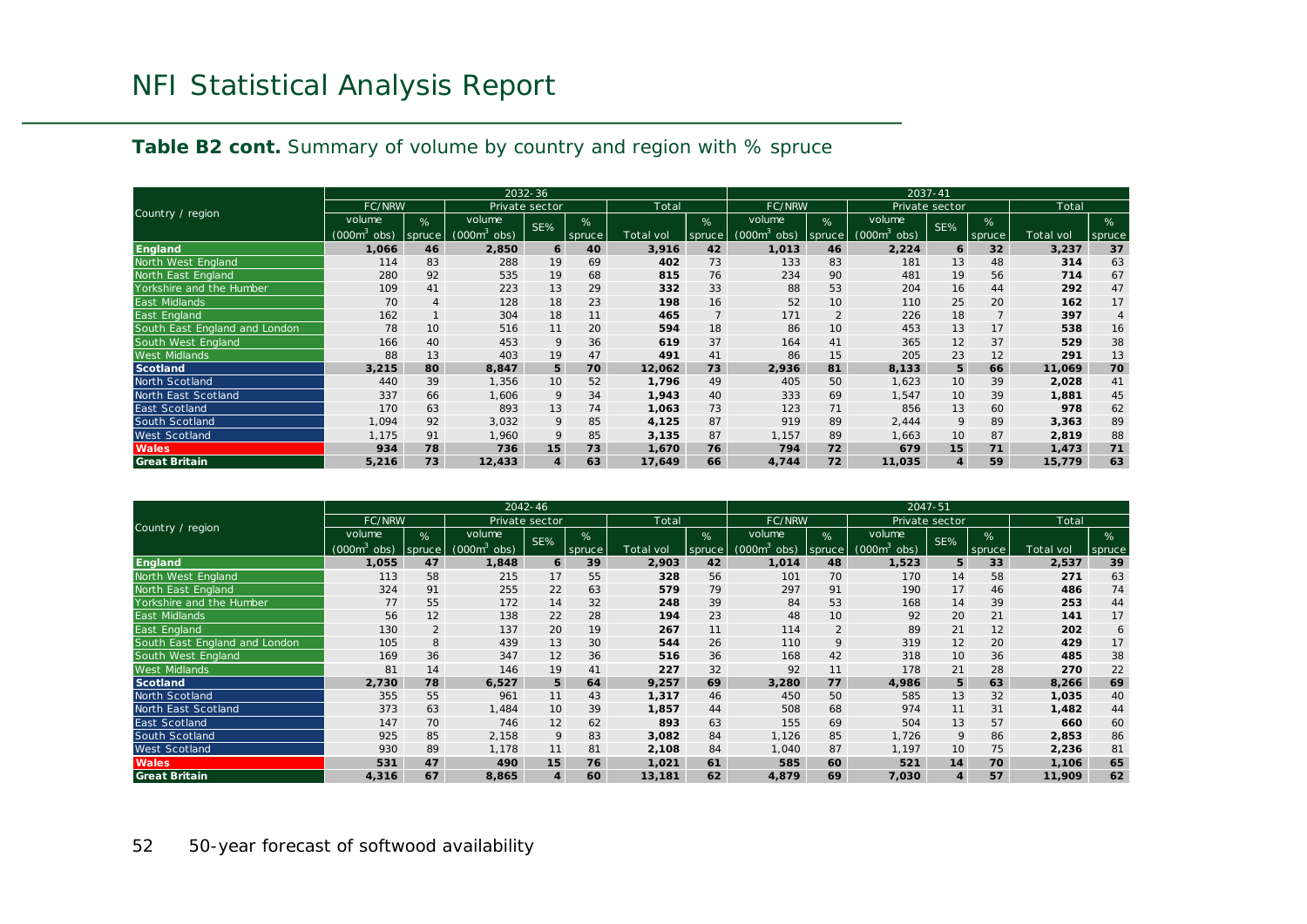### **Table B2 cont.** Summary of volume by country and region with % spruce

|                               |                             | 2032-36        |                           |                  |        |           |        |                            |                |                             | 2037-41        |        |                  |                |
|-------------------------------|-----------------------------|----------------|---------------------------|------------------|--------|-----------|--------|----------------------------|----------------|-----------------------------|----------------|--------|------------------|----------------|
|                               | <b>FC/NRW</b>               |                |                           | Private sector   |        | Total     |        | FC/NRW                     |                |                             | Private sector |        | Total            |                |
| Country / region              | volume                      | %              | volume                    | SE%              | %      |           | %      | volume                     | %              | volume                      | SE%            | %      |                  | %              |
|                               | (000 <sub>m</sub> )<br>obs) | spruce         | obs)<br>$(000\text{m}^3)$ |                  | spruce | Total vol | spruce | (000m <sup>3</sup><br>obs) | spruce         | (000 <sup>3</sup> )<br>obs) |                | spruce | <b>Total vol</b> | spruce         |
| <b>England</b>                | 1,066                       | 46             | 2,850                     | 6                | 40     | 3,916     | 42     | 1,013                      | 46             | 2,224                       | 6              | 32     | 3,237            | 37             |
| North West England            | 114                         | 83             | 288                       | 19               | 69     | 402       | 73     | 133                        | 83             | 181                         | 13             | 48     | 314              | 63             |
| North East England            | 280                         | 92             | 535                       | 19               | 68     | 815       | 76     | 234                        | 90             | 481                         | 19             | 56     | 714              | 67             |
| Yorkshire and the Humber      | 109                         | 41             | 223                       | 13               | 29     | 332       | 33     | 88                         | 53             | 204                         | 16             | 44     | 292              | 47             |
| <b>East Midlands</b>          | 70                          | $\overline{4}$ | 128                       | 18               | 23     | 198       | 16     | 52                         | 10             | 110                         | 25             | 20     | 162              | 17             |
| East England                  | 162                         |                | 304                       | 18               | 11     | 465       |        | 171                        | $\overline{2}$ | 226                         | 18             |        | 397              | $\overline{4}$ |
| South East England and London | 78                          | 10             | 516                       | 11               | 20     | 594       | 18     | 86                         | 10             | 453                         | 13             | 17     | 538              | 16             |
| South West England            | 166                         | 40             | 453                       | 9                | 36     | 619       | 37     | 164                        | 41             | 365                         | 12             | 37     | 529              | 38             |
| <b>West Midlands</b>          | 88                          | 13             | 403                       | 19               | 47     | 491       | 41     | 86                         | 15             | 205                         | 23             | 12     | 291              | 13             |
| <b>Scotland</b>               | 3,215                       | 80             | 8,847                     | 5                | 70     | 12,062    | 73     | 2,936                      | 81             | 8,133                       | 5              | 66     | 11,069           | 70             |
| North Scotland                | 440                         | 39             | 1,356                     | 10               | 52     | 1,796     | 49     | 405                        | 50             | 1,623                       | 10             | 39     | 2,028            | 41             |
| North East Scotland           | 337                         | 66             | 1,606                     | 9                | 34     | 1,943     | 40     | 333                        | 69             | 1,547                       | 10             | 39     | 1,881            | 45             |
| East Scotland                 | 170                         | 63             | 893                       | 13               | 74     | 1,063     | 73     | 123                        | 71             | 856                         | 13             | 60     | 978              | 62             |
| South Scotland                | 1,094                       | 92             | 3,032                     | 9                | 85     | 4,125     | 87     | 919                        | 89             | 2,444                       | 9              | 89     | 3,363            | 89             |
| West Scotland                 | 1,175                       | 91             | 1,960                     | 9                | 85     | 3,135     | 87     | 1,157                      | 89             | 1,663                       | 10             | 87     | 2,819            | 88             |
| <b>Wales</b>                  | 934                         | 78             | 736                       | 15               | 73     | 1,670     | 76     | 794                        | 72             | 679                         | 15             | 71     | 1,473            | 71             |
| <b>Great Britain</b>          | 5,216                       | 73             | 12,433                    | $\boldsymbol{4}$ | 63     | 17,649    | 66     | 4,744                      | 72             | 11,035                      | $\overline{4}$ | 59     | 15,779           | 63             |

|                               |                              |                |                            | $2042 - 46$    |                 |                  |        |                          |                |                    | 2047-51        |        |           |        |
|-------------------------------|------------------------------|----------------|----------------------------|----------------|-----------------|------------------|--------|--------------------------|----------------|--------------------|----------------|--------|-----------|--------|
|                               | <b>FC/NRW</b>                |                |                            | Private sector |                 | Total            |        | <b>FC/NRW</b>            |                |                    | Private sector |        | Total     |        |
| Country / region              | volume                       | %              | volume                     | SE%            | $\overline{\%}$ |                  | %      | volume                   | %              | volume             | SE%            | %      |           | %      |
|                               | (000m <sup>3</sup> )<br>obs) | spruce         | (000m <sup>-</sup><br>obs) |                | spruce          | <b>Total</b> vol | spruce | (000m $^{\circ}$<br>obs) | spruce         | (000 $m^3$<br>obs) |                | spruce | Total vol | spruce |
| <b>England</b>                | 1,055                        | 47             | 1,848                      | 6              | 39              | 2,903            | 42     | 1,014                    | 48             | 1,523              | 5              | 33     | 2,537     | 39     |
| North West England            | 113                          | 58             | 215                        | 17             | 55              | 328              | 56     | 101                      | 70             | 170                | 14             | 58     | 271       | 63     |
| North East England            | 324                          | 91             | 255                        | 22             | 63              | 579              | 79     | 297                      | 91             | 190                | 17             | 46     | 486       | 74     |
| Yorkshire and the Humber      | 77                           | 55             | 172                        | 14             | 32              | 248              | 39     | 84                       | 53             | 168                | 14             | 39     | 253       | 44     |
| <b>East Midlands</b>          | 56                           | 12             | 138                        | 22             | 28              | 194              | 23     | 48                       | 10             | 92                 | 20             | 21     | 141       | 17     |
| East England                  | 130                          | $\overline{2}$ | 137                        | 20             | 19              | 267              | 11     | 114                      | $\overline{2}$ | 89                 | 21             | 12     | 202       | 6      |
| South East England and London | 105                          | 8              | 439                        | 13             | 30              | 544              | 26     | 110                      | 9              | 319                | 12             | 20     | 429       | 17     |
| South West England            | 169                          | 36             | 347                        | 12             | 36              | 516              | 36     | 168                      | 42             | 318                | 10             | 36     | 485       | 38     |
| <b>West Midlands</b>          | 81                           | 14             | 146                        | 19             | 41              | 227              | 32     | 92                       | 11             | 178                | 21             | 28     | 270       | 22     |
| <b>Scotland</b>               | 2,730                        | 78             | 6,527                      | 5              | 64              | 9,257            | 69     | 3,280                    | 77             | 4,986              | 5              | 63     | 8,266     | 69     |
| North Scotland                | 355                          | 55             | 961                        | 11             | 43              | 1,317            | 46     | 450                      | 50             | 585                | 13             | 32     | 1,035     | 40     |
| North East Scotland           | 373                          | 63             | 1,484                      | 10             | 39              | 1,857            | 44     | 508                      | 68             | 974                | 11             | 31     | 1,482     | 44     |
| East Scotland                 | 147                          | 70             | 746                        | 12             | 62              | 893              | 63     | 155                      | 69             | 504                | 13             | 57     | 660       | 60     |
| South Scotland                | 925                          | 85             | 2,158                      | 9              | 83              | 3,082            | 84     | 1,126                    | 85             | 1,726              | 9              | 86     | 2,853     | 86     |
| West Scotland                 | 930                          | 89             | 1,178                      | 11             | 81              | 2,108            | 84     | 1,040                    | 87             | 1,197              | 10             | 75     | 2,236     | 81     |
| <b>Wales</b>                  | 531                          | 47             | 490                        | 15             | 76              | 1,021            | 61     | 585                      | 60             | 521                | 14             | 70     | 1,106     | 65     |
| <b>Great Britain</b>          | 4,316                        | 67             | 8,865                      | 4              | 60              | 13,181           | 62     | 4,879                    | 69             | 7,030              | $\overline{4}$ | 57     | 11,909    | 62     |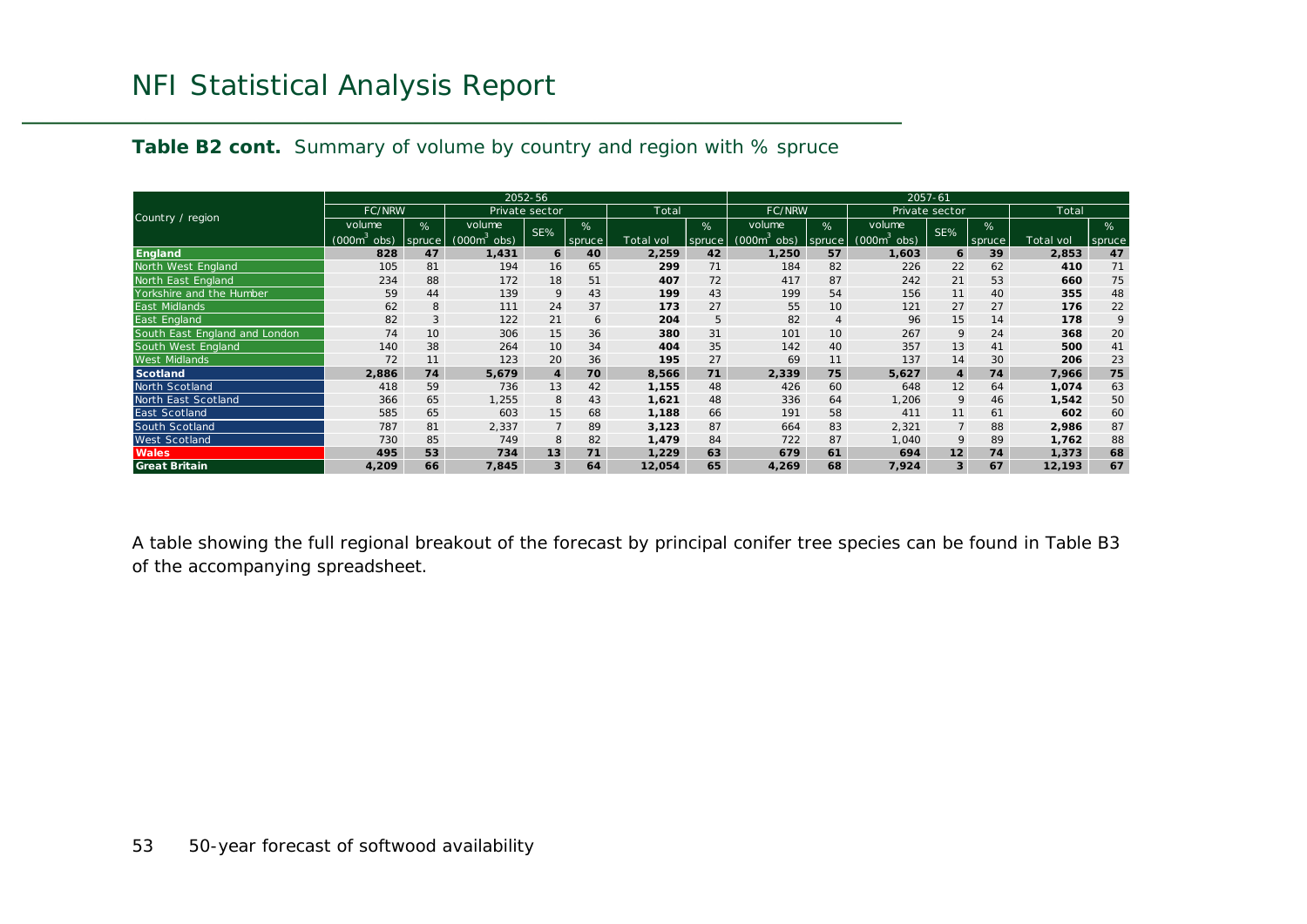|                               |                             |        |                | 2052-56        |        |           |        |                            |        |                         | $2057 - 61$      |        |            |        |
|-------------------------------|-----------------------------|--------|----------------|----------------|--------|-----------|--------|----------------------------|--------|-------------------------|------------------|--------|------------|--------|
|                               | <b>FC/NRW</b>               |        |                | Private sector |        | Total     |        | <b>FC/NRW</b>              |        |                         | Private sector   |        | Total      |        |
| Country / region              | volume                      | %      | volume         | SE%            | %      |           | $\%$   | volume                     | %      | volume                  | SE%              | %      |            | %      |
|                               | (000 <sup>o</sup> )<br>obs) | spruce | (000m`<br>obs) |                | spruce | Total vol | spruce | (000m <sup>3</sup><br>obs) | spruce | (000m <sup>3</sup> obs) |                  | spruce | Total vol. | spruce |
| <b>England</b>                | 828                         | 47     | 1,431          | 6              | 40     | 2,259     | 42     | 1,250                      | 57     | 1,603                   | 6                | 39     | 2,853      | 47     |
| North West England            | 105                         | 81     | 194            | 16             | 65     | 299       | 71     | 184                        | 82     | 226                     | 22               | 62     | 410        | 71     |
| North East England            | 234                         | 88     | 172            | 18             | 51     | 407       | 72     | 417                        | 87     | 242                     | 21               | 53     | 660        | 75     |
| Yorkshire and the Humber      | 59                          | 44     | 139            | 9              | 43     | 199       | 43     | 199                        | 54     | 156                     | 11               | 40     | 355        | 48     |
| <b>East Midlands</b>          | 62                          | 8      | 111            | 24             | 37     | 173       | 27     | 55                         | 10     | 121                     | 27               | 27     | 176        | 22     |
| East England                  | 82                          | 3      | 122            | 21             | 6      | 204       | 5      | 82                         | 4      | 96                      | 15               | 14     | 178        | 9      |
| South East England and London | 74                          | 10     | 306            | 15             | 36     | 380       | 31     | 101                        | 10     | 267                     | 9                | 24     | 368        | 20     |
| South West England            | 140                         | 38     | 264            | 10             | 34     | 404       | 35     | 142                        | 40     | 357                     | 13               | 41     | 500        | 41     |
| <b>West Midlands</b>          | 72                          | 11     | 123            | 20             | 36     | 195       | 27     | 69                         | 11     | 137                     | 14               | 30     | 206        | 23     |
| <b>Scotland</b>               | 2,886                       | 74     | 5,679          | $\overline{4}$ | 70     | 8,566     | 71     | 2,339                      | 75     | 5,627                   | $\boldsymbol{4}$ | 74     | 7,966      | 75     |
| North Scotland                | 418                         | 59     | 736            | 13             | 42     | 1,155     | 48     | 426                        | 60     | 648                     | 12               | 64     | 1,074      | 63     |
| North East Scotland           | 366                         | 65     | 1,255          | 8              | 43     | 1,621     | 48     | 336                        | 64     | 1,206                   | 9                | 46     | 1,542      | 50     |
| East Scotland                 | 585                         | 65     | 603            | 15             | 68     | 1,188     | 66     | 191                        | 58     | 411                     | 11               | 61     | 602        | 60     |
| South Scotland                | 787                         | 81     | 2,337          | $\overline{7}$ | 89     | 3,123     | 87     | 664                        | 83     | 2,321                   | $\overline{7}$   | 88     | 2,986      | 87     |
| West Scotland                 | 730                         | 85     | 749            | 8              | 82     | 1,479     | 84     | 722                        | 87     | 1,040                   | 9                | 89     | 1,762      | 88     |
| <b>Wales</b>                  | 495                         | 53     | 734            | 13             | 71     | 1,229     | 63     | 679                        | 61     | 694                     | 12               | 74     | 1,373      | 68     |
| <b>Great Britain</b>          | 4,209                       | 66     | 7,845          | 3              | 64     | 12,054    | 65     | 4,269                      | 68     | 7,924                   | 3                | 67     | 12,193     | 67     |

**Table B2 cont.** Summary of volume by country and region with % spruce

A table showing the full regional breakout of the forecast by principal conifer tree species can be found in Table B3 of the accompanying spreadsheet.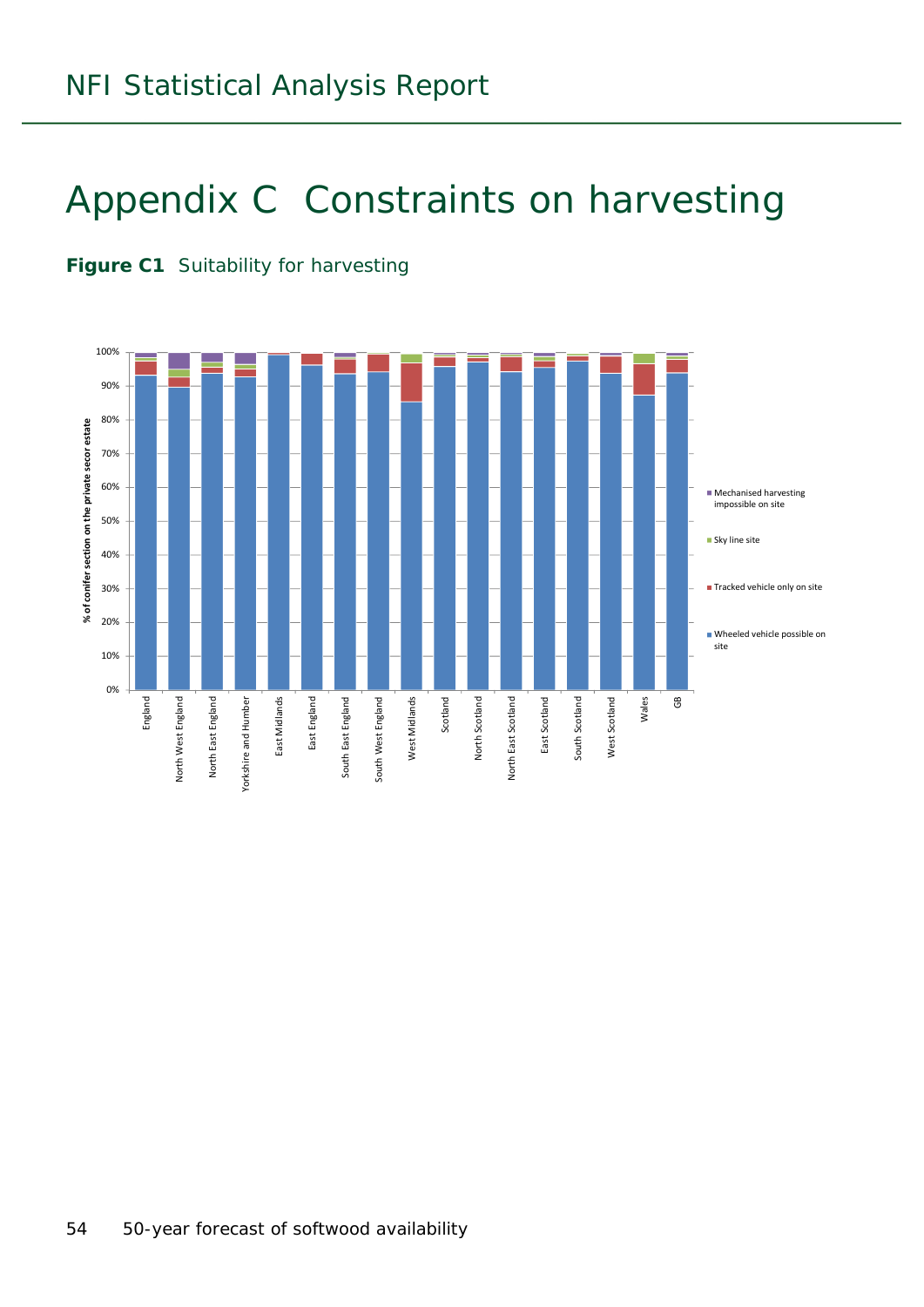## Appendix C Constraints on harvesting

#### **Figure C1** Suitability for harvesting

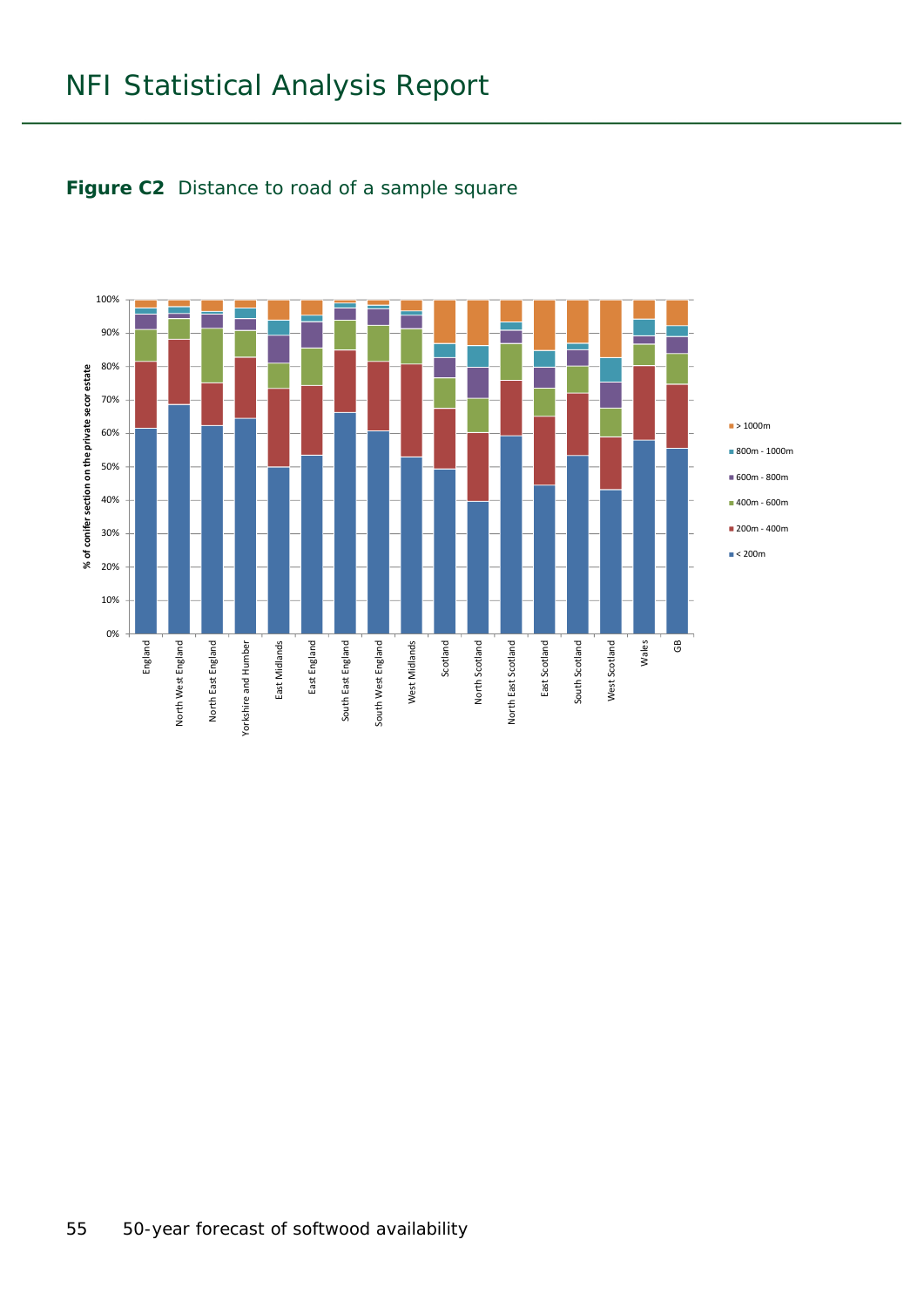

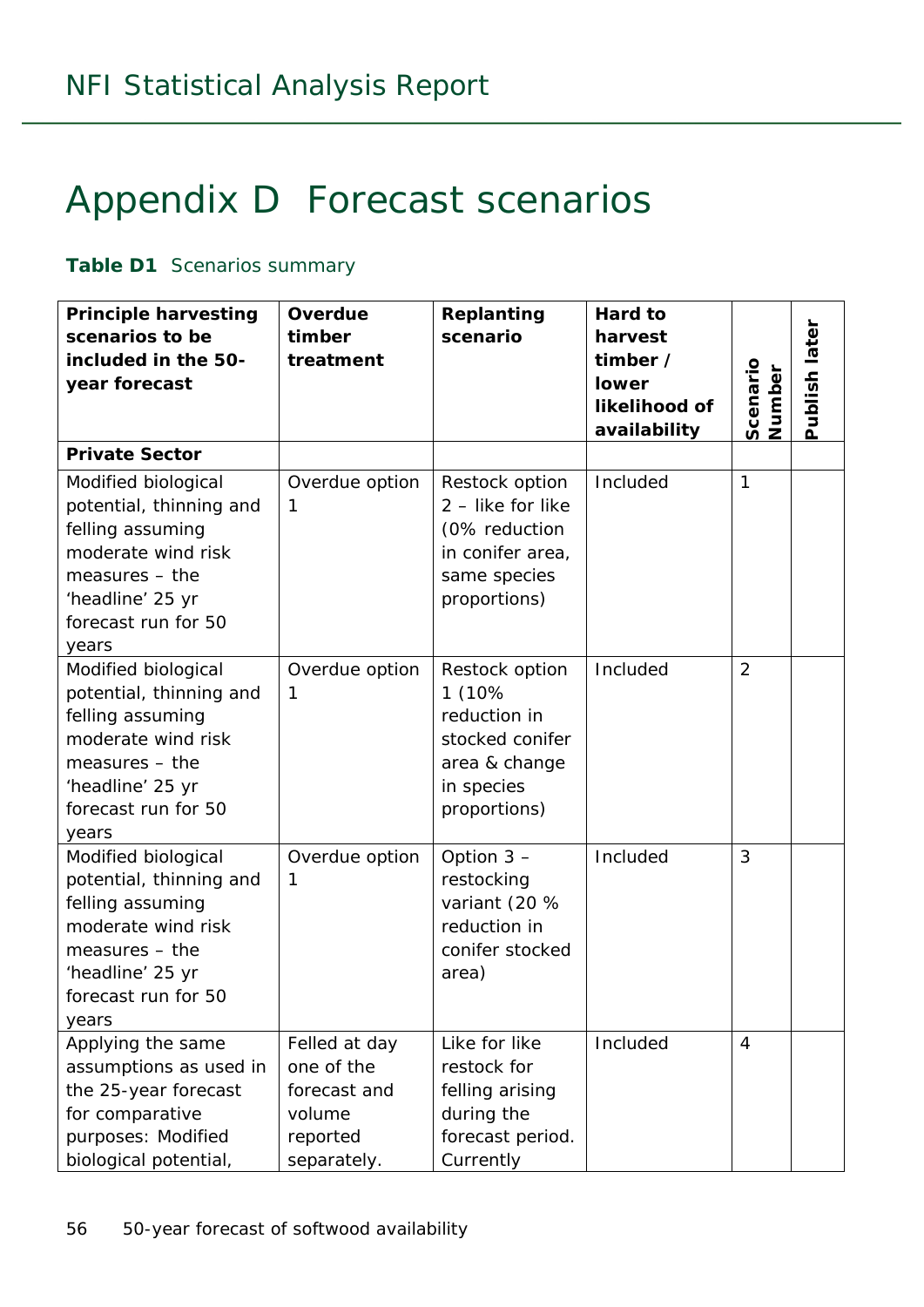## Appendix D Forecast scenarios

#### **Table D1** Scenarios summary

| <b>Principle harvesting</b><br>scenarios to be<br>included in the 50-<br>year forecast                                                                           | Overdue<br>timber<br>treatment                                                   | Replanting<br>scenario                                                                                     | Hard to<br>harvest<br>timber /<br><b>lower</b><br>likelihood of<br>availability | Scenario<br>Number | Publish later |
|------------------------------------------------------------------------------------------------------------------------------------------------------------------|----------------------------------------------------------------------------------|------------------------------------------------------------------------------------------------------------|---------------------------------------------------------------------------------|--------------------|---------------|
| <b>Private Sector</b>                                                                                                                                            |                                                                                  |                                                                                                            |                                                                                 |                    |               |
| Modified biological<br>potential, thinning and<br>felling assuming<br>moderate wind risk<br>$measures - the$<br>'headline' 25 yr<br>forecast run for 50<br>years | Overdue option<br>1                                                              | Restock option<br>2 - like for like<br>(0% reduction<br>in conifer area,<br>same species<br>proportions)   | Included                                                                        | $\mathbf{1}$       |               |
| Modified biological<br>potential, thinning and<br>felling assuming<br>moderate wind risk<br>$measures - the$<br>'headline' 25 yr<br>forecast run for 50<br>years | Overdue option<br>1                                                              | Restock option<br>1 (10%<br>reduction in<br>stocked conifer<br>area & change<br>in species<br>proportions) | Included                                                                        | $\overline{2}$     |               |
| Modified biological<br>potential, thinning and<br>felling assuming<br>moderate wind risk<br>$measures - the$<br>'headline' 25 yr<br>forecast run for 50<br>years | Overdue option<br>1                                                              | Option $3 -$<br>restocking<br>variant (20 %<br>reduction in<br>conifer stocked<br>area)                    | Included                                                                        | 3                  |               |
| Applying the same<br>assumptions as used in<br>the 25-year forecast<br>for comparative<br>purposes: Modified<br>biological potential,                            | Felled at day<br>one of the<br>forecast and<br>volume<br>reported<br>separately. | Like for like<br>restock for<br>felling arising<br>during the<br>forecast period.<br>Currently             | Included                                                                        | $\overline{4}$     |               |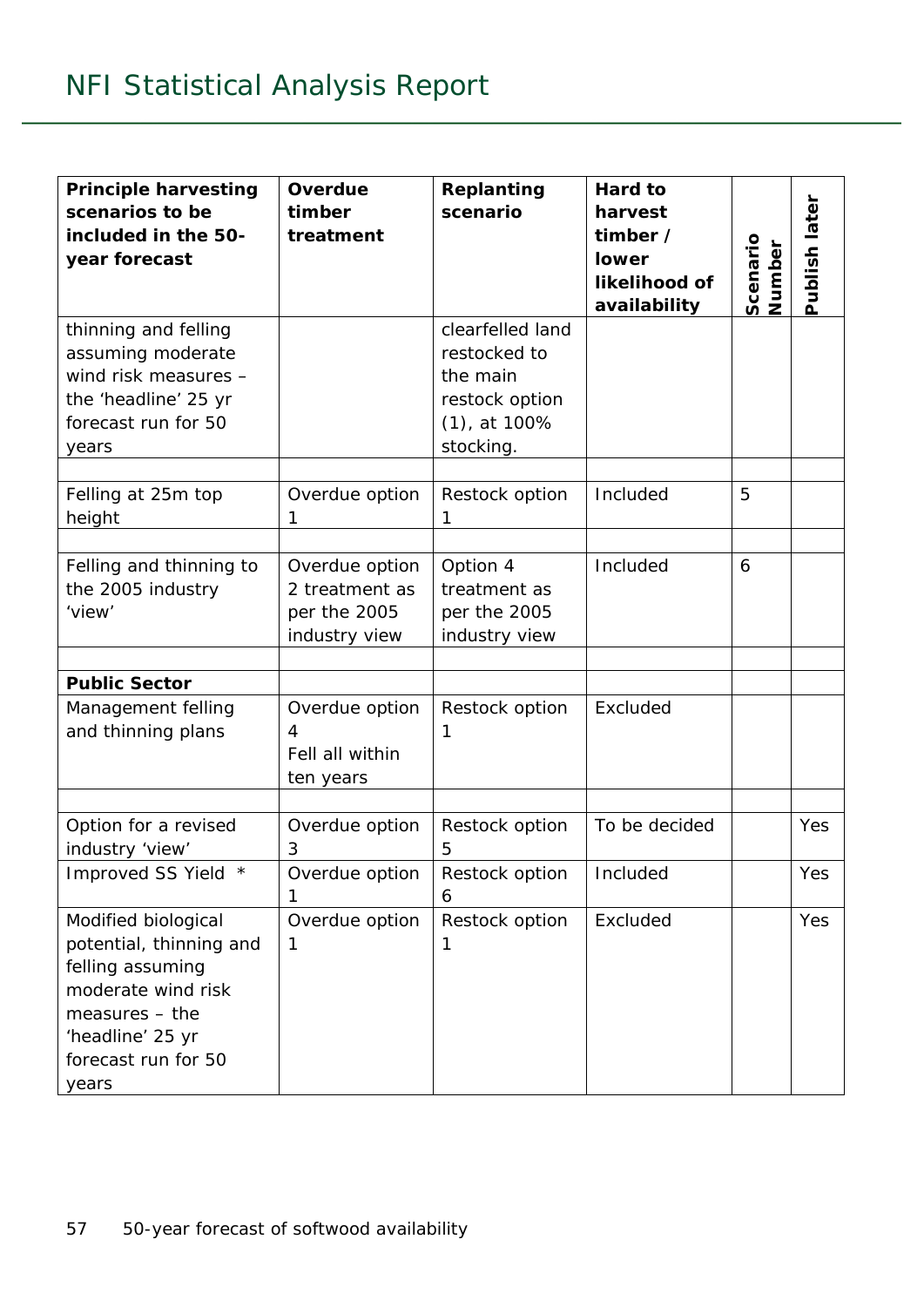| <b>Principle harvesting</b><br>scenarios to be<br>included in the 50-<br>year forecast                                                                           | Overdue<br>timber<br>treatment                                    | Replanting<br>scenario                                                                         | Hard to<br>harvest<br>timber /<br>lower<br>likelihood of<br>availability | Scenario<br>Number | Publish later |
|------------------------------------------------------------------------------------------------------------------------------------------------------------------|-------------------------------------------------------------------|------------------------------------------------------------------------------------------------|--------------------------------------------------------------------------|--------------------|---------------|
| thinning and felling<br>assuming moderate<br>wind risk measures -<br>the 'headline' 25 yr<br>forecast run for 50<br>years                                        |                                                                   | clearfelled land<br>restocked to<br>the main<br>restock option<br>$(1)$ , at 100%<br>stocking. |                                                                          |                    |               |
| Felling at 25m top<br>height                                                                                                                                     | Overdue option<br>1                                               | Restock option<br>1                                                                            | Included                                                                 | 5                  |               |
| Felling and thinning to<br>the 2005 industry<br>'view'                                                                                                           | Overdue option<br>2 treatment as<br>per the 2005<br>industry view | Option 4<br>treatment as<br>per the 2005<br>industry view                                      | Included                                                                 | 6                  |               |
| <b>Public Sector</b>                                                                                                                                             |                                                                   |                                                                                                |                                                                          |                    |               |
| Management felling<br>and thinning plans                                                                                                                         | Overdue option<br>4<br>Fell all within<br>ten years               | Restock option<br>1                                                                            | Excluded                                                                 |                    |               |
| Option for a revised<br>industry 'view'                                                                                                                          | Overdue option<br>3                                               | Restock option<br>5                                                                            | To be decided                                                            |                    | Yes           |
| Improved SS Yield *                                                                                                                                              | Overdue option                                                    | Restock option<br>6                                                                            | Included                                                                 |                    | Yes           |
| Modified biological<br>potential, thinning and<br>felling assuming<br>moderate wind risk<br>$measures - the$<br>'headline' 25 yr<br>forecast run for 50<br>years | Overdue option<br>1                                               | Restock option<br>1                                                                            | Excluded                                                                 |                    | Yes           |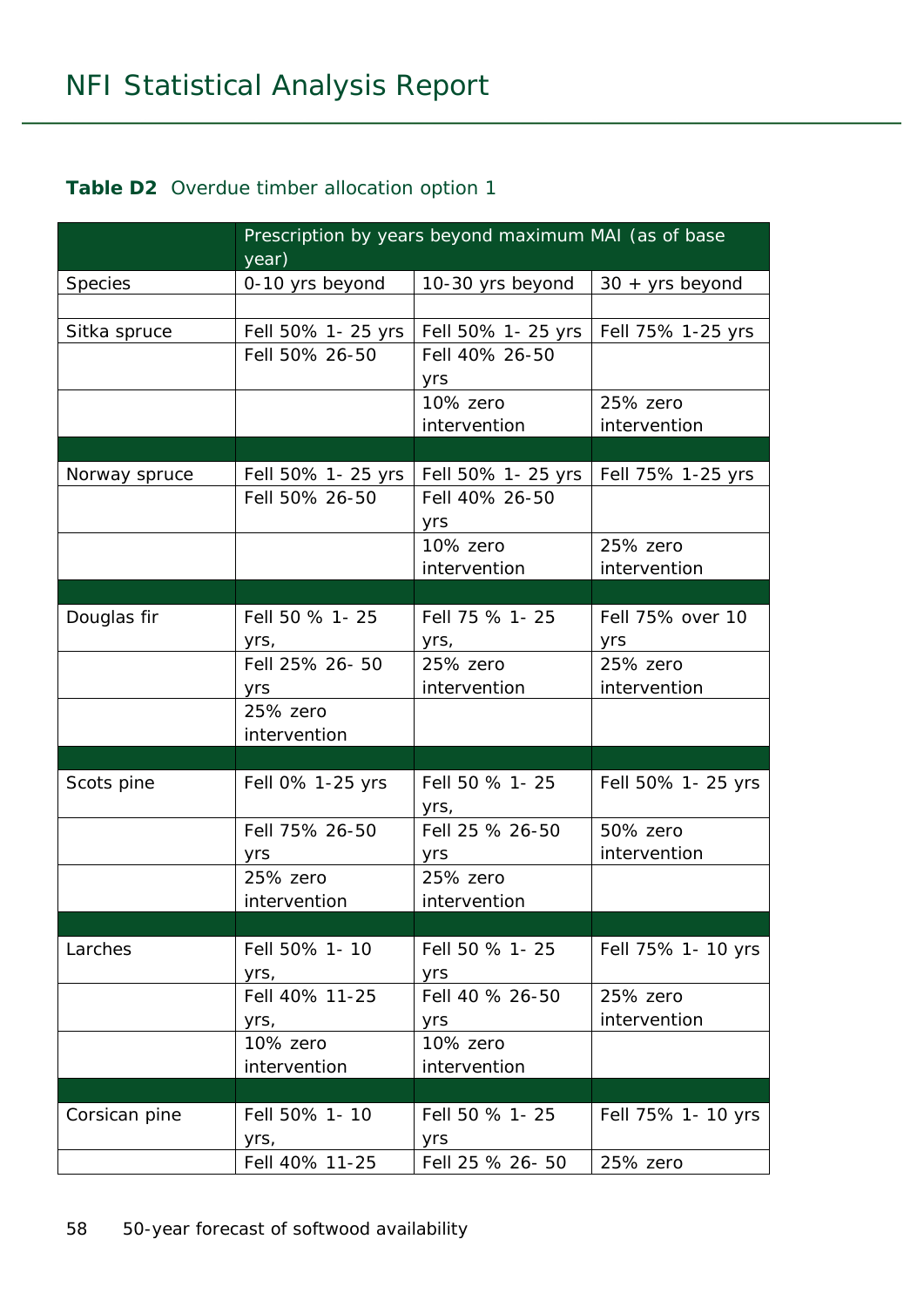#### **Table D2** Overdue timber allocation option 1

|               | year)                 | Prescription by years beyond maximum MAI (as of base |                    |
|---------------|-----------------------|------------------------------------------------------|--------------------|
| Species       | 0-10 yrs beyond       | 10-30 yrs beyond                                     | $30 + yrs$ beyond  |
|               |                       |                                                      |                    |
| Sitka spruce  | Fell 50% 1- 25 yrs    | Fell 50% 1- 25 yrs                                   | Fell 75% 1-25 yrs  |
|               | Fell 50% 26-50        | Fell 40% 26-50                                       |                    |
|               |                       | yrs                                                  |                    |
|               |                       | 10% zero                                             | 25% zero           |
|               |                       | intervention                                         | intervention       |
|               |                       |                                                      |                    |
| Norway spruce | Fell 50% 1- 25 yrs    | Fell 50% 1- 25 yrs                                   | Fell 75% 1-25 yrs  |
|               | Fell 50% 26-50        | Fell 40% 26-50                                       |                    |
|               |                       | yrs                                                  |                    |
|               |                       | 10% zero                                             | 25% zero           |
|               |                       | intervention                                         | intervention       |
|               |                       |                                                      |                    |
| Douglas fir   | Fell 50 % 1-25        | Fell 75 % 1-25                                       | Fell 75% over 10   |
|               | yrs,                  |                                                      | yrs                |
|               | Fell 25% 26-50        | 25% zero                                             | 25% zero           |
|               | yrs                   | intervention                                         | intervention       |
|               | 25% zero              |                                                      |                    |
|               | intervention          |                                                      |                    |
|               |                       |                                                      |                    |
| Scots pine    | Fell 0% 1-25 yrs      | Fell 50 % 1-25<br>yrs,                               | Fell 50% 1- 25 yrs |
|               | Fell 75% 26-50        | Fell 25 % 26-50                                      | 50% zero           |
|               | yrs                   | yrs                                                  | intervention       |
|               | 25% zero              | 25% zero                                             |                    |
|               | intervention          | intervention                                         |                    |
|               |                       |                                                      |                    |
| Larches       | Fell 50% 1-10<br>yrs, | Fell 50 % 1-25<br>yrs                                | Fell 75% 1- 10 yrs |
|               | Fell 40% 11-25        | Fell 40 % 26-50                                      | 25% zero           |
|               | yrs,                  | yrs                                                  | intervention       |
|               | 10% zero              | 10% zero                                             |                    |
|               | intervention          | intervention                                         |                    |
|               |                       |                                                      |                    |
| Corsican pine | Fell 50% 1-10         | Fell 50 % 1-25                                       | Fell 75% 1- 10 yrs |
|               | yrs,                  | yrs                                                  |                    |
|               | Fell 40% 11-25        | Fell 25 % 26- 50                                     | 25% zero           |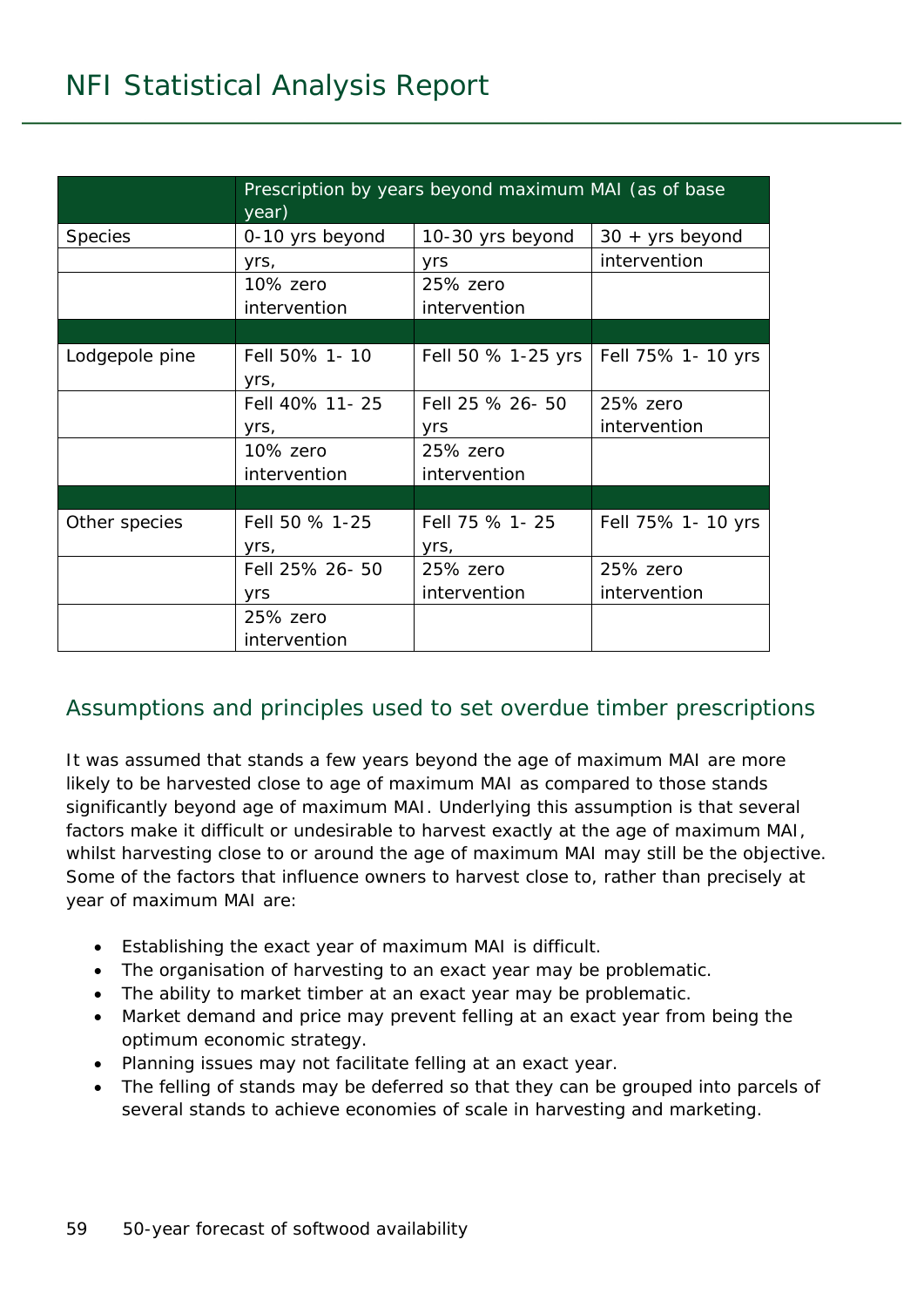|                | Prescription by years beyond maximum MAI (as of base<br>year) |                    |                    |  |  |  |  |  |  |  |
|----------------|---------------------------------------------------------------|--------------------|--------------------|--|--|--|--|--|--|--|
| <b>Species</b> | 0-10 yrs beyond                                               | 10-30 yrs beyond   | $30 + yrs$ beyond  |  |  |  |  |  |  |  |
|                | yrs,                                                          | yrs                | intervention       |  |  |  |  |  |  |  |
|                | 10% zero                                                      | 25% zero           |                    |  |  |  |  |  |  |  |
|                | intervention                                                  | intervention       |                    |  |  |  |  |  |  |  |
|                |                                                               |                    |                    |  |  |  |  |  |  |  |
| Lodgepole pine | Fell 50% 1-10                                                 | Fell 50 % 1-25 yrs | Fell 75% 1- 10 yrs |  |  |  |  |  |  |  |
|                | yrs,                                                          |                    |                    |  |  |  |  |  |  |  |
|                | Fell 40% 11-25                                                | Fell 25 % 26-50    | 25% zero           |  |  |  |  |  |  |  |
|                | yrs,                                                          | yrs                | intervention       |  |  |  |  |  |  |  |
|                | 10% zero                                                      | 25% zero           |                    |  |  |  |  |  |  |  |
|                | intervention                                                  | intervention       |                    |  |  |  |  |  |  |  |
|                |                                                               |                    |                    |  |  |  |  |  |  |  |
| Other species  | Fell 50 % 1-25                                                | Fell 75 % 1-25     | Fell 75% 1- 10 yrs |  |  |  |  |  |  |  |
|                | yrs,                                                          | yrs,               |                    |  |  |  |  |  |  |  |
|                | Fell 25% 26-50                                                | 25% zero           | 25% zero           |  |  |  |  |  |  |  |
|                | yrs                                                           | intervention       | intervention       |  |  |  |  |  |  |  |
|                | 25% zero                                                      |                    |                    |  |  |  |  |  |  |  |
|                | intervention                                                  |                    |                    |  |  |  |  |  |  |  |

#### Assumptions and principles used to set overdue timber prescriptions

It was assumed that stands a few years beyond the age of maximum MAI are more likely to be harvested close to age of maximum MAI as compared to those stands significantly beyond age of maximum MAI. Underlying this assumption is that several factors make it difficult or undesirable to harvest exactly at the age of maximum MAI, whilst harvesting close to or around the age of maximum MAI may still be the objective. Some of the factors that influence owners to harvest close to, rather than precisely at year of maximum MAI are:

- Establishing the exact year of maximum MAI is difficult.
- The organisation of harvesting to an exact year may be problematic.
- The ability to market timber at an exact year may be problematic.
- Market demand and price may prevent felling at an exact year from being the optimum economic strategy.
- Planning issues may not facilitate felling at an exact year.
- The felling of stands may be deferred so that they can be grouped into parcels of several stands to achieve economies of scale in harvesting and marketing.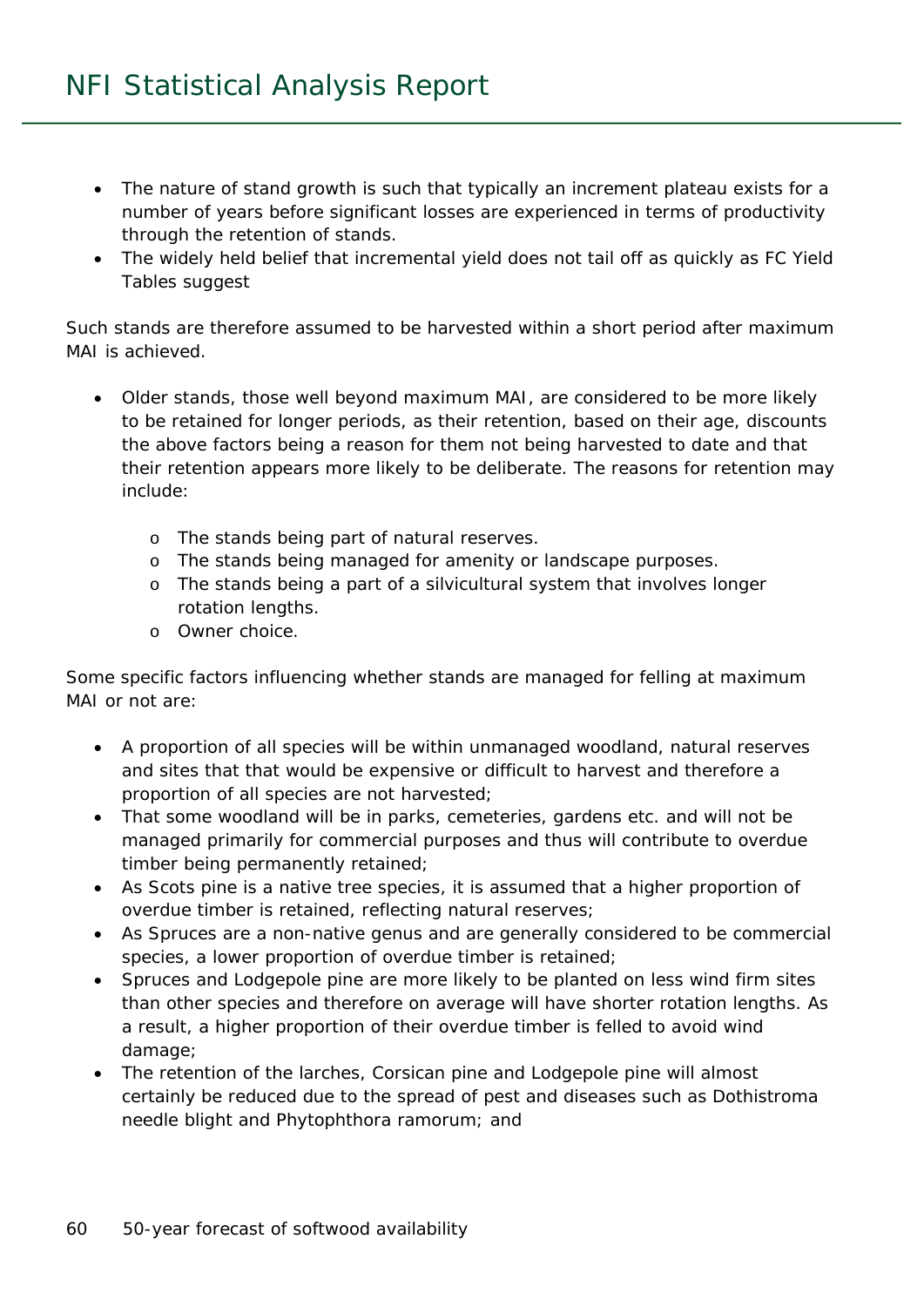- The nature of stand growth is such that typically an increment plateau exists for a number of years before significant losses are experienced in terms of productivity through the retention of stands.
- The widely held belief that incremental yield does not tail off as quickly as FC Yield Tables suggest

Such stands are therefore assumed to be harvested within a short period after maximum MAI is achieved.

- Older stands, those well beyond maximum MAI, are considered to be more likely to be retained for longer periods, as their retention, based on their age, discounts the above factors being a reason for them not being harvested to date and that their retention appears more likely to be deliberate. The reasons for retention may include:
	- o The stands being part of natural reserves.
	- o The stands being managed for amenity or landscape purposes.
	- o The stands being a part of a silvicultural system that involves longer rotation lengths.
	- o Owner choice.

Some specific factors influencing whether stands are managed for felling at maximum MAI or not are:

- A proportion of all species will be within unmanaged woodland, natural reserves and sites that that would be expensive or difficult to harvest and therefore a proportion of all species are not harvested;
- That some woodland will be in parks, cemeteries, gardens etc. and will not be managed primarily for commercial purposes and thus will contribute to overdue timber being permanently retained;
- As Scots pine is a native tree species, it is assumed that a higher proportion of overdue timber is retained, reflecting natural reserves;
- As Spruces are a non-native genus and are generally considered to be commercial species, a lower proportion of overdue timber is retained;
- Spruces and Lodgepole pine are more likely to be planted on less wind firm sites than other species and therefore on average will have shorter rotation lengths. As a result, a higher proportion of their overdue timber is felled to avoid wind damage;
- The retention of the larches, Corsican pine and Lodgepole pine will almost certainly be reduced due to the spread of pest and diseases such as *Dothistroma* needle blight and *Phytophthora ramorum*; and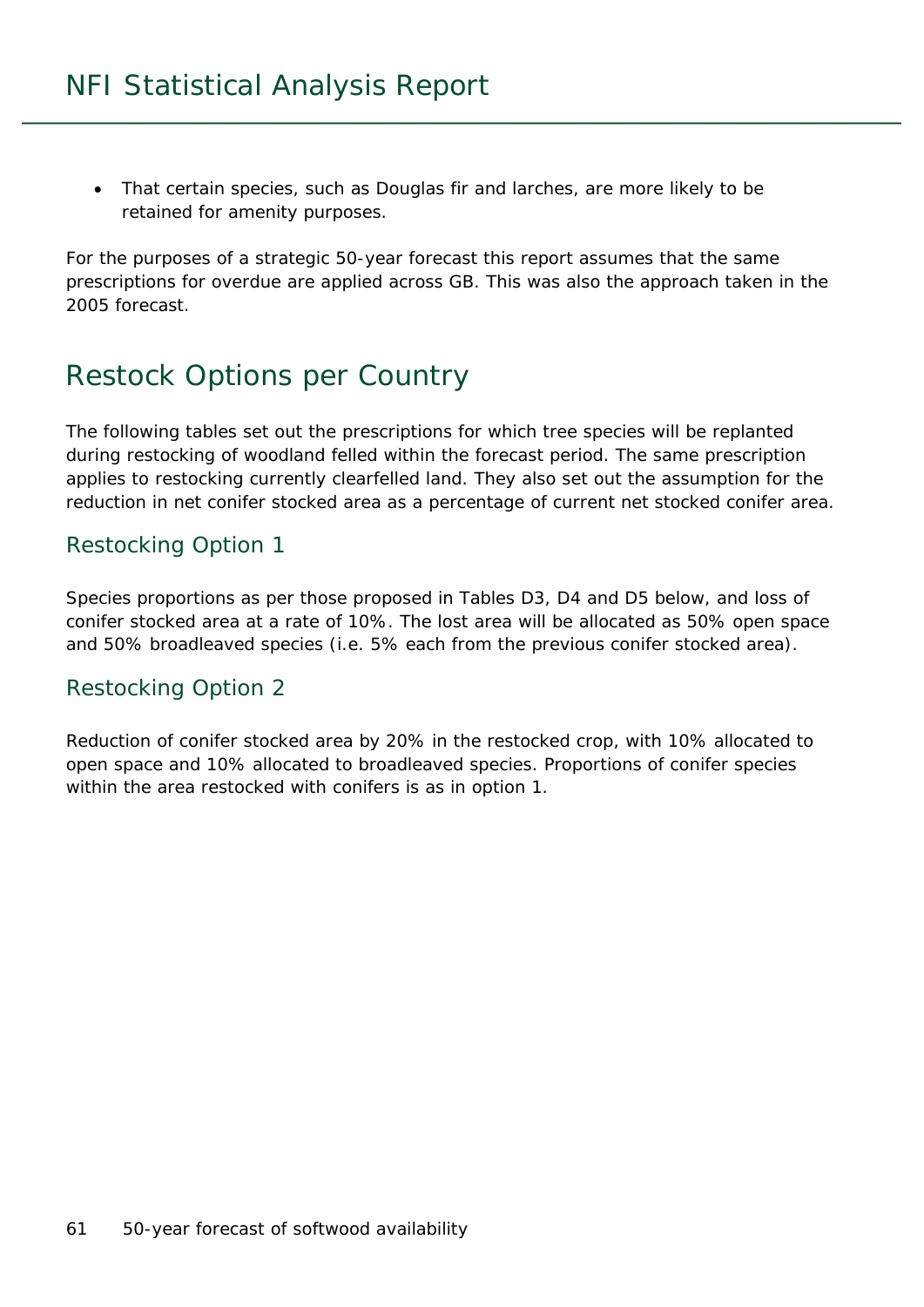• That certain species, such as Douglas fir and larches, are more likely to be retained for amenity purposes.

For the purposes of a strategic 50-year forecast this report assumes that the same prescriptions for overdue are applied across GB. This was also the approach taken in the 2005 forecast.

## Restock Options per Country

The following tables set out the prescriptions for which tree species will be replanted during restocking of woodland felled within the forecast period. The same prescription applies to restocking currently clearfelled land. They also set out the assumption for the reduction in net conifer stocked area as a percentage of current net stocked conifer area.

#### Restocking Option 1

Species proportions as per those proposed in Tables D3, D4 and D5 below, and loss of conifer stocked area at a rate of 10%. The lost area will be allocated as 50% open space and 50% broadleaved species (i.e. 5% each from the previous conifer stocked area).

#### Restocking Option 2

Reduction of conifer stocked area by 20% in the restocked crop, with 10% allocated to open space and 10% allocated to broadleaved species. Proportions of conifer species within the area restocked with conifers is as in option 1.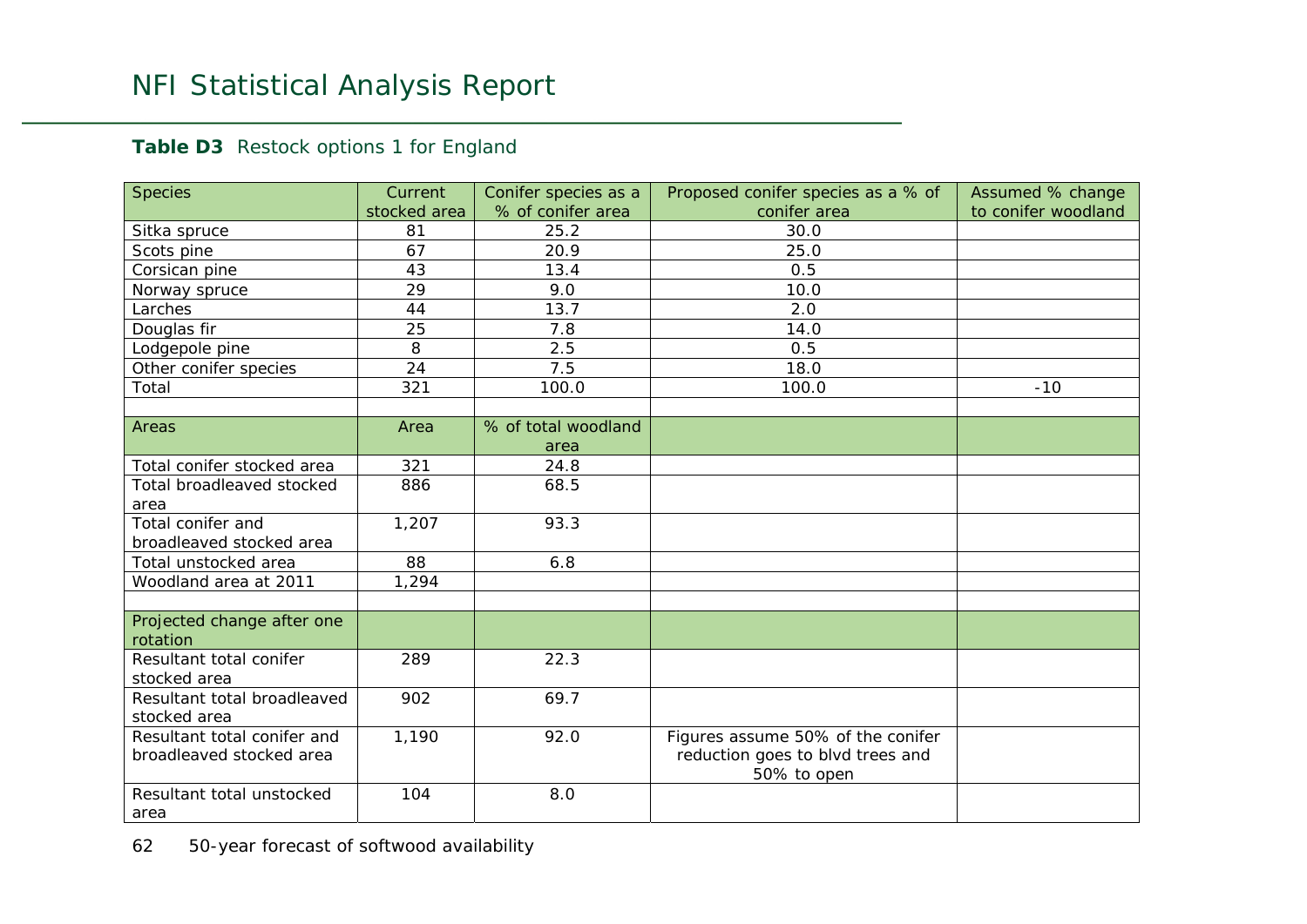#### Table D3 Restock options 1 for England

| <b>Species</b>                         | Current      | Conifer species as a | Proposed conifer species as a % of              | Assumed % change    |
|----------------------------------------|--------------|----------------------|-------------------------------------------------|---------------------|
|                                        | stocked area | % of conifer area    | conifer area                                    | to conifer woodland |
| Sitka spruce                           | 81           | 25.2                 | 30.0                                            |                     |
| Scots pine                             | 67           | 20.9                 | 25.0                                            |                     |
| Corsican pine                          | 43           | 13.4                 | 0.5                                             |                     |
| Norway spruce                          | 29           | 9.0                  | 10.0                                            |                     |
| Larches                                | 44           | 13.7                 | 2.0                                             |                     |
| Douglas fir                            | 25           | 7.8                  | 14.0                                            |                     |
| Lodgepole pine                         | 8            | 2.5                  | 0.5                                             |                     |
| Other conifer species                  | 24           | 7.5                  | 18.0                                            |                     |
| Total                                  | 321          | 100.0                | 100.0                                           | $-10$               |
|                                        |              |                      |                                                 |                     |
| Areas                                  | Area         | % of total woodland  |                                                 |                     |
|                                        |              | area                 |                                                 |                     |
| Total conifer stocked area             | 321          | 24.8                 |                                                 |                     |
| Total broadleaved stocked              | 886          | 68.5                 |                                                 |                     |
| area                                   |              |                      |                                                 |                     |
| Total conifer and                      | 1,207        | 93.3                 |                                                 |                     |
| broadleaved stocked area               |              |                      |                                                 |                     |
| Total unstocked area                   | 88           | 6.8                  |                                                 |                     |
| Woodland area at 2011                  | 1,294        |                      |                                                 |                     |
|                                        |              |                      |                                                 |                     |
| Projected change after one<br>rotation |              |                      |                                                 |                     |
| Resultant total conifer                | 289          | 22.3                 |                                                 |                     |
| stocked area                           |              |                      |                                                 |                     |
| Resultant total broadleaved            | 902          | 69.7                 |                                                 |                     |
| stocked area                           |              |                      |                                                 |                     |
| Resultant total conifer and            | 1,190        | 92.0                 | Figures assume 50% of the conifer               |                     |
| broadleaved stocked area               |              |                      | reduction goes to blvd trees and<br>50% to open |                     |
| Resultant total unstocked              | 104          | 8.0                  |                                                 |                     |
| area                                   |              |                      |                                                 |                     |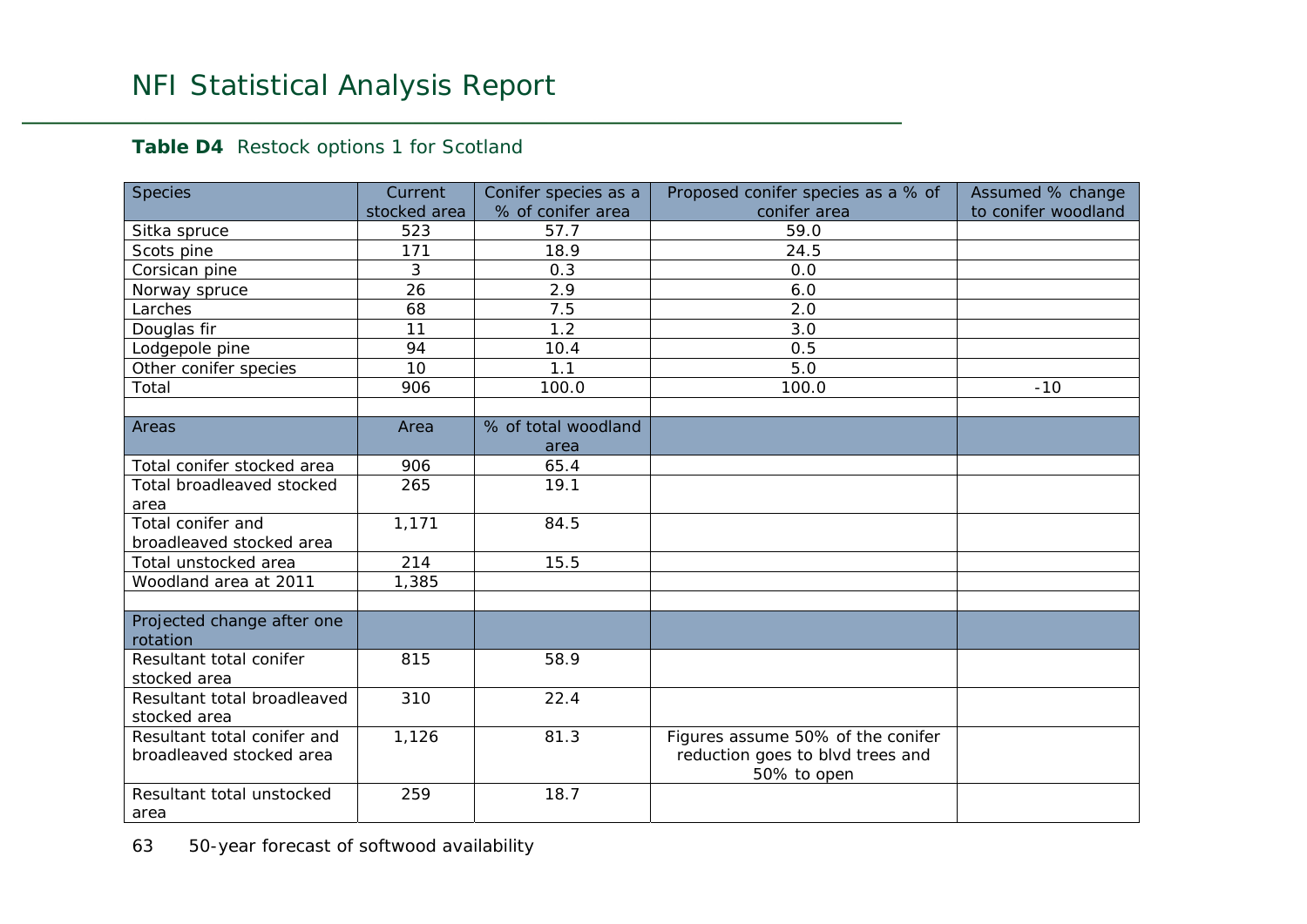#### Table D4 Restock options 1 for Scotland

| <b>Species</b>                              | Current      | Conifer species as a | Proposed conifer species as a % of              | Assumed % change    |
|---------------------------------------------|--------------|----------------------|-------------------------------------------------|---------------------|
|                                             | stocked area | % of conifer area    | conifer area                                    | to conifer woodland |
| Sitka spruce                                | 523          | 57.7                 | 59.0                                            |                     |
| Scots pine                                  | 171          | 18.9                 | $\overline{2}$ 4.5                              |                     |
| Corsican pine                               | 3            | 0.3                  | 0.0                                             |                     |
| Norway spruce                               | 26           | 2.9                  | 6.0                                             |                     |
| Larches                                     | 68           | 7.5                  | 2.0                                             |                     |
| Douglas fir                                 | 11           | 1.2                  | 3.0                                             |                     |
| Lodgepole pine                              | 94           | 10.4                 | 0.5                                             |                     |
| Other conifer species                       | 10           | 1.1                  | 5.0                                             |                     |
| Total                                       | 906          | 100.0                | 100.0                                           | $-10$               |
|                                             |              |                      |                                                 |                     |
| Areas                                       | Area         | % of total woodland  |                                                 |                     |
|                                             |              | area                 |                                                 |                     |
| Total conifer stocked area                  | 906          | 65.4                 |                                                 |                     |
| Total broadleaved stocked                   | 265          | 19.1                 |                                                 |                     |
| area                                        |              |                      |                                                 |                     |
| Total conifer and                           | 1,171        | 84.5                 |                                                 |                     |
| broadleaved stocked area                    |              |                      |                                                 |                     |
| Total unstocked area                        | 214          | 15.5                 |                                                 |                     |
| Woodland area at 2011                       | 1,385        |                      |                                                 |                     |
|                                             |              |                      |                                                 |                     |
| Projected change after one<br>rotation      |              |                      |                                                 |                     |
| Resultant total conifer                     | 815          | 58.9                 |                                                 |                     |
| stocked area                                |              |                      |                                                 |                     |
| Resultant total broadleaved<br>stocked area | 310          | 22.4                 |                                                 |                     |
| Resultant total conifer and                 | 1,126        | 81.3                 | Figures assume 50% of the conifer               |                     |
| broadleaved stocked area                    |              |                      | reduction goes to blvd trees and<br>50% to open |                     |
| Resultant total unstocked                   | 259          | 18.7                 |                                                 |                     |
| area                                        |              |                      |                                                 |                     |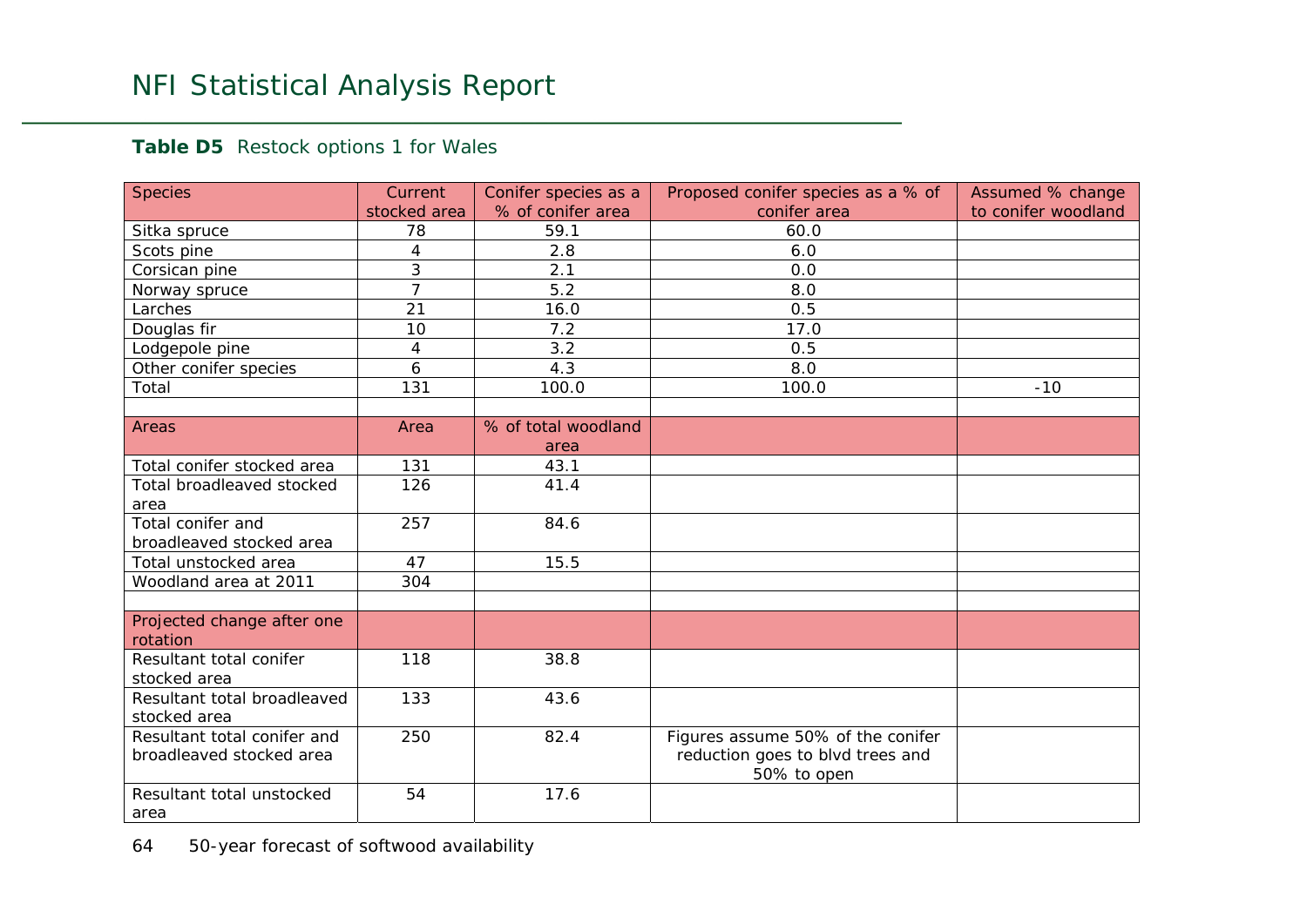#### Table D5 Restock options 1 for Wales

| <b>Species</b>              | Current        | Conifer species as a | Proposed conifer species as a % of | Assumed % change    |
|-----------------------------|----------------|----------------------|------------------------------------|---------------------|
|                             | stocked area   | % of conifer area    | conifer area                       | to conifer woodland |
| Sitka spruce                | 78             | 59.1                 | 60.0                               |                     |
| Scots pine                  | 4              | 2.8                  | 6.0                                |                     |
| Corsican pine               | 3              | 2.1                  | 0.0                                |                     |
| Norway spruce               | $\overline{7}$ | 5.2                  | 8.0                                |                     |
| Larches                     | 21             | 16.0                 | 0.5                                |                     |
| Douglas fir                 | 10             | 7.2                  | 17.0                               |                     |
| Lodgepole pine              | 4              | 3.2                  | 0.5                                |                     |
| Other conifer species       | 6              | 4.3                  | 8.0                                |                     |
| Total                       | 131            | 100.0                | 100.0                              | $-10$               |
|                             |                |                      |                                    |                     |
| Areas                       | Area           | % of total woodland  |                                    |                     |
|                             |                | area                 |                                    |                     |
| Total conifer stocked area  | 131            | 43.1                 |                                    |                     |
| Total broadleaved stocked   | 126            | 41.4                 |                                    |                     |
| area                        |                |                      |                                    |                     |
| Total conifer and           | 257            | 84.6                 |                                    |                     |
| broadleaved stocked area    |                |                      |                                    |                     |
| Total unstocked area        | 47             | 15.5                 |                                    |                     |
| Woodland area at 2011       | 304            |                      |                                    |                     |
|                             |                |                      |                                    |                     |
| Projected change after one  |                |                      |                                    |                     |
| rotation                    |                |                      |                                    |                     |
| Resultant total conifer     | 118            | 38.8                 |                                    |                     |
| stocked area                |                |                      |                                    |                     |
| Resultant total broadleaved | 133            | 43.6                 |                                    |                     |
| stocked area                |                |                      |                                    |                     |
| Resultant total conifer and | 250            | 82.4                 | Figures assume 50% of the conifer  |                     |
| broadleaved stocked area    |                |                      | reduction goes to blvd trees and   |                     |
|                             |                |                      | 50% to open                        |                     |
| Resultant total unstocked   | 54             | 17.6                 |                                    |                     |
| area                        |                |                      |                                    |                     |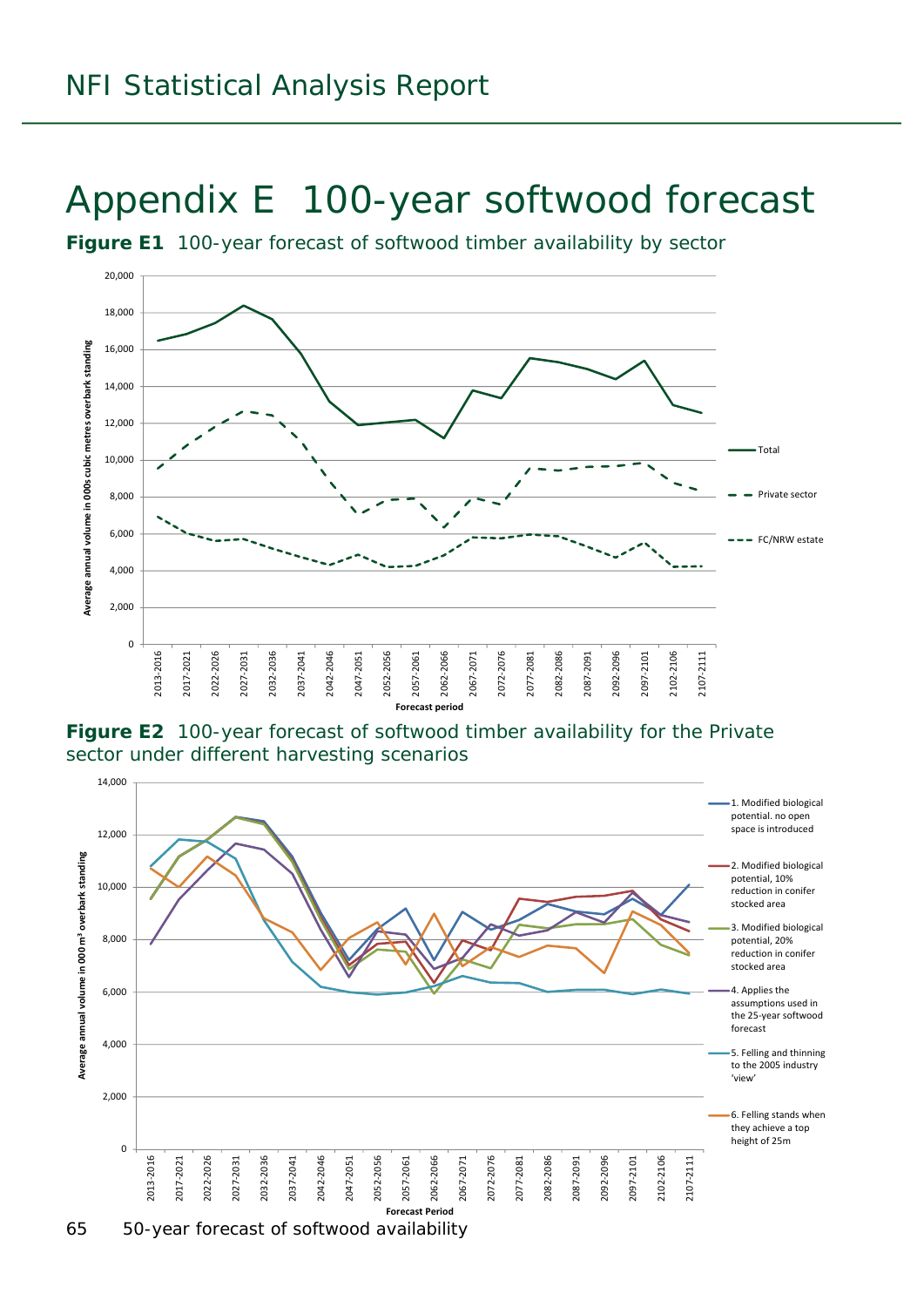## Appendix E 100-year softwood forecast

**Figure E1** 100-year forecast of softwood timber availability by sector



**Figure E2** 100-year forecast of softwood timber availability for the Private sector under different harvesting scenarios

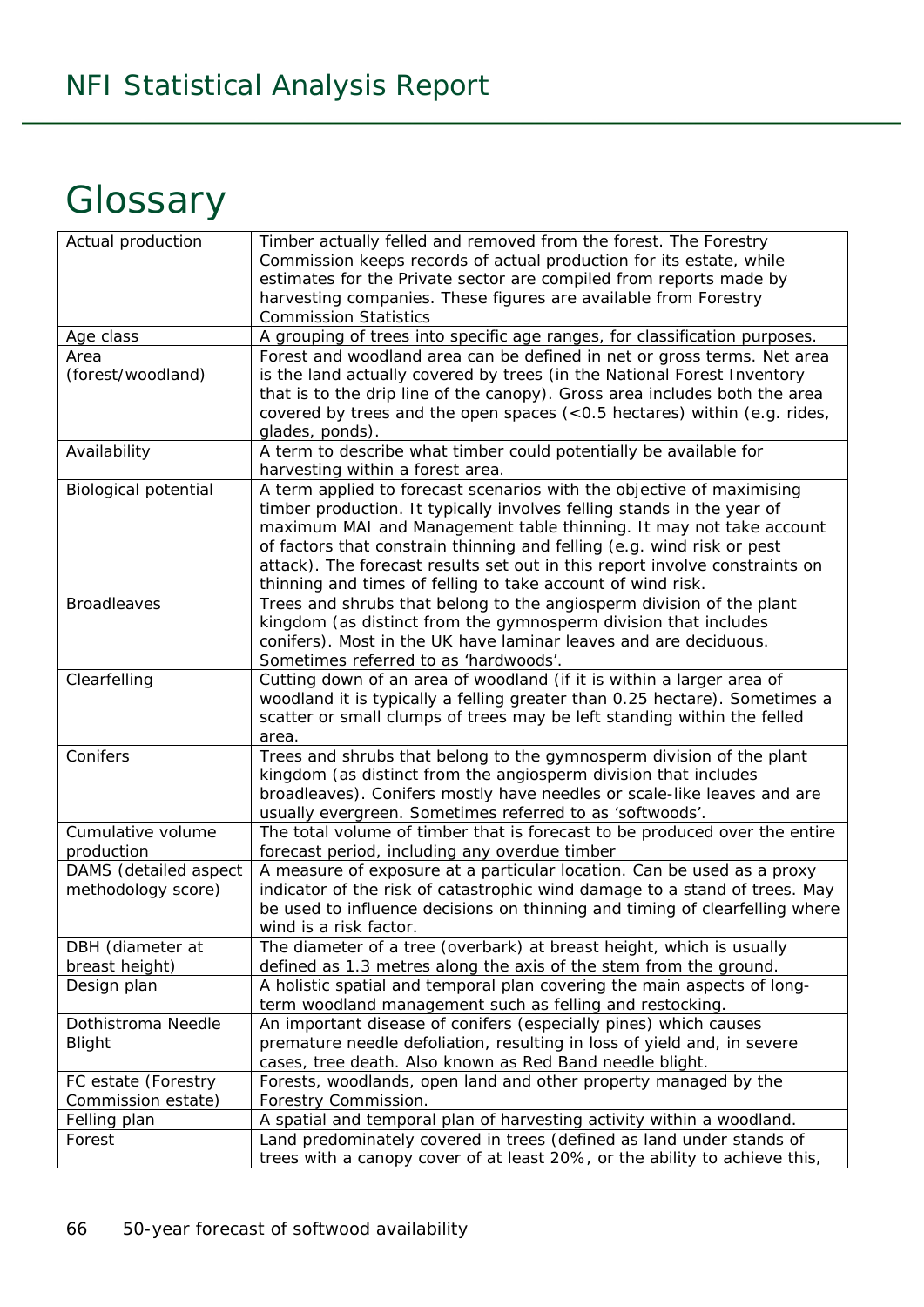## **Glossary**

| Actual production           | Timber actually felled and removed from the forest. The Forestry                                                                       |
|-----------------------------|----------------------------------------------------------------------------------------------------------------------------------------|
|                             | Commission keeps records of actual production for its estate, while                                                                    |
|                             | estimates for the Private sector are compiled from reports made by                                                                     |
|                             | harvesting companies. These figures are available from Forestry                                                                        |
|                             | <b>Commission Statistics</b>                                                                                                           |
| Age class                   | A grouping of trees into specific age ranges, for classification purposes.                                                             |
| Area                        | Forest and woodland area can be defined in net or gross terms. Net area                                                                |
| (forest/woodland)           | is the land actually covered by trees (in the National Forest Inventory                                                                |
|                             | that is to the drip line of the canopy). Gross area includes both the area                                                             |
|                             | covered by trees and the open spaces (<0.5 hectares) within (e.g. rides,                                                               |
|                             | glades, ponds).                                                                                                                        |
| Availability                | A term to describe what timber could potentially be available for                                                                      |
|                             | harvesting within a forest area.                                                                                                       |
| <b>Biological potential</b> | A term applied to forecast scenarios with the objective of maximising                                                                  |
|                             | timber production. It typically involves felling stands in the year of                                                                 |
|                             | maximum MAI and Management table thinning. It may not take account                                                                     |
|                             | of factors that constrain thinning and felling (e.g. wind risk or pest                                                                 |
|                             | attack). The forecast results set out in this report involve constraints on                                                            |
|                             | thinning and times of felling to take account of wind risk.                                                                            |
| <b>Broadleaves</b>          | Trees and shrubs that belong to the angiosperm division of the plant                                                                   |
|                             | kingdom (as distinct from the gymnosperm division that includes                                                                        |
|                             | conifers). Most in the UK have laminar leaves and are deciduous.                                                                       |
|                             | Sometimes referred to as 'hardwoods'.                                                                                                  |
| Clearfelling                | Cutting down of an area of woodland (if it is within a larger area of                                                                  |
|                             | woodland it is typically a felling greater than 0.25 hectare). Sometimes a                                                             |
|                             | scatter or small clumps of trees may be left standing within the felled                                                                |
|                             | area.                                                                                                                                  |
| Conifers                    | Trees and shrubs that belong to the gymnosperm division of the plant                                                                   |
|                             | kingdom (as distinct from the angiosperm division that includes                                                                        |
|                             | broadleaves). Conifers mostly have needles or scale-like leaves and are                                                                |
| Cumulative volume           | usually evergreen. Sometimes referred to as 'softwoods'.<br>The total volume of timber that is forecast to be produced over the entire |
| production                  | forecast period, including any overdue timber                                                                                          |
| DAMS (detailed aspect       | A measure of exposure at a particular location. Can be used as a proxy                                                                 |
| methodology score)          | indicator of the risk of catastrophic wind damage to a stand of trees. May                                                             |
|                             | be used to influence decisions on thinning and timing of clearfelling where                                                            |
|                             | wind is a risk factor.                                                                                                                 |
| DBH (diameter at            | The diameter of a tree (overbark) at breast height, which is usually                                                                   |
| breast height)              | defined as 1.3 metres along the axis of the stem from the ground.                                                                      |
| Design plan                 | A holistic spatial and temporal plan covering the main aspects of long-                                                                |
|                             | term woodland management such as felling and restocking.                                                                               |
| Dothistroma Needle          | An important disease of conifers (especially pines) which causes                                                                       |
| <b>Blight</b>               | premature needle defoliation, resulting in loss of yield and, in severe                                                                |
|                             | cases, tree death. Also known as Red Band needle blight.                                                                               |
| FC estate (Forestry         | Forests, woodlands, open land and other property managed by the                                                                        |
| Commission estate)          | Forestry Commission.                                                                                                                   |
| Felling plan                | A spatial and temporal plan of harvesting activity within a woodland.                                                                  |
| Forest                      | Land predominately covered in trees (defined as land under stands of                                                                   |
|                             | trees with a canopy cover of at least 20%, or the ability to achieve this,                                                             |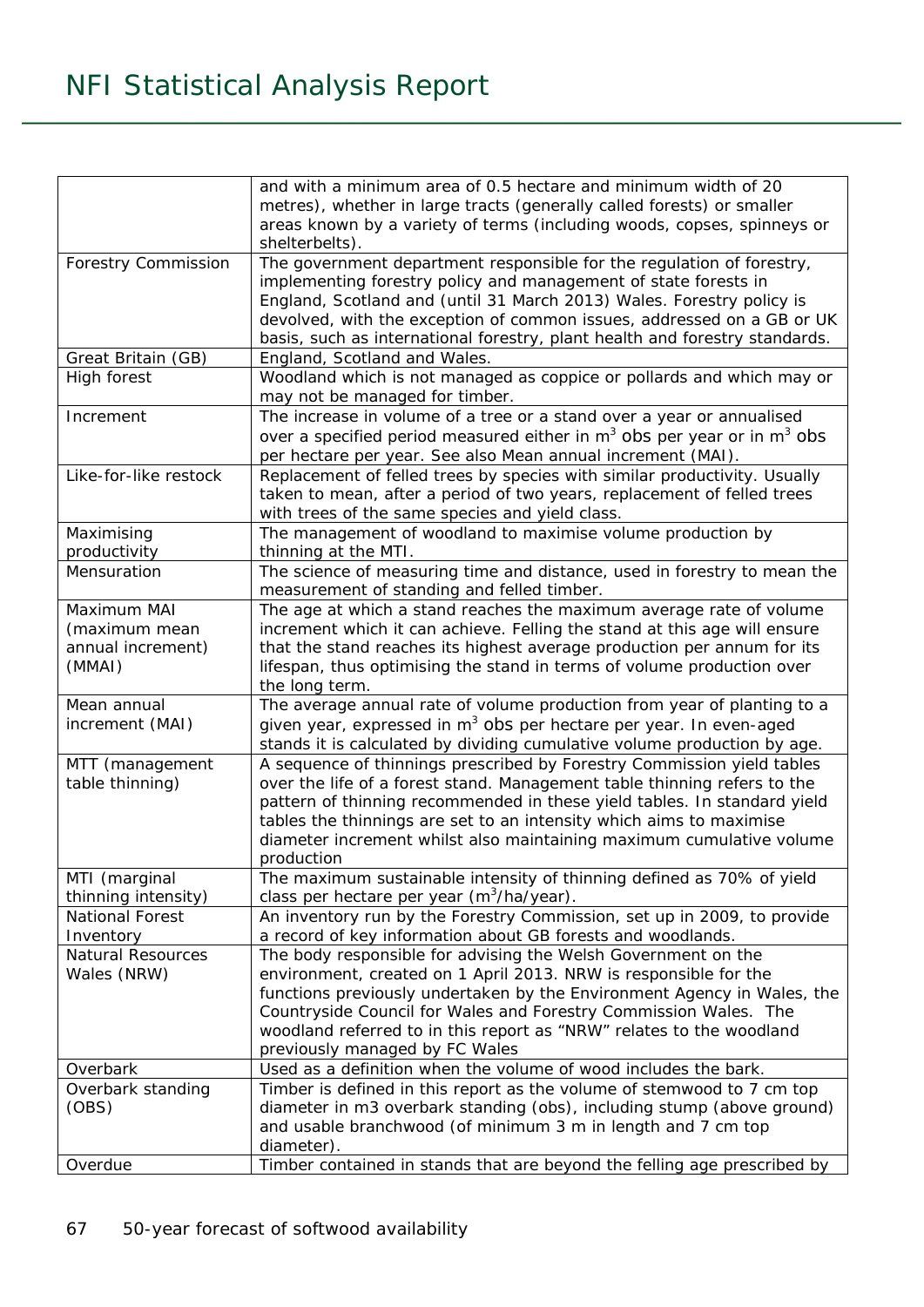|                                                             | and with a minimum area of 0.5 hectare and minimum width of 20<br>metres), whether in large tracts (generally called forests) or smaller<br>areas known by a variety of terms (including woods, copses, spinneys or<br>shelterbelts).                                                                                                                                                       |
|-------------------------------------------------------------|---------------------------------------------------------------------------------------------------------------------------------------------------------------------------------------------------------------------------------------------------------------------------------------------------------------------------------------------------------------------------------------------|
| <b>Forestry Commission</b>                                  | The government department responsible for the regulation of forestry,<br>implementing forestry policy and management of state forests in<br>England, Scotland and (until 31 March 2013) Wales. Forestry policy is<br>devolved, with the exception of common issues, addressed on a GB or UK<br>basis, such as international forestry, plant health and forestry standards.                  |
| Great Britain (GB)                                          | England, Scotland and Wales.                                                                                                                                                                                                                                                                                                                                                                |
| High forest                                                 | Woodland which is not managed as coppice or pollards and which may or<br>may not be managed for timber.                                                                                                                                                                                                                                                                                     |
| Increment                                                   | The increase in volume of a tree or a stand over a year or annualised<br>over a specified period measured either in $m3$ obs per year or in $m3$ obs<br>per hectare per year. See also Mean annual increment (MAI).                                                                                                                                                                         |
| Like-for-like restock                                       | Replacement of felled trees by species with similar productivity. Usually<br>taken to mean, after a period of two years, replacement of felled trees<br>with trees of the same species and yield class.                                                                                                                                                                                     |
| Maximising<br>productivity                                  | The management of woodland to maximise volume production by<br>thinning at the MTI.                                                                                                                                                                                                                                                                                                         |
| Mensuration                                                 | The science of measuring time and distance, used in forestry to mean the<br>measurement of standing and felled timber.                                                                                                                                                                                                                                                                      |
| Maximum MAI<br>(maximum mean<br>annual increment)<br>(MMAI) | The age at which a stand reaches the maximum average rate of volume<br>increment which it can achieve. Felling the stand at this age will ensure<br>that the stand reaches its highest average production per annum for its<br>lifespan, thus optimising the stand in terms of volume production over<br>the long term.                                                                     |
| Mean annual<br>increment (MAI)                              | The average annual rate of volume production from year of planting to a<br>given year, expressed in m <sup>3</sup> obs per hectare per year. In even-aged<br>stands it is calculated by dividing cumulative volume production by age.                                                                                                                                                       |
| MTT (management<br>table thinning)                          | A sequence of thinnings prescribed by Forestry Commission yield tables<br>over the life of a forest stand. Management table thinning refers to the<br>pattern of thinning recommended in these yield tables. In standard yield<br>tables the thinnings are set to an intensity which aims to maximise<br>diameter increment whilst also maintaining maximum cumulative volume<br>production |
| MTI (marginal<br>thinning intensity)                        | The maximum sustainable intensity of thinning defined as 70% of yield<br>class per hectare per year (m <sup>3</sup> /ha/year).                                                                                                                                                                                                                                                              |
| National Forest                                             | An inventory run by the Forestry Commission, set up in 2009, to provide                                                                                                                                                                                                                                                                                                                     |
| Inventory                                                   | a record of key information about GB forests and woodlands.                                                                                                                                                                                                                                                                                                                                 |
| Natural Resources<br>Wales (NRW)                            | The body responsible for advising the Welsh Government on the<br>environment, created on 1 April 2013. NRW is responsible for the<br>functions previously undertaken by the Environment Agency in Wales, the<br>Countryside Council for Wales and Forestry Commission Wales. The<br>woodland referred to in this report as "NRW" relates to the woodland<br>previously managed by FC Wales  |
| Overbark                                                    | Used as a definition when the volume of wood includes the bark.                                                                                                                                                                                                                                                                                                                             |
| Overbark standing<br>(OBS)                                  | Timber is defined in this report as the volume of stemwood to 7 cm top<br>diameter in m3 overbark standing (obs), including stump (above ground)<br>and usable branchwood (of minimum 3 m in length and 7 cm top<br>diameter).                                                                                                                                                              |
| Overdue                                                     | Timber contained in stands that are beyond the felling age prescribed by                                                                                                                                                                                                                                                                                                                    |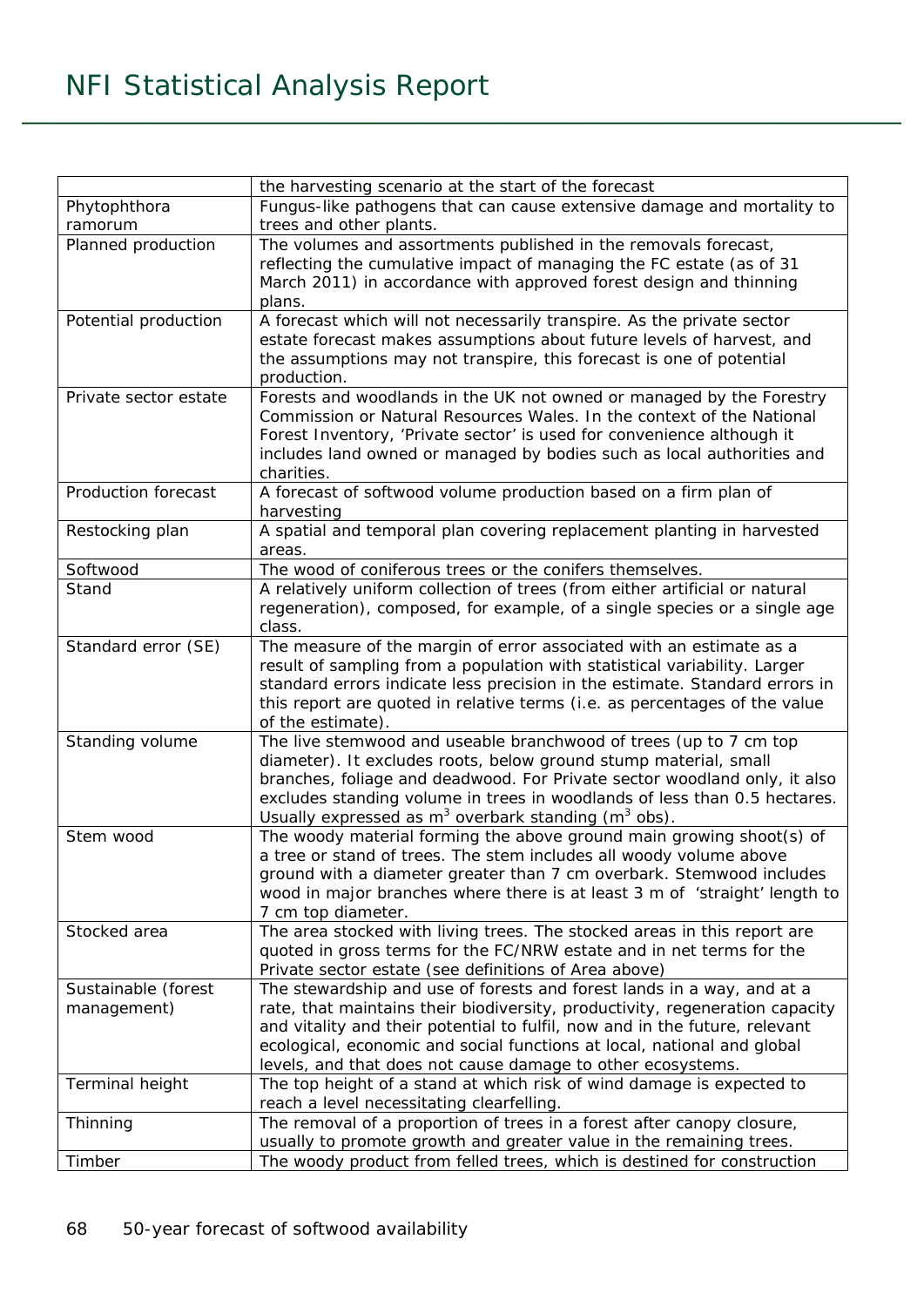|                       | the harvesting scenario at the start of the forecast                                                                                             |
|-----------------------|--------------------------------------------------------------------------------------------------------------------------------------------------|
| Phytophthora          | Fungus-like pathogens that can cause extensive damage and mortality to                                                                           |
| ramorum               | trees and other plants.                                                                                                                          |
| Planned production    | The volumes and assortments published in the removals forecast,                                                                                  |
|                       | reflecting the cumulative impact of managing the FC estate (as of 31                                                                             |
|                       | March 2011) in accordance with approved forest design and thinning                                                                               |
|                       | plans.                                                                                                                                           |
| Potential production  | A forecast which will not necessarily transpire. As the private sector                                                                           |
|                       | estate forecast makes assumptions about future levels of harvest, and                                                                            |
|                       | the assumptions may not transpire, this forecast is one of potential                                                                             |
|                       | production.                                                                                                                                      |
| Private sector estate | Forests and woodlands in the UK not owned or managed by the Forestry                                                                             |
|                       | Commission or Natural Resources Wales. In the context of the National                                                                            |
|                       | Forest Inventory, 'Private sector' is used for convenience although it                                                                           |
|                       | includes land owned or managed by bodies such as local authorities and                                                                           |
|                       | charities.                                                                                                                                       |
| Production forecast   | A forecast of softwood volume production based on a firm plan of                                                                                 |
|                       | harvesting                                                                                                                                       |
| Restocking plan       | A spatial and temporal plan covering replacement planting in harvested                                                                           |
|                       | areas.                                                                                                                                           |
| Softwood              | The wood of coniferous trees or the conifers themselves.                                                                                         |
| Stand                 | A relatively uniform collection of trees (from either artificial or natural                                                                      |
|                       | regeneration), composed, for example, of a single species or a single age<br>class.                                                              |
|                       |                                                                                                                                                  |
| Standard error (SE)   | The measure of the margin of error associated with an estimate as a<br>result of sampling from a population with statistical variability. Larger |
|                       | standard errors indicate less precision in the estimate. Standard errors in                                                                      |
|                       | this report are quoted in relative terms (i.e. as percentages of the value                                                                       |
|                       | of the estimate).                                                                                                                                |
| Standing volume       | The live stemwood and useable branchwood of trees (up to 7 cm top                                                                                |
|                       | diameter). It excludes roots, below ground stump material, small                                                                                 |
|                       | branches, foliage and deadwood. For Private sector woodland only, it also                                                                        |
|                       | excludes standing volume in trees in woodlands of less than 0.5 hectares.                                                                        |
|                       | Usually expressed as $m^3$ overbark standing ( $m^3$ obs).                                                                                       |
| Stem wood             | The woody material forming the above ground main growing shoot(s) of                                                                             |
|                       | a tree or stand of trees. The stem includes all woody volume above                                                                               |
|                       | ground with a diameter greater than 7 cm overbark. Stemwood includes                                                                             |
|                       | wood in major branches where there is at least 3 m of 'straight' length to                                                                       |
|                       | 7 cm top diameter.                                                                                                                               |
| Stocked area          | The area stocked with living trees. The stocked areas in this report are                                                                         |
|                       | quoted in gross terms for the FC/NRW estate and in net terms for the                                                                             |
|                       | Private sector estate (see definitions of Area above)                                                                                            |
| Sustainable (forest   | The stewardship and use of forests and forest lands in a way, and at a                                                                           |
| management)           | rate, that maintains their biodiversity, productivity, regeneration capacity                                                                     |
|                       | and vitality and their potential to fulfil, now and in the future, relevant                                                                      |
|                       | ecological, economic and social functions at local, national and global                                                                          |
|                       | levels, and that does not cause damage to other ecosystems.                                                                                      |
| Terminal height       | The top height of a stand at which risk of wind damage is expected to                                                                            |
|                       | reach a level necessitating clearfelling.                                                                                                        |
| Thinning              | The removal of a proportion of trees in a forest after canopy closure,                                                                           |
|                       | usually to promote growth and greater value in the remaining trees.                                                                              |
| Timber                | The woody product from felled trees, which is destined for construction                                                                          |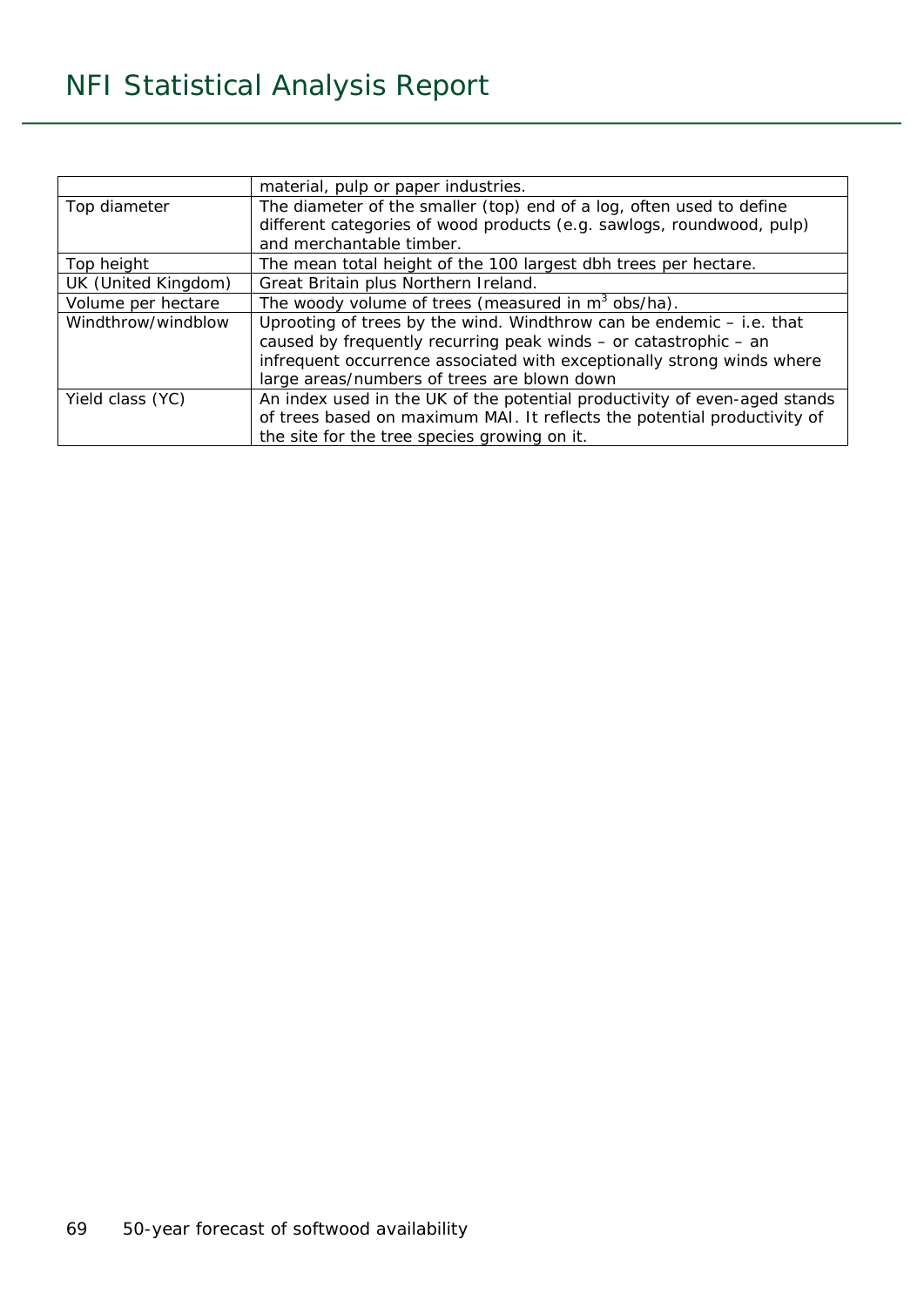|                     | material, pulp or paper industries.                                       |  |
|---------------------|---------------------------------------------------------------------------|--|
| Top diameter        | The diameter of the smaller (top) end of a log, often used to define      |  |
|                     | different categories of wood products (e.g. sawlogs, roundwood, pulp)     |  |
|                     | and merchantable timber.                                                  |  |
| Top height          | The mean total height of the 100 largest dbh trees per hectare.           |  |
| UK (United Kingdom) | Great Britain plus Northern Ireland.                                      |  |
| Volume per hectare  | The woody volume of trees (measured in $m^3$ obs/ha).                     |  |
| Windthrow/windblow  | Uprooting of trees by the wind. Windthrow can be endemic - i.e. that      |  |
|                     | caused by frequently recurring peak winds - or catastrophic - an          |  |
|                     | infrequent occurrence associated with exceptionally strong winds where    |  |
|                     | large areas/numbers of trees are blown down                               |  |
| Yield class (YC)    | An index used in the UK of the potential productivity of even-aged stands |  |
|                     | of trees based on maximum MAI. It reflects the potential productivity of  |  |
|                     | the site for the tree species growing on it.                              |  |